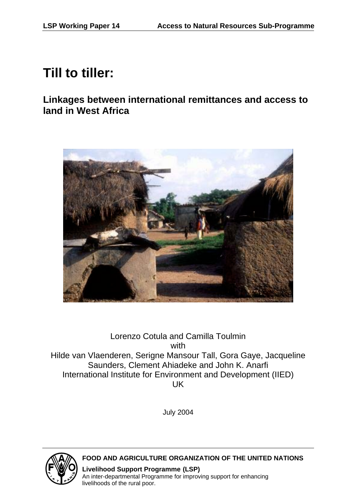# **Till to tiller:**

**Linkages between international remittances and access to land in West Africa** 



# Lorenzo Cotula and Camilla Toulmin with Hilde van Vlaenderen, Serigne Mansour Tall, Gora Gaye, Jacqueline Saunders, Clement Ahiadeke and John K. Anarfi International Institute for Environment and Development (IIED) UK

July 2004



# **FOOD AND AGRICULTURE ORGANIZATION OF THE UNITED NATIONS**

**Livelihood Support Programme (LSP)** An inter-departmental Programme for improving support for enhancing livelihoods of the rural poor.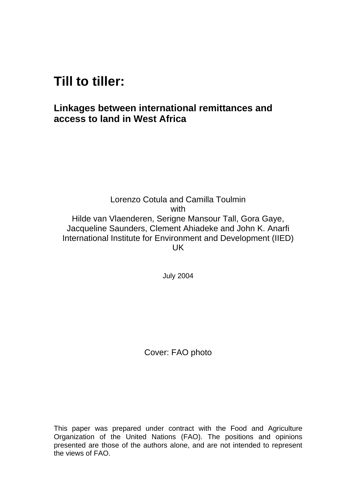# **Till to tiller:**

# **Linkages between international remittances and access to land in West Africa**

Lorenzo Cotula and Camilla Toulmin with Hilde van Vlaenderen, Serigne Mansour Tall, Gora Gaye, Jacqueline Saunders, Clement Ahiadeke and John K. Anarfi International Institute for Environment and Development (IIED) UK

July 2004

Cover: FAO photo

This paper was prepared under contract with the Food and Agriculture Organization of the United Nations (FAO). The positions and opinions presented are those of the authors alone, and are not intended to represent the views of FAO.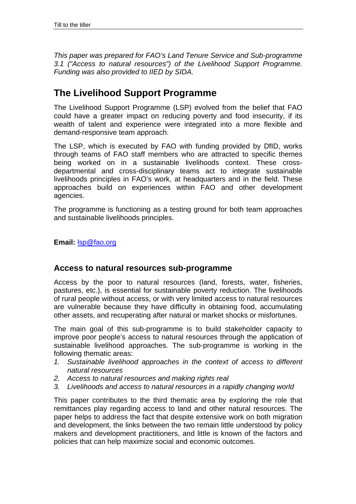*This paper was prepared for FAO's Land Tenure Service and Sub-programme 3.1 ("Access to natural resources") of the Livelihood Support Programme. Funding was also provided to IIED by SIDA.* 

# **The Livelihood Support Programme**

The Livelihood Support Programme (LSP) evolved from the belief that FAO could have a greater impact on reducing poverty and food insecurity, if its wealth of talent and experience were integrated into a more flexible and demand-responsive team approach.

The LSP, which is executed by FAO with funding provided by DfID, works through teams of FAO staff members who are attracted to specific themes being worked on in a sustainable livelihoods context. These crossdepartmental and cross-disciplinary teams act to integrate sustainable livelihoods principles in FAO's work, at headquarters and in the field. These approaches build on experiences within FAO and other development agencies.

The programme is functioning as a testing ground for both team approaches and sustainable livelihoods principles.

**Email:** lsp@fao.org

# **Access to natural resources sub-programme**

Access by the poor to natural resources (land, forests, water, fisheries, pastures, etc.), is essential for sustainable poverty reduction. The livelihoods of rural people without access, or with very limited access to natural resources are vulnerable because they have difficulty in obtaining food, accumulating other assets, and recuperating after natural or market shocks or misfortunes.

The main goal of this sub-programme is to build stakeholder capacity to improve poor people's access to natural resources through the application of sustainable livelihood approaches. The sub-programme is working in the following thematic areas:

- *1. Sustainable livelihood approaches in the context of access to different natural resources*
- *2. Access to natural resources and making rights real*
- *3. Livelihoods and access to natural resources in a rapidly changing world*

This paper contributes to the third thematic area by exploring the role that remittances play regarding access to land and other natural resources. The paper helps to address the fact that despite extensive work on both migration and development, the links between the two remain little understood by policy makers and development practitioners, and little is known of the factors and policies that can help maximize social and economic outcomes.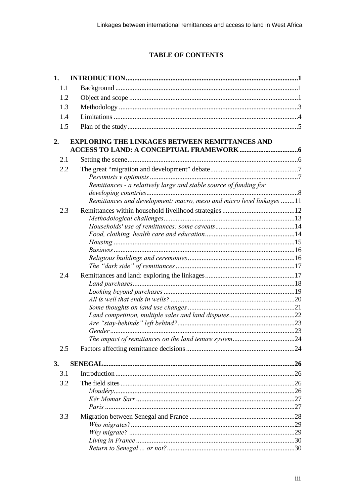# **TABLE OF CONTENTS**

| 1.  |                                                                      |     |
|-----|----------------------------------------------------------------------|-----|
| 1.1 |                                                                      |     |
| 1.2 |                                                                      |     |
| 1.3 |                                                                      |     |
| 1.4 |                                                                      |     |
| 1.5 |                                                                      |     |
|     |                                                                      |     |
| 2.  | <b>EXPLORING THE LINKAGES BETWEEN REMITTANCES AND</b>                |     |
| 2.1 |                                                                      |     |
| 2.2 |                                                                      |     |
|     |                                                                      |     |
|     | Remittances - a relatively large and stable source of funding for    |     |
|     |                                                                      |     |
|     | Remittances and development: macro, meso and micro level linkages 11 |     |
| 2.3 |                                                                      |     |
|     |                                                                      |     |
|     |                                                                      |     |
|     |                                                                      |     |
|     |                                                                      |     |
|     |                                                                      |     |
|     |                                                                      |     |
| 2.4 |                                                                      |     |
|     |                                                                      |     |
|     |                                                                      |     |
|     |                                                                      |     |
|     |                                                                      |     |
|     |                                                                      |     |
|     |                                                                      |     |
|     |                                                                      |     |
| 2.5 |                                                                      | .24 |
|     |                                                                      |     |
| 3.  |                                                                      |     |
| 3.1 |                                                                      |     |
| 3.2 |                                                                      |     |
|     |                                                                      |     |
|     |                                                                      |     |
|     |                                                                      |     |
| 3.3 |                                                                      |     |
|     |                                                                      |     |
|     |                                                                      |     |
|     |                                                                      |     |
|     |                                                                      |     |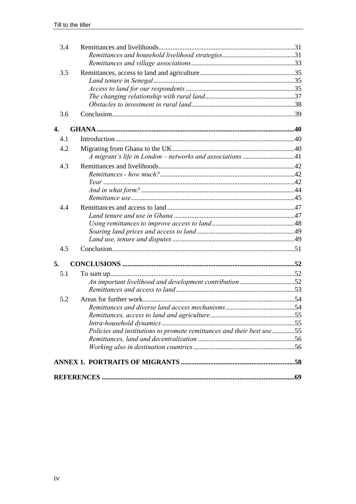| 3.4 |                                                                        |  |
|-----|------------------------------------------------------------------------|--|
|     |                                                                        |  |
|     |                                                                        |  |
| 3.5 |                                                                        |  |
|     |                                                                        |  |
|     |                                                                        |  |
|     |                                                                        |  |
|     |                                                                        |  |
| 3.6 |                                                                        |  |
| 4.  |                                                                        |  |
| 4.1 |                                                                        |  |
| 4.2 |                                                                        |  |
|     |                                                                        |  |
| 4.3 |                                                                        |  |
|     |                                                                        |  |
|     |                                                                        |  |
|     |                                                                        |  |
|     |                                                                        |  |
| 4.4 |                                                                        |  |
|     |                                                                        |  |
|     |                                                                        |  |
|     |                                                                        |  |
|     |                                                                        |  |
| 4.5 |                                                                        |  |
| 5.  |                                                                        |  |
| 5.1 |                                                                        |  |
|     | An important livelihood and development contribution52                 |  |
|     |                                                                        |  |
| 5.2 |                                                                        |  |
|     |                                                                        |  |
|     |                                                                        |  |
|     |                                                                        |  |
|     | Policies and institutions to promote remittances and their best use 55 |  |
|     |                                                                        |  |
|     |                                                                        |  |
|     |                                                                        |  |
|     |                                                                        |  |
|     |                                                                        |  |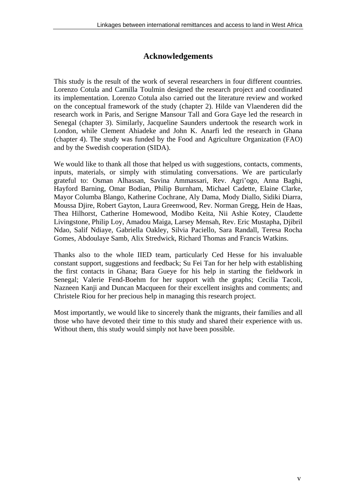# **Acknowledgements**

This study is the result of the work of several researchers in four different countries. Lorenzo Cotula and Camilla Toulmin designed the research project and coordinated its implementation. Lorenzo Cotula also carried out the literature review and worked on the conceptual framework of the study (chapter 2). Hilde van Vlaenderen did the research work in Paris, and Serigne Mansour Tall and Gora Gaye led the research in Senegal (chapter 3). Similarly, Jacqueline Saunders undertook the research work in London, while Clement Ahiadeke and John K. Anarfi led the research in Ghana (chapter 4). The study was funded by the Food and Agriculture Organization (FAO) and by the Swedish cooperation (SIDA).

We would like to thank all those that helped us with suggestions, contacts, comments, inputs, materials, or simply with stimulating conversations. We are particularly grateful to: Osman Alhassan, Savina Ammassari, Rev. Agri'ogo, Anna Baghi, Hayford Barning, Omar Bodian, Philip Burnham, Michael Cadette, Elaine Clarke, Mayor Columba Blango, Katherine Cochrane, Aly Dama, Mody Diallo, Sidiki Diarra, Moussa Djire, Robert Gayton, Laura Greenwood, Rev. Norman Gregg, Hein de Haas, Thea Hilhorst, Catherine Homewood, Modibo Keita, Nii Ashie Kotey, Claudette Livingstone, Philip Loy, Amadou Maiga, Larsey Mensah, Rev. Eric Mustapha, Djibril Ndao, Salif Ndiaye, Gabriella Oakley, Silvia Paciello, Sara Randall, Teresa Rocha Gomes, Abdoulaye Samb, Alix Stredwick, Richard Thomas and Francis Watkins.

Thanks also to the whole IIED team, particularly Ced Hesse for his invaluable constant support, suggestions and feedback; Su Fei Tan for her help with establishing the first contacts in Ghana; Bara Gueye for his help in starting the fieldwork in Senegal; Valerie Fend-Boehm for her support with the graphs; Cecilia Tacoli, Nazneen Kanji and Duncan Macqueen for their excellent insights and comments; and Christele Riou for her precious help in managing this research project.

Most importantly, we would like to sincerely thank the migrants, their families and all those who have devoted their time to this study and shared their experience with us. Without them, this study would simply not have been possible.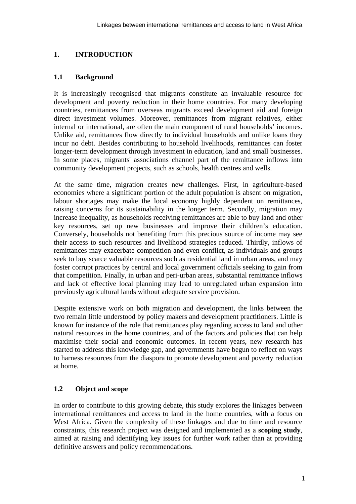# **1. INTRODUCTION**

# **1.1 Background**

It is increasingly recognised that migrants constitute an invaluable resource for development and poverty reduction in their home countries. For many developing countries, remittances from overseas migrants exceed development aid and foreign direct investment volumes. Moreover, remittances from migrant relatives, either internal or international, are often the main component of rural households' incomes. Unlike aid, remittances flow directly to individual households and unlike loans they incur no debt. Besides contributing to household livelihoods, remittances can foster longer-term development through investment in education, land and small businesses. In some places, migrants' associations channel part of the remittance inflows into community development projects, such as schools, health centres and wells.

At the same time, migration creates new challenges. First, in agriculture-based economies where a significant portion of the adult population is absent on migration, labour shortages may make the local economy highly dependent on remittances, raising concerns for its sustainability in the longer term. Secondly, migration may increase inequality, as households receiving remittances are able to buy land and other key resources, set up new businesses and improve their children's education. Conversely, households not benefiting from this precious source of income may see their access to such resources and livelihood strategies reduced. Thirdly, inflows of remittances may exacerbate competition and even conflict, as individuals and groups seek to buy scarce valuable resources such as residential land in urban areas, and may foster corrupt practices by central and local government officials seeking to gain from that competition. Finally, in urban and peri-urban areas, substantial remittance inflows and lack of effective local planning may lead to unregulated urban expansion into previously agricultural lands without adequate service provision.

Despite extensive work on both migration and development, the links between the two remain little understood by policy makers and development practitioners. Little is known for instance of the role that remittances play regarding access to land and other natural resources in the home countries, and of the factors and policies that can help maximise their social and economic outcomes. In recent years, new research has started to address this knowledge gap, and governments have begun to reflect on ways to harness resources from the diaspora to promote development and poverty reduction at home.

# **1.2 Object and scope**

In order to contribute to this growing debate, this study explores the linkages between international remittances and access to land in the home countries, with a focus on West Africa. Given the complexity of these linkages and due to time and resource constraints, this research project was designed and implemented as a **scoping study**, aimed at raising and identifying key issues for further work rather than at providing definitive answers and policy recommendations.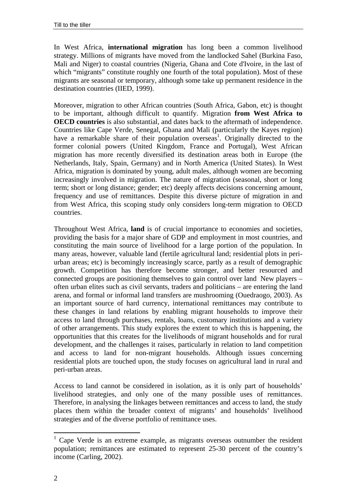In West Africa, **international migration** has long been a common livelihood strategy. Millions of migrants have moved from the landlocked Sahel (Burkina Faso, Mali and Niger) to coastal countries (Nigeria, Ghana and Cote d'Ivoire, in the last of which "migrants" constitute roughly one fourth of the total population). Most of these migrants are seasonal or temporary, although some take up permanent residence in the destination countries (IIED, 1999).

Moreover, migration to other African countries (South Africa, Gabon, etc) is thought to be important, although difficult to quantify. Migration **from West Africa to OECD countries** is also substantial, and dates back to the aftermath of independence. Countries like Cape Verde, Senegal, Ghana and Mali (particularly the Kayes region) have a remarkable share of their population overseas<sup>1</sup>. Originally directed to the former colonial powers (United Kingdom, France and Portugal), West African migration has more recently diversified its destination areas both in Europe (the Netherlands, Italy, Spain, Germany) and in North America (United States). In West Africa, migration is dominated by young, adult males, although women are becoming increasingly involved in migration. The nature of migration (seasonal, short or long term; short or long distance; gender; etc) deeply affects decisions concerning amount, frequency and use of remittances. Despite this diverse picture of migration in and from West Africa, this scoping study only considers long-term migration to OECD countries.

Throughout West Africa, **land** is of crucial importance to economies and societies, providing the basis for a major share of GDP and employment in most countries, and constituting the main source of livelihood for a large portion of the population. In many areas, however, valuable land (fertile agricultural land; residential plots in periurban areas; etc) is becomingly increasingly scarce, partly as a result of demographic growth. Competition has therefore become stronger, and better resourced and connected groups are positioning themselves to gain control over land New players – often urban elites such as civil servants, traders and politicians – are entering the land arena, and formal or informal land transfers are mushrooming (Ouedraogo, 2003). As an important source of hard currency, international remittances may contribute to these changes in land relations by enabling migrant households to improve their access to land through purchases, rentals, loans, customary institutions and a variety of other arrangements. This study explores the extent to which this is happening, the opportunities that this creates for the livelihoods of migrant households and for rural development, and the challenges it raises, particularly in relation to land competition and access to land for non-migrant households. Although issues concerning residential plots are touched upon, the study focuses on agricultural land in rural and peri-urban areas.

Access to land cannot be considered in isolation, as it is only part of households' livelihood strategies, and only one of the many possible uses of remittances. Therefore, in analysing the linkages between remittances and access to land, the study places them within the broader context of migrants' and households' livelihood strategies and of the diverse portfolio of remittance uses.

 $\overline{a}$ 

 $1$  Cape Verde is an extreme example, as migrants overseas outnumber the resident population; remittances are estimated to represent 25-30 percent of the country's income (Carling, 2002).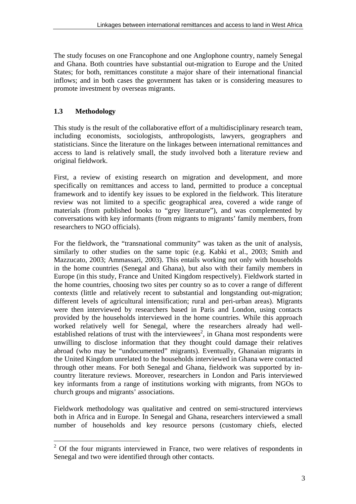The study focuses on one Francophone and one Anglophone country, namely Senegal and Ghana. Both countries have substantial out-migration to Europe and the United States; for both, remittances constitute a major share of their international financial inflows; and in both cases the government has taken or is considering measures to promote investment by overseas migrants.

# **1.3 Methodology**

This study is the result of the collaborative effort of a multidisciplinary research team, including economists, sociologists, anthropologists, lawyers, geographers and statisticians. Since the literature on the linkages between international remittances and access to land is relatively small, the study involved both a literature review and original fieldwork.

First, a review of existing research on migration and development, and more specifically on remittances and access to land, permitted to produce a conceptual framework and to identify key issues to be explored in the fieldwork. This literature review was not limited to a specific geographical area, covered a wide range of materials (from published books to "grey literature"), and was complemented by conversations with key informants (from migrants to migrants' family members, from researchers to NGO officials).

For the fieldwork, the "transnational community" was taken as the unit of analysis, similarly to other studies on the same topic (e.g. Kabki et al., 2003; Smith and Mazzucato, 2003; Ammassari, 2003). This entails working not only with households in the home countries (Senegal and Ghana), but also with their family members in Europe (in this study, France and United Kingdom respectively). Fieldwork started in the home countries, choosing two sites per country so as to cover a range of different contexts (little and relatively recent to substantial and longstanding out-migration; different levels of agricultural intensification; rural and peri-urban areas). Migrants were then interviewed by researchers based in Paris and London, using contacts provided by the households interviewed in the home countries. While this approach worked relatively well for Senegal, where the researchers already had wellestablished relations of trust with the interviewees<sup>2</sup>, in Ghana most respondents were unwilling to disclose information that they thought could damage their relatives abroad (who may be "undocumented" migrants). Eventually, Ghanaian migrants in the United Kingdom unrelated to the households interviewed in Ghana were contacted through other means. For both Senegal and Ghana, fieldwork was supported by incountry literature reviews. Moreover, researchers in London and Paris interviewed key informants from a range of institutions working with migrants, from NGOs to church groups and migrants' associations.

Fieldwork methodology was qualitative and centred on semi-structured interviews both in Africa and in Europe. In Senegal and Ghana, researchers interviewed a small number of households and key resource persons (customary chiefs, elected

<sup>&</sup>lt;sup>2</sup> Of the four migrants interviewed in France, two were relatives of respondents in Senegal and two were identified through other contacts.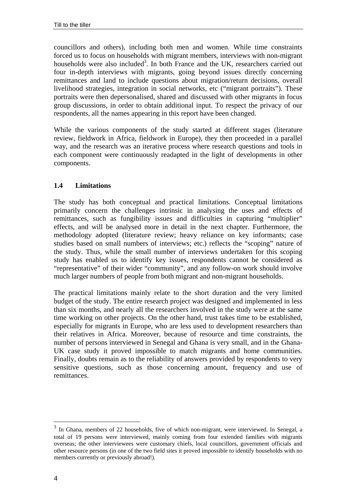councillors and others), including both men and women. While time constraints forced us to focus on households with migrant members, interviews with non-migrant households were also included<sup>3</sup>. In both France and the UK, researchers carried out four in-depth interviews with migrants, going beyond issues directly concerning remittances and land to include questions about migration/return decisions, overall livelihood strategies, integration in social networks, etc ("migrant portraits"). These portraits were then depersonalised, shared and discussed with other migrants in focus group discussions, in order to obtain additional input. To respect the privacy of our respondents, all the names appearing in this report have been changed.

While the various components of the study started at different stages (literature review, fieldwork in Africa, fieldwork in Europe), they then proceeded in a parallel way, and the research was an iterative process where research questions and tools in each component were continuously readapted in the light of developments in other components.

# **1.4 Limitations**

The study has both conceptual and practical limitations. Conceptual limitations primarily concern the challenges intrinsic in analysing the uses and effects of remittances, such as fungibility issues and difficulties in capturing "multiplier" effects, and will be analysed more in detail in the next chapter. Furthermore, the methodology adopted (literature review; heavy reliance on key informants; case studies based on small numbers of interviews; etc.) reflects the "scoping" nature of the study. Thus, while the small number of interviews undertaken for this scoping study has enabled us to identify key issues, respondents cannot be considered as "representative" of their wider "community", and any follow-on work should involve much larger numbers of people from both migrant and non-migrant households.

The practical limitations mainly relate to the short duration and the very limited budget of the study. The entire research project was designed and implemented in less than six months, and nearly all the researchers involved in the study were at the same time working on other projects. On the other hand, trust takes time to be established, especially for migrants in Europe, who are less used to development researchers than their relatives in Africa. Moreover, because of resource and time constraints, the number of persons interviewed in Senegal and Ghana is very small, and in the Ghana-UK case study it proved impossible to match migrants and home communities. Finally, doubts remain as to the reliability of answers provided by respondents to very sensitive questions, such as those concerning amount, frequency and use of remittances.

 $\overline{a}$ 

 $3\,$  In Ghana, members of 22 households, five of which non-migrant, were interviewed. In Senegal, a total of 19 persons were interviewed, mainly coming from four extended families with migrants overseas; the other interviewees were customary chiefs, local councillors, government officials and other resource persons (in one of the two field sites it proved impossible to identify households with no members currently or previously abroad!).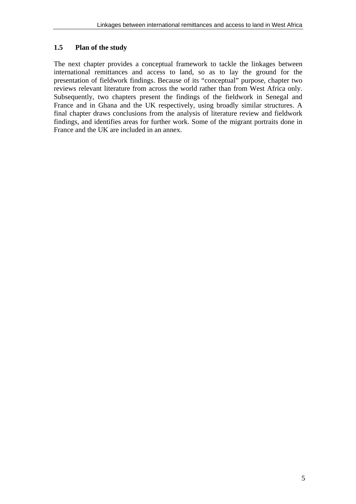# **1.5 Plan of the study**

The next chapter provides a conceptual framework to tackle the linkages between international remittances and access to land, so as to lay the ground for the presentation of fieldwork findings. Because of its "conceptual" purpose, chapter two reviews relevant literature from across the world rather than from West Africa only. Subsequently, two chapters present the findings of the fieldwork in Senegal and France and in Ghana and the UK respectively, using broadly similar structures. A final chapter draws conclusions from the analysis of literature review and fieldwork findings, and identifies areas for further work. Some of the migrant portraits done in France and the UK are included in an annex.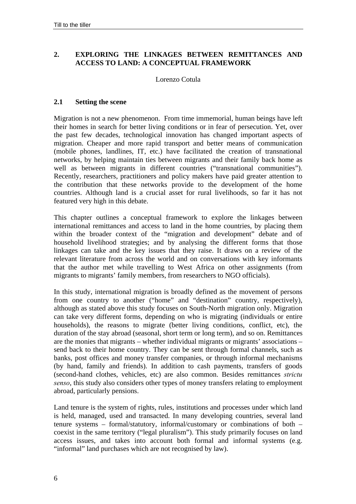# **2. EXPLORING THE LINKAGES BETWEEN REMITTANCES AND ACCESS TO LAND: A CONCEPTUAL FRAMEWORK**

## Lorenzo Cotula

#### **2.1 Setting the scene**

Migration is not a new phenomenon. From time immemorial, human beings have left their homes in search for better living conditions or in fear of persecution. Yet, over the past few decades, technological innovation has changed important aspects of migration. Cheaper and more rapid transport and better means of communication (mobile phones, landlines, IT, etc.) have facilitated the creation of transnational networks, by helping maintain ties between migrants and their family back home as well as between migrants in different countries ("transnational communities"). Recently, researchers, practitioners and policy makers have paid greater attention to the contribution that these networks provide to the development of the home countries. Although land is a crucial asset for rural livelihoods, so far it has not featured very high in this debate.

This chapter outlines a conceptual framework to explore the linkages between international remittances and access to land in the home countries, by placing them within the broader context of the "migration and development" debate and of household livelihood strategies; and by analysing the different forms that those linkages can take and the key issues that they raise. It draws on a review of the relevant literature from across the world and on conversations with key informants that the author met while travelling to West Africa on other assignments (from migrants to migrants' family members, from researchers to NGO officials).

In this study, international migration is broadly defined as the movement of persons from one country to another ("home" and "destination" country, respectively), although as stated above this study focuses on South-North migration only. Migration can take very different forms, depending on who is migrating (individuals or entire households), the reasons to migrate (better living conditions, conflict, etc), the duration of the stay abroad (seasonal, short term or long term), and so on. Remittances are the monies that migrants – whether individual migrants or migrants' associations – send back to their home country. They can be sent through formal channels, such as banks, post offices and money transfer companies, or through informal mechanisms (by hand, family and friends). In addition to cash payments, transfers of goods (second-hand clothes, vehicles, etc) are also common. Besides remittances *strictu senso*, this study also considers other types of money transfers relating to employment abroad, particularly pensions.

Land tenure is the system of rights, rules, institutions and processes under which land is held, managed, used and transacted. In many developing countries, several land tenure systems – formal/statutory, informal/customary or combinations of both – coexist in the same territory ("legal pluralism"). This study primarily focuses on land access issues, and takes into account both formal and informal systems (e.g. "informal" land purchases which are not recognised by law).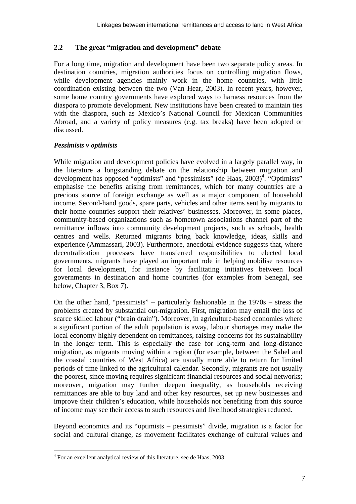# **2.2 The great "migration and development" debate**

For a long time, migration and development have been two separate policy areas. In destination countries, migration authorities focus on controlling migration flows, while development agencies mainly work in the home countries, with little coordination existing between the two (Van Hear, 2003). In recent years, however, some home country governments have explored ways to harness resources from the diaspora to promote development. New institutions have been created to maintain ties with the diaspora, such as Mexico's National Council for Mexican Communities Abroad, and a variety of policy measures (e.g. tax breaks) have been adopted or discussed.

# *Pessimists v optimists*

While migration and development policies have evolved in a largely parallel way, in the literature a longstanding debate on the relationship between migration and development has opposed "optimists" and "pessimists" (de Haas, 2003)<sup>4</sup>. "Optimists" emphasise the benefits arising from remittances, which for many countries are a precious source of foreign exchange as well as a major component of household income. Second-hand goods, spare parts, vehicles and other items sent by migrants to their home countries support their relatives' businesses. Moreover, in some places, community-based organizations such as hometown associations channel part of the remittance inflows into community development projects, such as schools, health centres and wells. Returned migrants bring back knowledge, ideas, skills and experience (Ammassari, 2003). Furthermore, anecdotal evidence suggests that, where decentralization processes have transferred responsibilities to elected local governments, migrants have played an important role in helping mobilise resources for local development, for instance by facilitating initiatives between local governments in destination and home countries (for examples from Senegal, see below, Chapter 3, Box 7).

On the other hand, "pessimists" – particularly fashionable in the 1970s – stress the problems created by substantial out-migration. First, migration may entail the loss of scarce skilled labour ("brain drain"). Moreover, in agriculture-based economies where a significant portion of the adult population is away, labour shortages may make the local economy highly dependent on remittances, raising concerns for its sustainability in the longer term. This is especially the case for long-term and long-distance migration, as migrants moving within a region (for example, between the Sahel and the coastal countries of West Africa) are usually more able to return for limited periods of time linked to the agricultural calendar. Secondly, migrants are not usually the poorest, since moving requires significant financial resources and social networks; moreover, migration may further deepen inequality, as households receiving remittances are able to buy land and other key resources, set up new businesses and improve their children's education, while households not benefiting from this source of income may see their access to such resources and livelihood strategies reduced.

Beyond economics and its "optimists – pessimists" divide, migration is a factor for social and cultural change, as movement facilitates exchange of cultural values and

 4 For an excellent analytical review of this literature, see de Haas, 2003.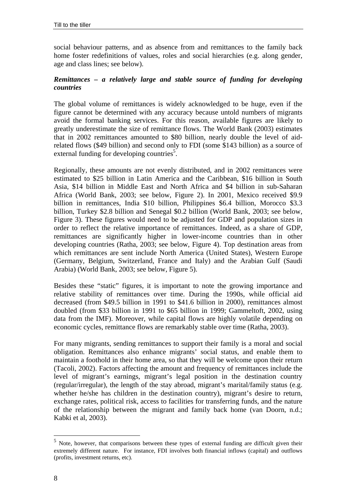social behaviour patterns, and as absence from and remittances to the family back home foster redefinitions of values, roles and social hierarchies (e.g. along gender, age and class lines; see below).

# *Remittances – a relatively large and stable source of funding for developing countries*

The global volume of remittances is widely acknowledged to be huge, even if the figure cannot be determined with any accuracy because untold numbers of migrants avoid the formal banking services. For this reason, available figures are likely to greatly underestimate the size of remittance flows. The World Bank (2003) estimates that in 2002 remittances amounted to \$80 billion, nearly double the level of aidrelated flows (\$49 billion) and second only to FDI (some \$143 billion) as a source of external funding for developing countries<sup>5</sup>.

Regionally, these amounts are not evenly distributed, and in 2002 remittances were estimated to \$25 billion in Latin America and the Caribbean, \$16 billion in South Asia, \$14 billion in Middle East and North Africa and \$4 billion in sub-Saharan Africa (World Bank, 2003; see below, Figure 2). In 2001, Mexico received \$9.9 billion in remittances, India \$10 billion, Philippines \$6.4 billion, Morocco \$3.3 billion, Turkey \$2.8 billion and Senegal \$0.2 billion (World Bank, 2003; see below, Figure 3). These figures would need to be adjusted for GDP and population sizes in order to reflect the relative importance of remittances. Indeed, as a share of GDP, remittances are significantly higher in lower-income countries than in other developing countries (Ratha, 2003; see below, Figure 4). Top destination areas from which remittances are sent include North America (United States), Western Europe (Germany, Belgium, Switzerland, France and Italy) and the Arabian Gulf (Saudi Arabia) (World Bank, 2003; see below, Figure 5).

Besides these "static" figures, it is important to note the growing importance and relative stability of remittances over time. During the 1990s, while official aid decreased (from \$49.5 billion in 1991 to \$41.6 billion in 2000), remittances almost doubled (from \$33 billion in 1991 to \$65 billion in 1999; Gammeltoft, 2002, using data from the IMF). Moreover, while capital flows are highly volatile depending on economic cycles, remittance flows are remarkably stable over time (Ratha, 2003).

For many migrants, sending remittances to support their family is a moral and social obligation. Remittances also enhance migrants' social status, and enable them to maintain a foothold in their home area, so that they will be welcome upon their return (Tacoli, 2002). Factors affecting the amount and frequency of remittances include the level of migrant's earnings, migrant's legal position in the destination country (regular/irregular), the length of the stay abroad, migrant's marital/family status (e.g. whether he/she has children in the destination country), migrant's desire to return, exchange rates, political risk, access to facilities for transferring funds, and the nature of the relationship between the migrant and family back home (van Doorn, n.d.; Kabki et al, 2003).

 $\overline{a}$ 

 $<sup>5</sup>$  Note, however, that comparisons between these types of external funding are difficult given their</sup> extremely different nature. For instance, FDI involves both financial inflows (capital) and outflows (profits, investment returns, etc).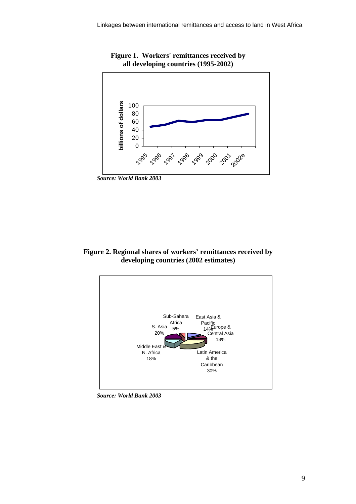

**Figure 1. Workers' remittances received by all developing countries (1995-2002)** 

**Figure 2. Regional shares of workers' remittances received by developing countries (2002 estimates)** 



*Source: World Bank 2003*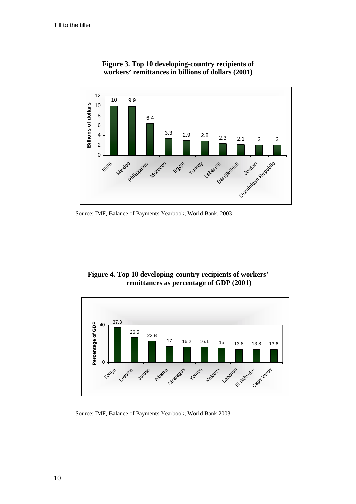

**Figure 3. Top 10 developing-country recipients of workers' remittances in billions of dollars (2001)** 

Source: IMF, Balance of Payments Yearbook; World Bank, 2003

**Figure 4. Top 10 developing-country recipients of workers' remittances as percentage of GDP (2001)** 



Source: IMF, Balance of Payments Yearbook; World Bank 2003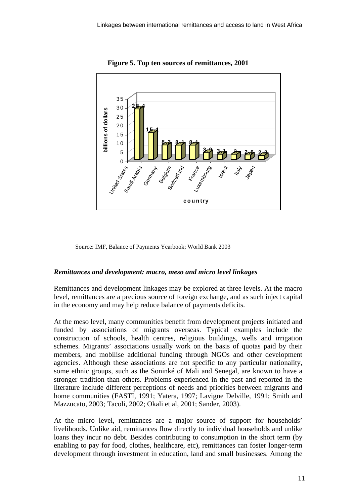

**Figure 5. Top ten sources of remittances, 2001** 

Source: IMF, Balance of Payments Yearbook; World Bank 2003

#### *Remittances and development: macro, meso and micro level linkages*

Remittances and development linkages may be explored at three levels. At the macro level, remittances are a precious source of foreign exchange, and as such inject capital in the economy and may help reduce balance of payments deficits.

At the meso level, many communities benefit from development projects initiated and funded by associations of migrants overseas. Typical examples include the construction of schools, health centres, religious buildings, wells and irrigation schemes. Migrants' associations usually work on the basis of quotas paid by their members, and mobilise additional funding through NGOs and other development agencies. Although these associations are not specific to any particular nationality, some ethnic groups, such as the Soninké of Mali and Senegal, are known to have a stronger tradition than others. Problems experienced in the past and reported in the literature include different perceptions of needs and priorities between migrants and home communities (FASTI, 1991; Yatera, 1997; Lavigne Delville, 1991; Smith and Mazzucato, 2003; Tacoli, 2002; Okali et al, 2001; Sander, 2003).

At the micro level, remittances are a major source of support for households' livelihoods. Unlike aid, remittances flow directly to individual households and unlike loans they incur no debt. Besides contributing to consumption in the short term (by enabling to pay for food, clothes, healthcare, etc), remittances can foster longer-term development through investment in education, land and small businesses. Among the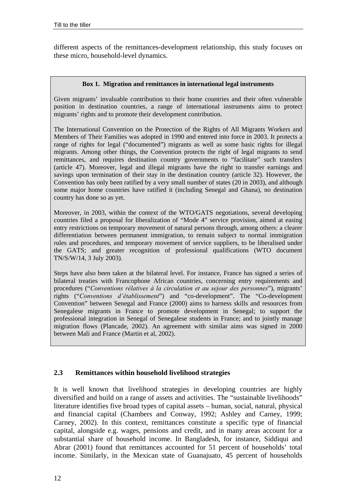different aspects of the remittances-development relationship, this study focuses on these micro, household-level dynamics.

#### **Box 1. Migration and remittances in international legal instruments**

Given migrants' invaluable contribution to their home countries and their often vulnerable position in destination countries, a range of international instruments aims to protect migrants' rights and to promote their development contribution.

The International Convention on the Protection of the Rights of All Migrants Workers and Members of Their Families was adopted in 1990 and entered into force in 2003. It protects a range of rights for legal ("documented") migrants as well as some basic rights for illegal migrants. Among other things, the Convention protects the right of legal migrants to send remittances, and requires destination country governments to "facilitate" such transfers (article 47). Moreover, legal and illegal migrants have the right to transfer earnings and savings upon termination of their stay in the destination country (article 32). However, the Convention has only been ratified by a very small number of states (20 in 2003), and although some major home countries have ratified it (including Senegal and Ghana), no destination country has done so as yet.

Moreover, in 2003, within the context of the WTO/GATS negotiations, several developing countries filed a proposal for liberalization of "Mode 4" service provision, aimed at easing entry restrictions on temporary movement of natural persons through, among others: a clearer differentiation between permanent immigration, to remain subject to normal immigration rules and procedures, and temporary movement of service suppliers, to be liberalised under the GATS; and greater recognition of professional qualifications (WTO document TN/S/W/14, 3 July 2003).

Steps have also been taken at the bilateral level. For instance, France has signed a series of bilateral treaties with Francophone African countries, concerning entry requirements and procedures ("*Conventions rélatives à la circulation et au sejour des personnes*"), migrants' rights ("Conventions d'établissement") and "co-development". The "Co-development Convention" between Senegal and France (2000) aims to harness skills and resources from Senegalese migrants in France to promote development in Senegal; to support the professional integration in Senegal of Senegalese students in France; and to jointly manage migration flows (Plancade, 2002). An agreement with similar aims was signed in 2000 between Mali and France (Martin et al, 2002).

# **2.3 Remittances within household livelihood strategies**

It is well known that livelihood strategies in developing countries are highly diversified and build on a range of assets and activities. The "sustainable livelihoods" literature identifies five broad types of capital assets – human, social, natural, physical and financial capital (Chambers and Conway, 1992; Ashley and Carney, 1999; Carney, 2002). In this context, remittances constitute a specific type of financial capital, alongside e.g. wages, pensions and credit, and in many areas account for a substantial share of household income. In Bangladesh, for instance, Siddiqui and Abrar (2001) found that remittances accounted for 51 percent of households' total income. Similarly, in the Mexican state of Guanajuato, 45 percent of households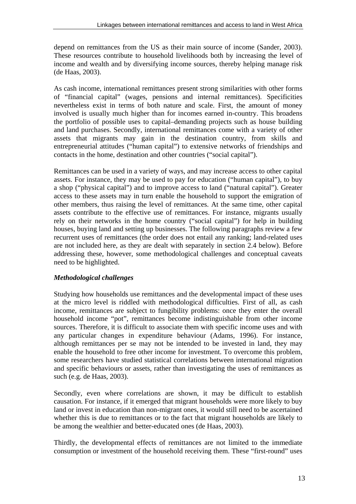depend on remittances from the US as their main source of income (Sander, 2003). These resources contribute to household livelihoods both by increasing the level of income and wealth and by diversifying income sources, thereby helping manage risk (de Haas, 2003).

As cash income, international remittances present strong similarities with other forms of "financial capital" (wages, pensions and internal remittances). Specificities nevertheless exist in terms of both nature and scale. First, the amount of money involved is usually much higher than for incomes earned in-country. This broadens the portfolio of possible uses to capital–demanding projects such as house building and land purchases. Secondly, international remittances come with a variety of other assets that migrants may gain in the destination country, from skills and entrepreneurial attitudes ("human capital") to extensive networks of friendships and contacts in the home, destination and other countries ("social capital").

Remittances can be used in a variety of ways, and may increase access to other capital assets. For instance, they may be used to pay for education ("human capital"), to buy a shop ("physical capital") and to improve access to land ("natural capital"). Greater access to these assets may in turn enable the household to support the emigration of other members, thus raising the level of remittances. At the same time, other capital assets contribute to the effective use of remittances. For instance, migrants usually rely on their networks in the home country ("social capital") for help in building houses, buying land and setting up businesses. The following paragraphs review a few recurrent uses of remittances (the order does not entail any ranking; land-related uses are not included here, as they are dealt with separately in section 2.4 below). Before addressing these, however, some methodological challenges and conceptual caveats need to be highlighted.

# *Methodological challenges*

Studying how households use remittances and the developmental impact of these uses at the micro level is riddled with methodological difficulties. First of all, as cash income, remittances are subject to fungibility problems: once they enter the overall household income "pot", remittances become indistinguishable from other income sources. Therefore, it is difficult to associate them with specific income uses and with any particular changes in expenditure behaviour (Adams, 1996). For instance, although remittances per se may not be intended to be invested in land, they may enable the household to free other income for investment. To overcome this problem, some researchers have studied statistical correlations between international migration and specific behaviours or assets, rather than investigating the uses of remittances as such (e.g. de Haas, 2003).

Secondly, even where correlations are shown, it may be difficult to establish causation. For instance, if it emerged that migrant households were more likely to buy land or invest in education than non-migrant ones, it would still need to be ascertained whether this is due to remittances or to the fact that migrant households are likely to be among the wealthier and better-educated ones (de Haas, 2003).

Thirdly, the developmental effects of remittances are not limited to the immediate consumption or investment of the household receiving them. These "first-round" uses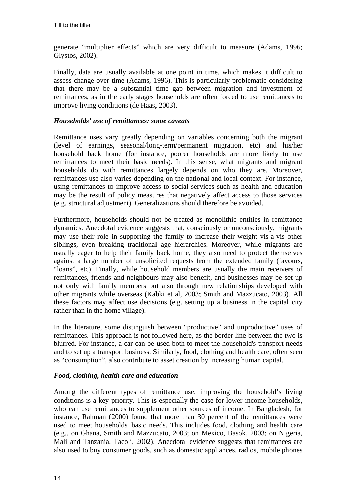generate "multiplier effects" which are very difficult to measure (Adams, 1996; Glystos, 2002).

Finally, data are usually available at one point in time, which makes it difficult to assess change over time (Adams, 1996). This is particularly problematic considering that there may be a substantial time gap between migration and investment of remittances, as in the early stages households are often forced to use remittances to improve living conditions (de Haas, 2003).

#### *Households' use of remittances: some caveats*

Remittance uses vary greatly depending on variables concerning both the migrant (level of earnings, seasonal/long-term/permanent migration, etc) and his/her household back home (for instance, poorer households are more likely to use remittances to meet their basic needs). In this sense, what migrants and migrant households do with remittances largely depends on who they are. Moreover, remittances use also varies depending on the national and local context. For instance, using remittances to improve access to social services such as health and education may be the result of policy measures that negatively affect access to those services (e.g. structural adjustment). Generalizations should therefore be avoided.

Furthermore, households should not be treated as monolithic entities in remittance dynamics. Anecdotal evidence suggests that, consciously or unconsciously, migrants may use their role in supporting the family to increase their weight vis-a-vis other siblings, even breaking traditional age hierarchies. Moreover, while migrants are usually eager to help their family back home, they also need to protect themselves against a large number of unsolicited requests from the extended family (favours, "loans", etc). Finally, while household members are usually the main receivers of remittances, friends and neighbours may also benefit, and businesses may be set up not only with family members but also through new relationships developed with other migrants while overseas (Kabki et al, 2003; Smith and Mazzucato, 2003). All these factors may affect use decisions (e.g. setting up a business in the capital city rather than in the home village).

In the literature, some distinguish between "productive" and unproductive" uses of remittances. This approach is not followed here, as the border line between the two is blurred. For instance, a car can be used both to meet the household's transport needs and to set up a transport business. Similarly, food, clothing and health care, often seen as "consumption", also contribute to asset creation by increasing human capital.

#### *Food, clothing, health care and education*

Among the different types of remittance use, improving the household's living conditions is a key priority. This is especially the case for lower income households, who can use remittances to supplement other sources of income. In Bangladesh, for instance, Rahman (2000) found that more than 30 percent of the remittances were used to meet households' basic needs. This includes food, clothing and health care (e.g., on Ghana, Smith and Mazzucato, 2003; on Mexico, Basok, 2003; on Nigeria, Mali and Tanzania, Tacoli, 2002). Anecdotal evidence suggests that remittances are also used to buy consumer goods, such as domestic appliances, radios, mobile phones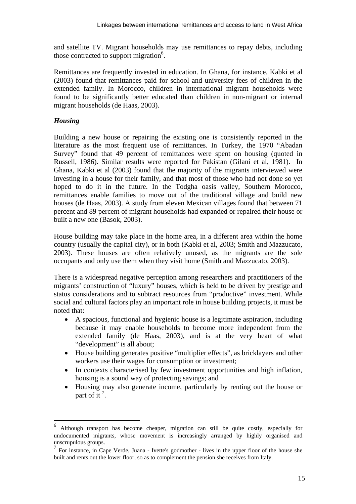and satellite TV. Migrant households may use remittances to repay debts, including those contracted to support migration $6$ .

Remittances are frequently invested in education. In Ghana, for instance, Kabki et al (2003) found that remittances paid for school and university fees of children in the extended family. In Morocco, children in international migrant households were found to be significantly better educated than children in non-migrant or internal migrant households (de Haas, 2003).

# *Housing*

 $\overline{a}$ 

Building a new house or repairing the existing one is consistently reported in the literature as the most frequent use of remittances. In Turkey, the 1970 "Abadan Survey" found that 49 percent of remittances were spent on housing (quoted in Russell, 1986). Similar results were reported for Pakistan (Gilani et al, 1981). In Ghana, Kabki et al (2003) found that the majority of the migrants interviewed were investing in a house for their family, and that most of those who had not done so yet hoped to do it in the future. In the Todgha oasis valley, Southern Morocco, remittances enable families to move out of the traditional village and build new houses (de Haas, 2003). A study from eleven Mexican villages found that between 71 percent and 89 percent of migrant households had expanded or repaired their house or built a new one (Basok, 2003).

House building may take place in the home area, in a different area within the home country (usually the capital city), or in both (Kabki et al, 2003; Smith and Mazzucato, 2003). These houses are often relatively unused, as the migrants are the sole occupants and only use them when they visit home (Smith and Mazzucato, 2003).

There is a widespread negative perception among researchers and practitioners of the migrants' construction of "luxury" houses, which is held to be driven by prestige and status considerations and to subtract resources from "productive" investment. While social and cultural factors play an important role in house building projects, it must be noted that:

- A spacious, functional and hygienic house is a legitimate aspiration, including because it may enable households to become more independent from the extended family (de Haas, 2003), and is at the very heart of what "development" is all about;
- House building generates positive "multiplier effects", as bricklayers and other workers use their wages for consumption or investment;
- In contexts characterised by few investment opportunities and high inflation, housing is a sound way of protecting savings; and
- Housing may also generate income, particularly by renting out the house or part of it<sup>7</sup>.

<sup>6</sup> Although transport has become cheaper, migration can still be quite costly, especially for undocumented migrants, whose movement is increasingly arranged by highly organised and unscrupulous groups.

 $<sup>7</sup>$  For instance, in Cape Verde, Juana - Ivette's godmother - lives in the upper floor of the house she</sup> built and rents out the lower floor, so as to complement the pension she receives from Italy.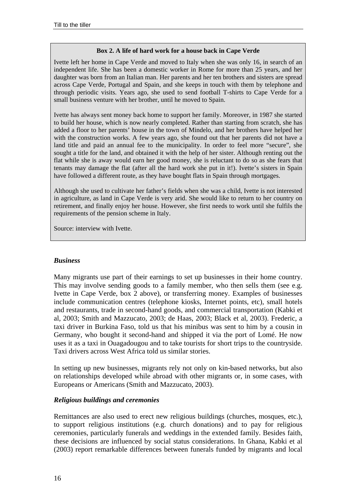#### **Box 2. A life of hard work for a house back in Cape Verde**

Ivette left her home in Cape Verde and moved to Italy when she was only 16, in search of an independent life. She has been a domestic worker in Rome for more than 25 years, and her daughter was born from an Italian man. Her parents and her ten brothers and sisters are spread across Cape Verde, Portugal and Spain, and she keeps in touch with them by telephone and through periodic visits. Years ago, she used to send football T-shirts to Cape Verde for a small business venture with her brother, until he moved to Spain.

Ivette has always sent money back home to support her family. Moreover, in 1987 she started to build her house, which is now nearly completed. Rather than starting from scratch, she has added a floor to her parents' house in the town of Mindelo, and her brothers have helped her with the construction works. A few years ago, she found out that her parents did not have a land title and paid an annual fee to the municipality. In order to feel more "secure", she sought a title for the land, and obtained it with the help of her sister. Although renting out the flat while she is away would earn her good money, she is reluctant to do so as she fears that tenants may damage the flat (after all the hard work she put in it!). Ivette's sisters in Spain have followed a different route, as they have bought flats in Spain through mortgages.

Although she used to cultivate her father's fields when she was a child, Ivette is not interested in agriculture, as land in Cape Verde is very arid. She would like to return to her country on retirement, and finally enjoy her house. However, she first needs to work until she fulfils the requirements of the pension scheme in Italy.

Source: interview with Ivette.

#### *Business*

Many migrants use part of their earnings to set up businesses in their home country. This may involve sending goods to a family member, who then sells them (see e.g. Ivette in Cape Verde, box 2 above), or transferring money. Examples of businesses include communication centres (telephone kiosks, Internet points, etc), small hotels and restaurants, trade in second-hand goods, and commercial transportation (Kabki et al, 2003; Smith and Mazzucato, 2003; de Haas, 2003; Black et al, 2003). Frederic, a taxi driver in Burkina Faso, told us that his minibus was sent to him by a cousin in Germany, who bought it second-hand and shipped it via the port of Lomé. He now uses it as a taxi in Ouagadougou and to take tourists for short trips to the countryside. Taxi drivers across West Africa told us similar stories.

In setting up new businesses, migrants rely not only on kin-based networks, but also on relationships developed while abroad with other migrants or, in some cases, with Europeans or Americans (Smith and Mazzucato, 2003).

#### *Religious buildings and ceremonies*

Remittances are also used to erect new religious buildings (churches, mosques, etc.), to support religious institutions (e.g. church donations) and to pay for religious ceremonies, particularly funerals and weddings in the extended family. Besides faith, these decisions are influenced by social status considerations. In Ghana, Kabki et al (2003) report remarkable differences between funerals funded by migrants and local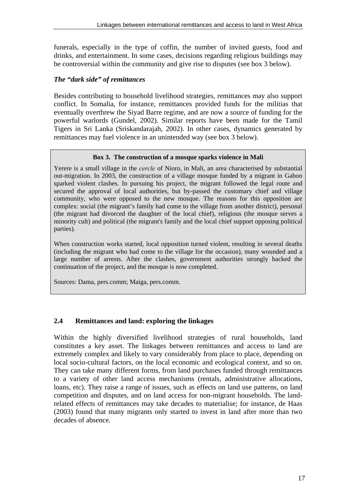funerals, especially in the type of coffin, the number of invited guests, food and drinks, and entertainment. In some cases, decisions regarding religious buildings may be controversial within the community and give rise to disputes (see box 3 below).

# *The "dark side" of remittances*

Besides contributing to household livelihood strategies, remittances may also support conflict. In Somalia, for instance, remittances provided funds for the militias that eventually overthrew the Siyad Barre regime, and are now a source of funding for the powerful warlords (Gundel, 2002). Similar reports have been made for the Tamil Tigers in Sri Lanka (Sriskandarajah, 2002). In other cases, dynamics generated by remittances may fuel violence in an unintended way (see box 3 below).

#### **Box 3. The construction of a mosque sparks violence in Mali**

Yerere is a small village in the *cercle* of Nioro, in Mali, an area characterised by substantial out-migration. In 2003, the construction of a village mosque funded by a migrant in Gabon sparked violent clashes. In pursuing his project, the migrant followed the legal route and secured the approval of local authorities, but by-passed the customary chief and village community, who were opposed to the new mosque. The reasons for this opposition are complex: social (the migrant's family had come to the village from another district), personal (the migrant had divorced the daughter of the local chief), religious (the mosque serves a minority cult) and political (the migrant's family and the local chief support opposing political parties).

When construction works started, local opposition turned violent, resulting in several deaths (including the migrant who had come to the village for the occasion), many wounded and a large number of arrests. After the clashes, government authorities strongly backed the continuation of the project, and the mosque is now completed.

Sources: Dama, pers.comm; Maiga, pers.comm.

# **2.4 Remittances and land: exploring the linkages**

Within the highly diversified livelihood strategies of rural households, land constitutes a key asset. The linkages between remittances and access to land are extremely complex and likely to vary considerably from place to place, depending on local socio-cultural factors, on the local economic and ecological context, and so on. They can take many different forms, from land purchases funded through remittances to a variety of other land access mechanisms (rentals, administrative allocations, loans, etc). They raise a range of issues, such as effects on land use patterns, on land competition and disputes, and on land access for non-migrant households. The landrelated effects of remittances may take decades to materialise; for instance, de Haas (2003) found that many migrants only started to invest in land after more than two decades of absence.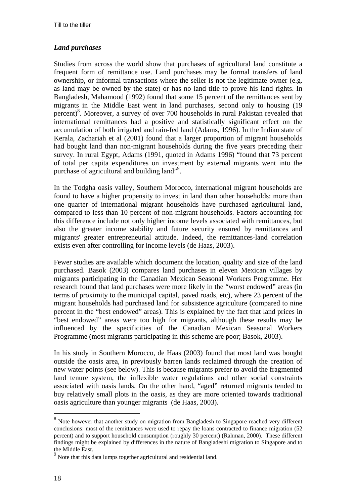# *Land purchases*

Studies from across the world show that purchases of agricultural land constitute a frequent form of remittance use. Land purchases may be formal transfers of land ownership, or informal transactions where the seller is not the legitimate owner (e.g. as land may be owned by the state) or has no land title to prove his land rights. In Bangladesh, Mahamood (1992) found that some 15 percent of the remittances sent by migrants in the Middle East went in land purchases, second only to housing (19 percent)<sup>8</sup>. Moreover, a survey of over 700 households in rural Pakistan revealed that international remittances had a positive and statistically significant effect on the accumulation of both irrigated and rain-fed land (Adams, 1996). In the Indian state of Kerala, Zachariah et al (2001) found that a larger proportion of migrant households had bought land than non-migrant households during the five years preceding their survey. In rural Egypt, Adams (1991, quoted in Adams 1996) "found that 73 percent of total per capita expenditures on investment by external migrants went into the purchase of agricultural and building land"<sup>9</sup>.

In the Todgha oasis valley, Southern Morocco, international migrant households are found to have a higher propensity to invest in land than other households: more than one quarter of international migrant households have purchased agricultural land, compared to less than 10 percent of non-migrant households. Factors accounting for this difference include not only higher income levels associated with remittances, but also the greater income stability and future security ensured by remittances and migrants' greater entrepreneurial attitude. Indeed, the remittances-land correlation exists even after controlling for income levels (de Haas, 2003).

Fewer studies are available which document the location, quality and size of the land purchased. Basok (2003) compares land purchases in eleven Mexican villages by migrants participating in the Canadian Mexican Seasonal Workers Programme. Her research found that land purchases were more likely in the "worst endowed" areas (in terms of proximity to the municipal capital, paved roads, etc), where 23 percent of the migrant households had purchased land for subsistence agriculture (compared to nine percent in the "best endowed" areas). This is explained by the fact that land prices in "best endowed" areas were too high for migrants, although these results may be influenced by the specificities of the Canadian Mexican Seasonal Workers Programme (most migrants participating in this scheme are poor; Basok, 2003).

In his study in Southern Morocco, de Haas (2003) found that most land was bought outside the oasis area, in previously barren lands reclaimed through the creation of new water points (see below). This is because migrants prefer to avoid the fragmented land tenure system, the inflexible water regulations and other social constraints associated with oasis lands. On the other hand, "aged" returned migrants tended to buy relatively small plots in the oasis, as they are more oriented towards traditional oasis agriculture than younger migrants (de Haas, 2003).

<sup>&</sup>lt;sup>8</sup><br>Note however that another study on migration from Bangladesh to Singapore reached very different conclusions: most of the remittances were used to repay the loans contracted to finance migration (52 percent) and to support household consumption (roughly 30 percent) (Rahman, 2000). These different findings might be explained by differences in the nature of Bangladeshi migration to Singapore and to the Middle East.

 $9<sup>9</sup>$  Note that this data lumps together agricultural and residential land.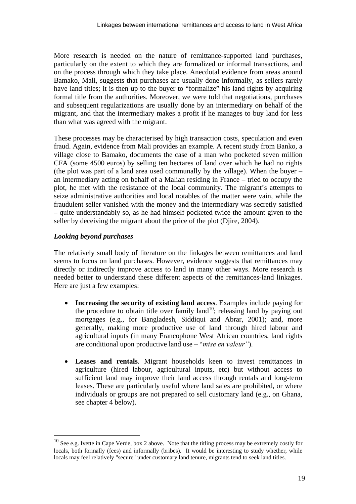More research is needed on the nature of remittance-supported land purchases, particularly on the extent to which they are formalized or informal transactions, and on the process through which they take place. Anecdotal evidence from areas around Bamako, Mali, suggests that purchases are usually done informally, as sellers rarely have land titles; it is then up to the buyer to "formalize" his land rights by acquiring formal title from the authorities. Moreover, we were told that negotiations, purchases and subsequent regularizations are usually done by an intermediary on behalf of the migrant, and that the intermediary makes a profit if he manages to buy land for less than what was agreed with the migrant.

These processes may be characterised by high transaction costs, speculation and even fraud. Again, evidence from Mali provides an example. A recent study from Banko, a village close to Bamako, documents the case of a man who pocketed seven million CFA (some 4500 euros) by selling ten hectares of land over which he had no rights (the plot was part of a land area used communally by the village). When the buyer – an intermediary acting on behalf of a Malian residing in France – tried to occupy the plot, he met with the resistance of the local community. The migrant's attempts to seize administrative authorities and local notables of the matter were vain, while the fraudulent seller vanished with the money and the intermediary was secretly satisfied – quite understandably so, as he had himself pocketed twice the amount given to the seller by deceiving the migrant about the price of the plot (Djire, 2004).

# *Looking beyond purchases*

 $\overline{a}$ 

The relatively small body of literature on the linkages between remittances and land seems to focus on land purchases. However, evidence suggests that remittances may directly or indirectly improve access to land in many other ways. More research is needed better to understand these different aspects of the remittances-land linkages. Here are just a few examples:

- **Increasing the security of existing land access**. Examples include paying for the procedure to obtain title over family land<sup>10</sup>; releasing land by paying out mortgages (e.g., for Bangladesh, Siddiqui and Abrar, 2001); and, more generally, making more productive use of land through hired labour and agricultural inputs (in many Francophone West African countries, land rights are conditional upon productive land use – "*mise en valeurî*).
- **Leases and rentals**. Migrant households keen to invest remittances in agriculture (hired labour, agricultural inputs, etc) but without access to sufficient land may improve their land access through rentals and long-term leases. These are particularly useful where land sales are prohibited, or where individuals or groups are not prepared to sell customary land (e.g., on Ghana, see chapter 4 below).

 $10$  See e.g. Ivette in Cape Verde, box 2 above. Note that the titling process may be extremely costly for locals, both formally (fees) and informally (bribes). It would be interesting to study whether, while locals may feel relatively "secure" under customary land tenure, migrants tend to seek land titles.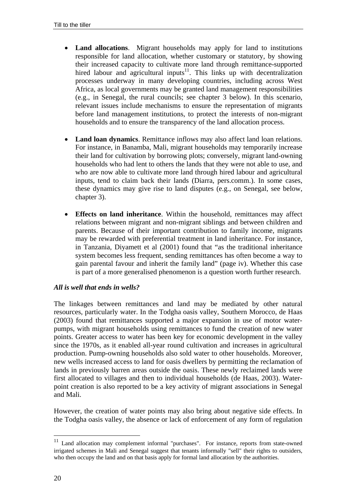- **Land allocations.** Migrant households may apply for land to institutions responsible for land allocation, whether customary or statutory, by showing their increased capacity to cultivate more land through remittance-supported hired labour and agricultural inputs<sup>11</sup>. This links up with decentralization processes underway in many developing countries, including across West Africa, as local governments may be granted land management responsibilities (e.g., in Senegal, the rural councils; see chapter 3 below). In this scenario, relevant issues include mechanisms to ensure the representation of migrants before land management institutions, to protect the interests of non-migrant households and to ensure the transparency of the land allocation process.
- **Land loan dynamics**. Remittance inflows may also affect land loan relations. For instance, in Banamba, Mali, migrant households may temporarily increase their land for cultivation by borrowing plots; conversely, migrant land-owning households who had lent to others the lands that they were not able to use, and who are now able to cultivate more land through hired labour and agricultural inputs, tend to claim back their lands (Diarra, pers.comm.). In some cases, these dynamics may give rise to land disputes (e.g., on Senegal, see below, chapter 3).
- **Effects on land inheritance**. Within the household, remittances may affect relations between migrant and non-migrant siblings and between children and parents. Because of their important contribution to family income, migrants may be rewarded with preferential treatment in land inheritance. For instance, in Tanzania, Diyamett et al (2001) found that "as the traditional inheritance system becomes less frequent, sending remittances has often become a way to gain parental favour and inherit the family land" (page iv). Whether this case is part of a more generalised phenomenon is a question worth further research.

# *All is well that ends in wells?*

The linkages between remittances and land may be mediated by other natural resources, particularly water. In the Todgha oasis valley, Southern Morocco, de Haas (2003) found that remittances supported a major expansion in use of motor waterpumps, with migrant households using remittances to fund the creation of new water points. Greater access to water has been key for economic development in the valley since the 1970s, as it enabled all-year round cultivation and increases in agricultural production. Pump-owning households also sold water to other households. Moreover, new wells increased access to land for oasis dwellers by permitting the reclamation of lands in previously barren areas outside the oasis. These newly reclaimed lands were first allocated to villages and then to individual households (de Haas, 2003). Waterpoint creation is also reported to be a key activity of migrant associations in Senegal and Mali.

However, the creation of water points may also bring about negative side effects. In the Todgha oasis valley, the absence or lack of enforcement of any form of regulation

 $\overline{a}$ 

 $11$  Land allocation may complement informal "purchases". For instance, reports from state-owned irrigated schemes in Mali and Senegal suggest that tenants informally "sell" their rights to outsiders, who then occupy the land and on that basis apply for formal land allocation by the authorities.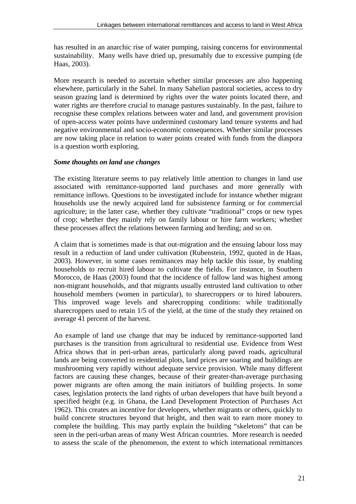has resulted in an anarchic rise of water pumping, raising concerns for environmental sustainability. Many wells have dried up, presumably due to excessive pumping (de Haas, 2003).

More research is needed to ascertain whether similar processes are also happening elsewhere, particularly in the Sahel. In many Sahelian pastoral societies, access to dry season grazing land is determined by rights over the water points located there, and water rights are therefore crucial to manage pastures sustainably. In the past, failure to recognise these complex relations between water and land, and government provision of open-access water points have undermined customary land tenure systems and had negative environmental and socio-economic consequences. Whether similar processes are now taking place in relation to water points created with funds from the diaspora is a question worth exploring.

# *Some thoughts on land use changes*

The existing literature seems to pay relatively little attention to changes in land use associated with remittance-supported land purchases and more generally with remittance inflows. Questions to be investigated include for instance whether migrant households use the newly acquired land for subsistence farming or for commercial agriculture; in the latter case, whether they cultivate "traditional" crops or new types of crop; whether they mainly rely on family labour or hire farm workers; whether these processes affect the relations between farming and herding; and so on.

A claim that is sometimes made is that out-migration and the ensuing labour loss may result in a reduction of land under cultivation (Rubenstein, 1992, quoted in de Haas, 2003). However, in some cases remittances may help tackle this issue, by enabling households to recruit hired labour to cultivate the fields. For instance, in Southern Morocco, de Haas (2003) found that the incidence of fallow land was highest among non-migrant households, and that migrants usually entrusted land cultivation to other household members (women in particular), to sharecroppers or to hired labourers. This improved wage levels and sharecropping conditions: while traditionally sharecroppers used to retain 1/5 of the yield, at the time of the study they retained on average 41 percent of the harvest.

An example of land use change that may be induced by remittance-supported land purchases is the transition from agricultural to residential use. Evidence from West Africa shows that in peri-urban areas, particularly along paved roads, agricultural lands are being converted to residential plots, land prices are soaring and buildings are mushrooming very rapidly without adequate service provision. While many different factors are causing these changes, because of their greater-than-average purchasing power migrants are often among the main initiators of building projects. In some cases, legislation protects the land rights of urban developers that have built beyond a specified height (e.g. in Ghana, the Land Development Protection of Purchases Act 1962). This creates an incentive for developers, whether migrants or others, quickly to build concrete structures beyond that height, and then wait to earn more money to complete the building. This may partly explain the building "skeletons" that can be seen in the peri-urban areas of many West African countries. More research is needed to assess the scale of the phenomenon, the extent to which international remittances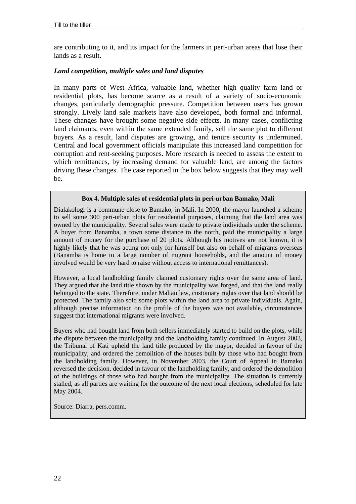are contributing to it, and its impact for the farmers in peri-urban areas that lose their lands as a result.

#### *Land competition, multiple sales and land disputes*

In many parts of West Africa, valuable land, whether high quality farm land or residential plots, has become scarce as a result of a variety of socio-economic changes, particularly demographic pressure. Competition between users has grown strongly. Lively land sale markets have also developed, both formal and informal. These changes have brought some negative side effects. In many cases, conflicting land claimants, even within the same extended family, sell the same plot to different buyers. As a result, land disputes are growing, and tenure security is undermined. Central and local government officials manipulate this increased land competition for corruption and rent-seeking purposes. More research is needed to assess the extent to which remittances, by increasing demand for valuable land, are among the factors driving these changes. The case reported in the box below suggests that they may well be.

#### **Box 4. Multiple sales of residential plots in peri-urban Bamako, Mali**

Dialakologi is a commune close to Bamako, in Mali. In 2000, the mayor launched a scheme to sell some 300 peri-urban plots for residential purposes, claiming that the land area was owned by the municipality. Several sales were made to private individuals under the scheme. A buyer from Banamba, a town some distance to the north, paid the municipality a large amount of money for the purchase of 20 plots. Although his motives are not known, it is highly likely that he was acting not only for himself but also on behalf of migrants overseas (Banamba is home to a large number of migrant households, and the amount of money involved would be very hard to raise without access to international remittances).

However, a local landholding family claimed customary rights over the same area of land. They argued that the land title shown by the municipality was forged, and that the land really belonged to the state. Therefore, under Malian law, customary rights over that land should be protected. The family also sold some plots within the land area to private individuals. Again, although precise information on the profile of the buyers was not available, circumstances suggest that international migrants were involved.

Buyers who had bought land from both sellers immediately started to build on the plots, while the dispute between the municipality and the landholding family continued. In August 2003, the Tribunal of Kati upheld the land title produced by the mayor, decided in favour of the municipality, and ordered the demolition of the houses built by those who had bought from the landholding family. However, in November 2003, the Court of Appeal in Bamako reversed the decision, decided in favour of the landholding family, and ordered the demolition of the buildings of those who had bought from the municipality. The situation is currently stalled, as all parties are waiting for the outcome of the next local elections, scheduled for late May 2004.

Source: Diarra, pers.comm.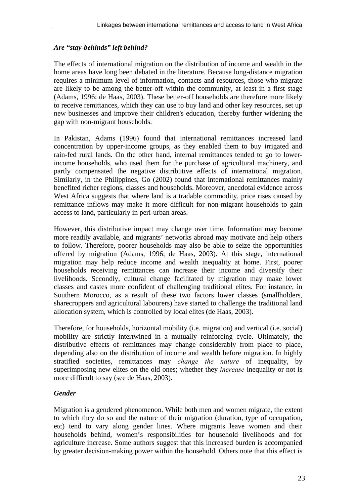# *Are "stay-behinds" left behind?*

The effects of international migration on the distribution of income and wealth in the home areas have long been debated in the literature. Because long-distance migration requires a minimum level of information, contacts and resources, those who migrate are likely to be among the better-off within the community, at least in a first stage (Adams, 1996; de Haas, 2003). These better-off households are therefore more likely to receive remittances, which they can use to buy land and other key resources, set up new businesses and improve their children's education, thereby further widening the gap with non-migrant households.

In Pakistan, Adams (1996) found that international remittances increased land concentration by upper-income groups, as they enabled them to buy irrigated and rain-fed rural lands. On the other hand, internal remittances tended to go to lowerincome households, who used them for the purchase of agricultural machinery, and partly compensated the negative distributive effects of international migration. Similarly, in the Philippines, Go (2002) found that international remittances mainly benefited richer regions, classes and households. Moreover, anecdotal evidence across West Africa suggests that where land is a tradable commodity, price rises caused by remittance inflows may make it more difficult for non-migrant households to gain access to land, particularly in peri-urban areas.

However, this distributive impact may change over time. Information may become more readily available, and migrants' networks abroad may motivate and help others to follow. Therefore, poorer households may also be able to seize the opportunities offered by migration (Adams, 1996; de Haas, 2003). At this stage, international migration may help reduce income and wealth inequality at home. First, poorer households receiving remittances can increase their income and diversify their livelihoods. Secondly, cultural change facilitated by migration may make lower classes and castes more confident of challenging traditional elites. For instance, in Southern Morocco, as a result of these two factors lower classes (smallholders, sharecroppers and agricultural labourers) have started to challenge the traditional land allocation system, which is controlled by local elites (de Haas, 2003).

Therefore, for households, horizontal mobility (i.e. migration) and vertical (i.e. social) mobility are strictly intertwined in a mutually reinforcing cycle. Ultimately, the distributive effects of remittances may change considerably from place to place, depending also on the distribution of income and wealth before migration. In highly stratified societies, remittances may *change the nature* of inequality, by superimposing new elites on the old ones; whether they *increase* inequality or not is more difficult to say (see de Haas, 2003).

# *Gender*

Migration is a gendered phenomenon. While both men and women migrate, the extent to which they do so and the nature of their migration (duration, type of occupation, etc) tend to vary along gender lines. Where migrants leave women and their households behind, women's responsibilities for household livelihoods and for agriculture increase. Some authors suggest that this increased burden is accompanied by greater decision-making power within the household. Others note that this effect is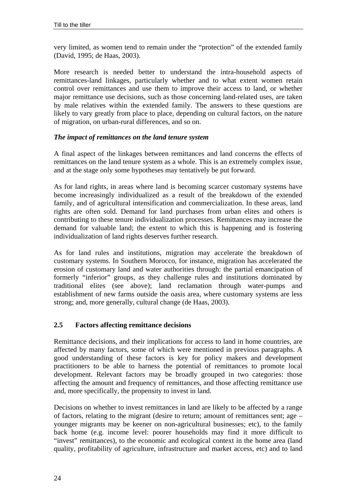very limited, as women tend to remain under the "protection" of the extended family (David, 1995; de Haas, 2003).

More research is needed better to understand the intra-household aspects of remittances-land linkages, particularly whether and to what extent women retain control over remittances and use them to improve their access to land, or whether major remittance use decisions, such as those concerning land-related uses, are taken by male relatives within the extended family. The answers to these questions are likely to vary greatly from place to place, depending on cultural factors, on the nature of migration, on urban-rural differences, and so on.

#### *The impact of remittances on the land tenure system*

A final aspect of the linkages between remittances and land concerns the effects of remittances on the land tenure system as a whole. This is an extremely complex issue, and at the stage only some hypotheses may tentatively be put forward.

As for land rights, in areas where land is becoming scarcer customary systems have become increasingly individualized as a result of the breakdown of the extended family, and of agricultural intensification and commercialization. In these areas, land rights are often sold. Demand for land purchases from urban elites and others is contributing to these tenure individualization processes. Remittances may increase the demand for valuable land; the extent to which this is happening and is fostering individualization of land rights deserves further research.

As for land rules and institutions, migration may accelerate the breakdown of customary systems. In Southern Morocco, for instance, migration has accelerated the erosion of customary land and water authorities through: the partial emancipation of formerly "inferior" groups, as they challenge rules and institutions dominated by traditional elites (see above); land reclamation through water-pumps and establishment of new farms outside the oasis area, where customary systems are less strong; and, more generally, cultural change (de Haas, 2003).

# **2.5 Factors affecting remittance decisions**

Remittance decisions, and their implications for access to land in home countries, are affected by many factors, some of which were mentioned in previous paragraphs. A good understanding of these factors is key for policy makers and development practitioners to be able to harness the potential of remittances to promote local development. Relevant factors may be broadly grouped in two categories: those affecting the amount and frequency of remittances, and those affecting remittance use and, more specifically, the propensity to invest in land.

Decisions on whether to invest remittances in land are likely to be affected by a range of factors, relating to the migrant (desire to return; amount of remittances sent; age – younger migrants may be keener on non-agricultural businesses; etc), to the family back home (e.g. income level: poorer households may find it more difficult to "invest" remittances), to the economic and ecological context in the home area (land quality, profitability of agriculture, infrastructure and market access, etc) and to land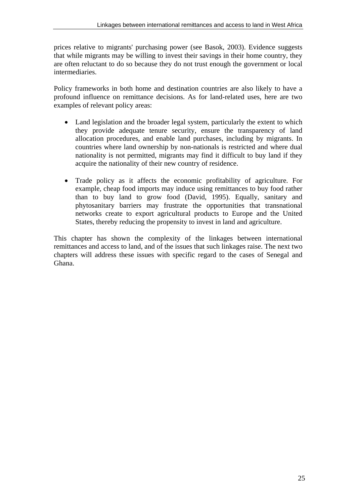prices relative to migrants' purchasing power (see Basok, 2003). Evidence suggests that while migrants may be willing to invest their savings in their home country, they are often reluctant to do so because they do not trust enough the government or local intermediaries.

Policy frameworks in both home and destination countries are also likely to have a profound influence on remittance decisions. As for land-related uses, here are two examples of relevant policy areas:

- Land legislation and the broader legal system, particularly the extent to which they provide adequate tenure security, ensure the transparency of land allocation procedures, and enable land purchases, including by migrants. In countries where land ownership by non-nationals is restricted and where dual nationality is not permitted, migrants may find it difficult to buy land if they acquire the nationality of their new country of residence.
- Trade policy as it affects the economic profitability of agriculture. For example, cheap food imports may induce using remittances to buy food rather than to buy land to grow food (David, 1995). Equally, sanitary and phytosanitary barriers may frustrate the opportunities that transnational networks create to export agricultural products to Europe and the United States, thereby reducing the propensity to invest in land and agriculture.

This chapter has shown the complexity of the linkages between international remittances and access to land, and of the issues that such linkages raise. The next two chapters will address these issues with specific regard to the cases of Senegal and Ghana.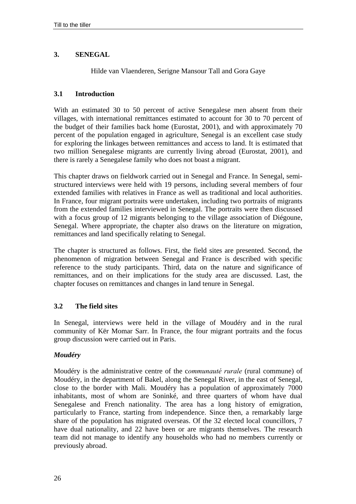# **3. SENEGAL**

Hilde van Vlaenderen, Serigne Mansour Tall and Gora Gaye

## **3.1 Introduction**

With an estimated 30 to 50 percent of active Senegalese men absent from their villages, with international remittances estimated to account for 30 to 70 percent of the budget of their families back home (Eurostat, 2001), and with approximately 70 percent of the population engaged in agriculture, Senegal is an excellent case study for exploring the linkages between remittances and access to land. It is estimated that two million Senegalese migrants are currently living abroad (Eurostat, 2001), and there is rarely a Senegalese family who does not boast a migrant.

This chapter draws on fieldwork carried out in Senegal and France. In Senegal, semistructured interviews were held with 19 persons, including several members of four extended families with relatives in France as well as traditional and local authorities. In France, four migrant portraits were undertaken, including two portraits of migrants from the extended families interviewed in Senegal. The portraits were then discussed with a focus group of 12 migrants belonging to the village association of Diégoune, Senegal. Where appropriate, the chapter also draws on the literature on migration, remittances and land specifically relating to Senegal.

The chapter is structured as follows. First, the field sites are presented. Second, the phenomenon of migration between Senegal and France is described with specific reference to the study participants. Third, data on the nature and significance of remittances, and on their implications for the study area are discussed. Last, the chapter focuses on remittances and changes in land tenure in Senegal.

# **3.2 The field sites**

In Senegal, interviews were held in the village of Moudéry and in the rural community of Kër Momar Sarr. In France, the four migrant portraits and the focus group discussion were carried out in Paris.

# *Moudéry*

Moudéry is the administrative centre of the *communauté rurale* (rural commune) of Moudéry, in the department of Bakel, along the Senegal River, in the east of Senegal, close to the border with Mali. Moudéry has a population of approximately 7000 inhabitants, most of whom are Soninké, and three quarters of whom have dual Senegalese and French nationality. The area has a long history of emigration, particularly to France, starting from independence. Since then, a remarkably large share of the population has migrated overseas. Of the 32 elected local councillors, 7 have dual nationality, and 22 have been or are migrants themselves. The research team did not manage to identify any households who had no members currently or previously abroad.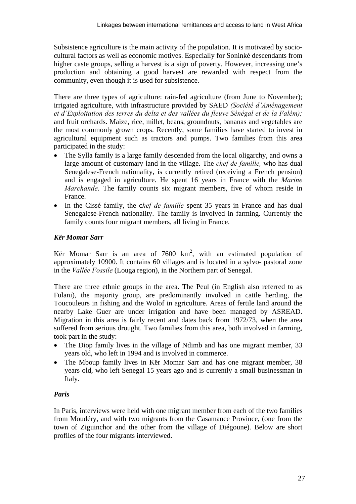Subsistence agriculture is the main activity of the population. It is motivated by sociocultural factors as well as economic motives. Especially for Soninké descendants from higher caste groups, selling a harvest is a sign of poverty. However, increasing one's production and obtaining a good harvest are rewarded with respect from the community, even though it is used for subsistence.

There are three types of agriculture: rain-fed agriculture (from June to November); irrigated agriculture, with infrastructure provided by SAED *(Société d'Aménagement*) et d'Exploitation des terres du delta et des vallées du fleuve Sénégal et de la Falém); and fruit orchards. Maize, rice, millet, beans, groundnuts, bananas and vegetables are the most commonly grown crops. Recently, some families have started to invest in agricultural equipment such as tractors and pumps. Two families from this area participated in the study:

- The Sylla family is a large family descended from the local oligarchy, and owns a large amount of customary land in the village. The *chef de famille,* who has dual Senegalese-French nationality, is currently retired (receiving a French pension) and is engaged in agriculture. He spent 16 years in France with the *Marine Marchande*. The family counts six migrant members, five of whom reside in France.
- In the Cissé family, the c*hef de famille* spent 35 years in France and has dual Senegalese-French nationality. The family is involved in farming. Currently the family counts four migrant members, all living in France.

# *Kër Momar Sarr*

Kër Momar Sarr is an area of  $7600 \text{ km}^2$ , with an estimated population of approximately 10900. It contains 60 villages and is located in a sylvo- pastoral zone in the *Vallée Fossile* (Louga region), in the Northern part of Senegal.

There are three ethnic groups in the area. The Peul (in English also referred to as Fulani), the majority group, are predominantly involved in cattle herding, the Toucouleurs in fishing and the Wolof in agriculture. Areas of fertile land around the nearby Lake Guer are under irrigation and have been managed by ASREAD. Migration in this area is fairly recent and dates back from 1972/73, when the area suffered from serious drought. Two families from this area, both involved in farming, took part in the study:

- The Diop family lives in the village of Ndimb and has one migrant member, 33 years old, who left in 1994 and is involved in commerce.
- The Mboup family lives in Kër Momar Sarr and has one migrant member, 38 years old, who left Senegal 15 years ago and is currently a small businessman in Italy.

# *Paris*

In Paris, interviews were held with one migrant member from each of the two families from Moudéry, and with two migrants from the Casamance Province, (one from the town of Ziguinchor and the other from the village of Diégoune). Below are short profiles of the four migrants interviewed.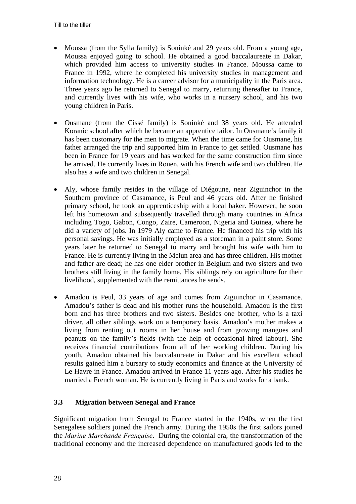- Moussa (from the Sylla family) is Soninké and 29 years old. From a young age, Moussa enjoyed going to school. He obtained a good baccalaureate in Dakar, which provided him access to university studies in France. Moussa came to France in 1992, where he completed his university studies in management and information technology. He is a career advisor for a municipality in the Paris area. Three years ago he returned to Senegal to marry, returning thereafter to France, and currently lives with his wife, who works in a nursery school, and his two young children in Paris.
- Ousmane (from the Cissé family) is Soninké and 38 years old. He attended Koranic school after which he became an apprentice tailor. In Ousmane's family it has been customary for the men to migrate. When the time came for Ousmane, his father arranged the trip and supported him in France to get settled. Ousmane has been in France for 19 years and has worked for the same construction firm since he arrived. He currently lives in Rouen, with his French wife and two children. He also has a wife and two children in Senegal.
- Aly, whose family resides in the village of Diégoune, near Ziguinchor in the Southern province of Casamance, is Peul and 46 years old. After he finished primary school, he took an apprenticeship with a local baker. However, he soon left his hometown and subsequently travelled through many countries in Africa including Togo, Gabon, Congo, Zaire, Cameroon, Nigeria and Guinea, where he did a variety of jobs. In 1979 Aly came to France. He financed his trip with his personal savings. He was initially employed as a storeman in a paint store. Some years later he returned to Senegal to marry and brought his wife with him to France. He is currently living in the Melun area and has three children. His mother and father are dead; he has one elder brother in Belgium and two sisters and two brothers still living in the family home. His siblings rely on agriculture for their livelihood, supplemented with the remittances he sends.
- Amadou is Peul, 33 years of age and comes from Ziguinchor in Casamance. Amadou's father is dead and his mother runs the household. Amadou is the first born and has three brothers and two sisters. Besides one brother, who is a taxi driver, all other siblings work on a temporary basis. Amadou's mother makes a living from renting out rooms in her house and from growing mangoes and peanuts on the family's fields (with the help of occasional hired labour). She receives financial contributions from all of her working children. During his youth, Amadou obtained his baccalaureate in Dakar and his excellent school results gained him a bursary to study economics and finance at the University of Le Havre in France. Amadou arrived in France 11 years ago. After his studies he married a French woman. He is currently living in Paris and works for a bank.

# **3.3 Migration between Senegal and France**

Significant migration from Senegal to France started in the 1940s, when the first Senegalese soldiers joined the French army. During the 1950s the first sailors joined the *Marine Marchande Française*. During the colonial era, the transformation of the traditional economy and the increased dependence on manufactured goods led to the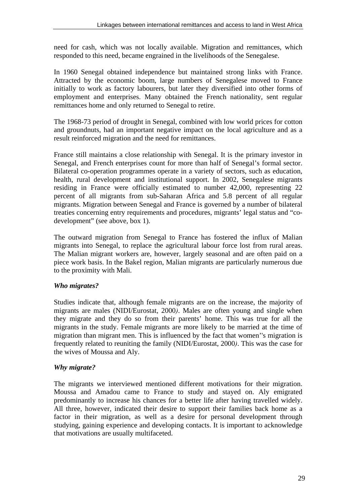need for cash, which was not locally available. Migration and remittances, which responded to this need, became engrained in the livelihoods of the Senegalese.

In 1960 Senegal obtained independence but maintained strong links with France. Attracted by the economic boom, large numbers of Senegalese moved to France initially to work as factory labourers, but later they diversified into other forms of employment and enterprises. Many obtained the French nationality, sent regular remittances home and only returned to Senegal to retire.

The 1968-73 period of drought in Senegal, combined with low world prices for cotton and groundnuts, had an important negative impact on the local agriculture and as a result reinforced migration and the need for remittances.

France still maintains a close relationship with Senegal. It is the primary investor in Senegal, and French enterprises count for more than half of Senegal's formal sector. Bilateral co-operation programmes operate in a variety of sectors, such as education, health, rural development and institutional support. In 2002, Senegalese migrants residing in France were officially estimated to number 42,000, representing 22 percent of all migrants from sub-Saharan Africa and 5.8 percent of all regular migrants. Migration between Senegal and France is governed by a number of bilateral treaties concerning entry requirements and procedures, migrants' legal status and "codevelopment" (see above, box 1).

The outward migration from Senegal to France has fostered the influx of Malian migrants into Senegal, to replace the agricultural labour force lost from rural areas. The Malian migrant workers are, however, largely seasonal and are often paid on a piece work basis. In the Bakel region, Malian migrants are particularly numerous due to the proximity with Mali.

# *Who migrates?*

Studies indicate that, although female migrants are on the increase, the majority of migrants are males (NIDI/Eurostat, 2000*)*. Males are often young and single when they migrate and they do so from their parents' home. This was true for all the migrants in the study. Female migrants are more likely to be married at the time of migration than migrant men. This is influenced by the fact that women''s migration is frequently related to reuniting the family (NIDI/Eurostat, 2000*)*. This was the case for the wives of Moussa and Aly.

# *Why migrate?*

The migrants we interviewed mentioned different motivations for their migration. Moussa and Amadou came to France to study and stayed on. Aly emigrated predominantly to increase his chances for a better life after having travelled widely. All three, however, indicated their desire to support their families back home as a factor in their migration, as well as a desire for personal development through studying, gaining experience and developing contacts. It is important to acknowledge that motivations are usually multifaceted.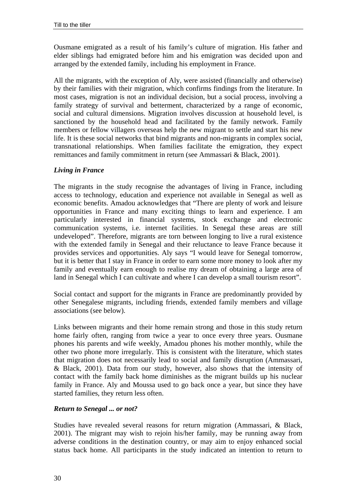Ousmane emigrated as a result of his family's culture of migration. His father and elder siblings had emigrated before him and his emigration was decided upon and arranged by the extended family, including his employment in France.

All the migrants, with the exception of Aly, were assisted (financially and otherwise) by their families with their migration, which confirms findings from the literature. In most cases, migration is not an individual decision, but a social process, involving a family strategy of survival and betterment, characterized by a range of economic, social and cultural dimensions. Migration involves discussion at household level, is sanctioned by the household head and facilitated by the family network. Family members or fellow villagers overseas help the new migrant to settle and start his new life. It is these social networks that bind migrants and non-migrants in complex social, transnational relationships. When families facilitate the emigration, they expect remittances and family commitment in return (see Ammassari & Black, 2001).

#### *Living in France*

The migrants in the study recognise the advantages of living in France, including access to technology, education and experience not available in Senegal as well as economic benefits. Amadou acknowledges that "There are plenty of work and leisure opportunities in France and many exciting things to learn and experience. I am particularly interested in financial systems, stock exchange and electronic communication systems, i.e. internet facilities. In Senegal these areas are still undeveloped". Therefore, migrants are torn between longing to live a rural existence with the extended family in Senegal and their reluctance to leave France because it provides services and opportunities. Aly says "I would leave for Senegal tomorrow, but it is better that I stay in France in order to earn some more money to look after my family and eventually earn enough to realise my dream of obtaining a large area of land in Senegal which I can cultivate and where I can develop a small tourism resort".

Social contact and support for the migrants in France are predominantly provided by other Senegalese migrants, including friends, extended family members and village associations (see below).

Links between migrants and their home remain strong and those in this study return home fairly often, ranging from twice a year to once every three years. Ousmane phones his parents and wife weekly, Amadou phones his mother monthly, while the other two phone more irregularly. This is consistent with the literature, which states that migration does not necessarily lead to social and family disruption (Ammassari, & Black, 2001). Data from our study, however, also shows that the intensity of contact with the family back home diminishes as the migrant builds up his nuclear family in France. Aly and Moussa used to go back once a year, but since they have started families, they return less often.

#### *Return to Senegal ... or not?*

Studies have revealed several reasons for return migration (Ammassari, & Black, 2001). The migrant may wish to rejoin his/her family, may be running away from adverse conditions in the destination country, or may aim to enjoy enhanced social status back home. All participants in the study indicated an intention to return to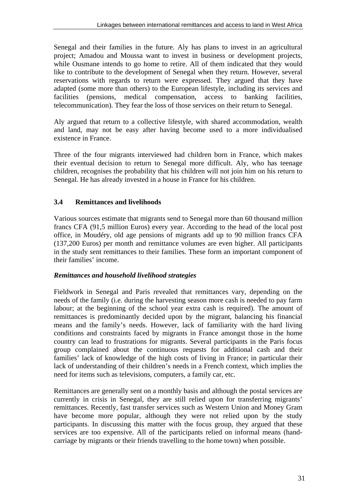Senegal and their families in the future. Aly has plans to invest in an agricultural project; Amadou and Moussa want to invest in business or development projects, while Ousmane intends to go home to retire. All of them indicated that they would like to contribute to the development of Senegal when they return. However, several reservations with regards to return were expressed. They argued that they have adapted (some more than others) to the European lifestyle, including its services and facilities (pensions, medical compensation, access to banking facilities, telecommunication). They fear the loss of those services on their return to Senegal.

Aly argued that return to a collective lifestyle, with shared accommodation, wealth and land, may not be easy after having become used to a more individualised existence in France.

Three of the four migrants interviewed had children born in France, which makes their eventual decision to return to Senegal more difficult. Aly, who has teenage children, recognises the probability that his children will not join him on his return to Senegal. He has already invested in a house in France for his children.

# **3.4 Remittances and livelihoods**

Various sources estimate that migrants send to Senegal more than 60 thousand million francs CFA (91,5 million Euros) every year. According to the head of the local post office, in Moudéry, old age pensions of migrants add up to 90 million francs CFA (137,200 Euros) per month and remittance volumes are even higher. All participants in the study sent remittances to their families. These form an important component of their families' income.

## *Remittances and household livelihood strategies*

Fieldwork in Senegal and Paris revealed that remittances vary, depending on the needs of the family (i.e. during the harvesting season more cash is needed to pay farm labour; at the beginning of the school year extra cash is required). The amount of remittances is predominantly decided upon by the migrant, balancing his financial means and the family's needs. However, lack of familiarity with the hard living conditions and constraints faced by migrants in France amongst those in the home country can lead to frustrations for migrants. Several participants in the Paris focus group complained about the continuous requests for additional cash and their families' lack of knowledge of the high costs of living in France; in particular their lack of understanding of their children's needs in a French context, which implies the need for items such as televisions, computers, a family car, etc.

Remittances are generally sent on a monthly basis and although the postal services are currently in crisis in Senegal, they are still relied upon for transferring migrants' remittances. Recently, fast transfer services such as Western Union and Money Gram have become more popular, although they were not relied upon by the study participants. In discussing this matter with the focus group, they argued that these services are too expensive. All of the participants relied on informal means (handcarriage by migrants or their friends travelling to the home town) when possible.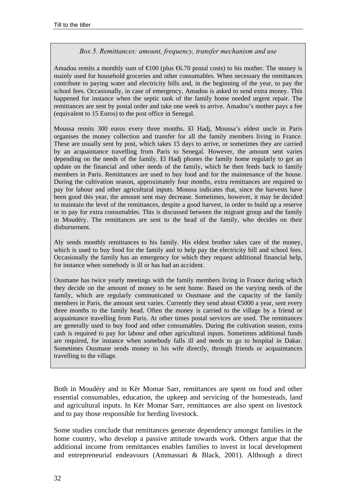#### *Box 5. Remittances: amount, frequency, transfer mechanism and use*

Amadou remits a monthly sum of  $\epsilon 100$  (plus  $\epsilon 6.70$  postal costs) to his mother. The money is mainly used for household groceries and other consumables. When necessary the remittances contribute to paying water and electricity bills and, in the beginning of the year, to pay the school fees. Occasionally, in case of emergency, Amadou is asked to send extra money. This happened for instance when the septic tank of the family home needed urgent repair. The remittances are sent by postal order and take one week to arrive. Amadou's mother pays a fee (equivalent to 15 Euros) to the post office in Senegal.

Moussa remits 300 euros every three months. El Hadj, Moussa's eldest uncle in Paris organises the money collection and transfer for all the family members living in France. These are usually sent by post, which takes 15 days to arrive, or sometimes they are carried by an acquaintance travelling from Paris to Senegal. However, the amount sent varies depending on the needs of the family. El Hadj phones the family home regularly to get an update on the financial and other needs of the family, which he then feeds back to family members in Paris. Remittances are used to buy food and for the maintenance of the house. During the cultivation season, approximately four months, extra remittances are required to pay for labour and other agricultural inputs. Moussa indicates that, since the harvests have been good this year, the amount sent may decrease. Sometimes, however, it may be decided to maintain the level of the remittances, despite a good harvest, in order to build up a reserve or to pay for extra consumables. This is discussed between the migrant group and the family in Moudéry. The remittances are sent to the head of the family, who decides on their disbursement.

Aly sends monthly remittances to his family. His eldest brother takes care of the money, which is used to buy food for the family and to help pay the electricity bill and school fees. Occasionally the family has an emergency for which they request additional financial help, for instance when somebody is ill or has had an accident.

Ousmane has twice yearly meetings with the family members living in France during which they decide on the amount of money to be sent home. Based on the varying needs of the family, which are regularly communicated to Ousmane and the capacity of the family members in Paris, the amount sent varies. Currently they send about €5000 a year, sent every three months to the family head. Often the money is carried to the village by a friend or acquaintance travelling from Paris. At other times postal services are used. The remittances are generally used to buy food and other consumables. During the cultivation season, extra cash is required to pay for labour and other agricultural inputs. Sometimes additional funds are required, for instance when somebody falls ill and needs to go to hospital in Dakar. Sometimes Ousmane sends money to his wife directly, through friends or acquaintances travelling to the village.

Both in Moudéry and in Kër Momar Sarr, remittances are spent on food and other essential consumables, education, the upkeep and servicing of the homesteads, land and agricultural inputs. In Kër Momar Sarr, remittances are also spent on livestock and to pay those responsible for herding livestock.

Some studies conclude that remittances generate dependency amongst families in the home country, who develop a passive attitude towards work. Others argue that the additional income from remittances enables families to invest in local development and entrepreneurial endeavours (Ammassari & Black, 2001). Although a direct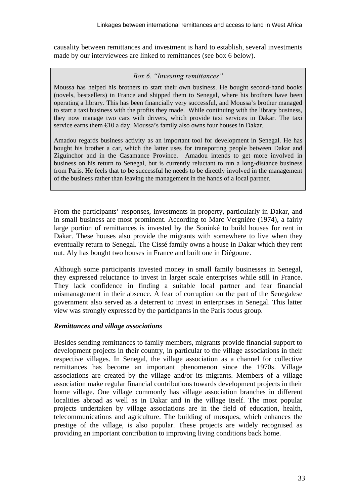causality between remittances and investment is hard to establish, several investments made by our interviewees are linked to remittances (see box 6 below).

## *Box 6. "Investing remittances"*

Moussa has helped his brothers to start their own business. He bought second-hand books (novels, bestsellers) in France and shipped them to Senegal, where his brothers have been operating a library. This has been financially very successful, and Moussa's brother managed to start a taxi business with the profits they made. While continuing with the library business, they now manage two cars with drivers, which provide taxi services in Dakar. The taxi service earns them €10 a day. Moussa's family also owns four houses in Dakar.

Amadou regards business activity as an important tool for development in Senegal. He has bought his brother a car, which the latter uses for transporting people between Dakar and Ziguinchor and in the Casamance Province. Amadou intends to get more involved in business on his return to Senegal, but is currently reluctant to run a long-distance business from Paris. He feels that to be successful he needs to be directly involved in the management of the business rather than leaving the management in the hands of a local partner.

From the participants' responses, investments in property, particularly in Dakar, and in small business are most prominent. According to Marc Vergnière (1974), a fairly large portion of remittances is invested by the Soninké to build houses for rent in Dakar. These houses also provide the migrants with somewhere to live when they eventually return to Senegal. The Cissé family owns a house in Dakar which they rent out. Aly has bought two houses in France and built one in Diégoune.

Although some participants invested money in small family businesses in Senegal, they expressed reluctance to invest in larger scale enterprises while still in France. They lack confidence in finding a suitable local partner and fear financial mismanagement in their absence. A fear of corruption on the part of the Senegalese government also served as a deterrent to invest in enterprises in Senegal. This latter view was strongly expressed by the participants in the Paris focus group.

# *Remittances and village associations*

Besides sending remittances to family members, migrants provide financial support to development projects in their country, in particular to the village associations in their respective villages. In Senegal, the village association as a channel for collective remittances has become an important phenomenon since the 1970s. Village associations are created by the village and/or its migrants. Members of a village association make regular financial contributions towards development projects in their home village. One village commonly has village association branches in different localities abroad as well as in Dakar and in the village itself. The most popular projects undertaken by village associations are in the field of education, health, telecommunications and agriculture. The building of mosques, which enhances the prestige of the village, is also popular. These projects are widely recognised as providing an important contribution to improving living conditions back home.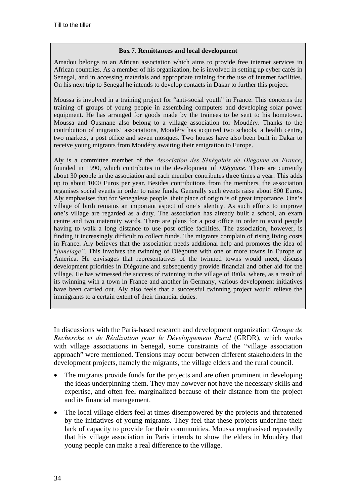#### **Box 7. Remittances and local development**

Amadou belongs to an African association which aims to provide free internet services in African countries. As a member of his organization, he is involved in setting up cyber cafés in Senegal, and in accessing materials and appropriate training for the use of internet facilities. On his next trip to Senegal he intends to develop contacts in Dakar to further this project.

Moussa is involved in a training project for "anti-social youth" in France. This concerns the training of groups of young people in assembling computers and developing solar power equipment. He has arranged for goods made by the trainees to be sent to his hometown. Moussa and Ousmane also belong to a village association for Moudéry. Thanks to the contribution of migrants' associations, Moudéry has acquired two schools, a health centre, two markets, a post office and seven mosques. Two houses have also been built in Dakar to receive young migrants from Moudéry awaiting their emigration to Europe.

Aly is a committee member of the *Association des SÈnÈgalais de DiÈgoune en France*, founded in 1990, which contributes to the development of *Diégoune*. There are currently about 30 people in the association and each member contributes three times a year. This adds up to about 1000 Euros per year. Besides contributions from the members, the association organises social events in order to raise funds. Generally such events raise about 800 Euros. Aly emphasises that for Senegalese people, their place of origin is of great importance. One's village of birth remains an important aspect of one's identity. As such efforts to improve one's village are regarded as a duty. The association has already built a school, an exam centre and two maternity wards. There are plans for a post office in order to avoid people having to walk a long distance to use post office facilities. The association, however, is finding it increasingly difficult to collect funds. The migrants complain of rising living costs in France. Aly believes that the association needs additional help and promotes the idea of "*jumelageî*. This involves the twinning of Diégoune with one or more towns in Europe or America. He envisages that representatives of the twinned towns would meet, discuss development priorities in Diégoune and subsequently provide financial and other aid for the village. He has witnessed the success of twinning in the village of Baïla, where, as a result of its twinning with a town in France and another in Germany, various development initiatives have been carried out. Aly also feels that a successful twinning project would relieve the immigrants to a certain extent of their financial duties.

In discussions with the Paris-based research and development organization *Groupe de Recherche et de RÈalization pour le DÈveloppement Rural* (GRDR), which works with village associations in Senegal, some constraints of the "village association approach" were mentioned. Tensions may occur between different stakeholders in the development projects, namely the migrants, the village elders and the rural council.

- The migrants provide funds for the projects and are often prominent in developing the ideas underpinning them. They may however not have the necessary skills and expertise, and often feel marginalized because of their distance from the project and its financial management.
- The local village elders feel at times disempowered by the projects and threatened by the initiatives of young migrants. They feel that these projects underline their lack of capacity to provide for their communities. Moussa emphasised repeatedly that his village association in Paris intends to show the elders in Moudéry that young people can make a real difference to the village.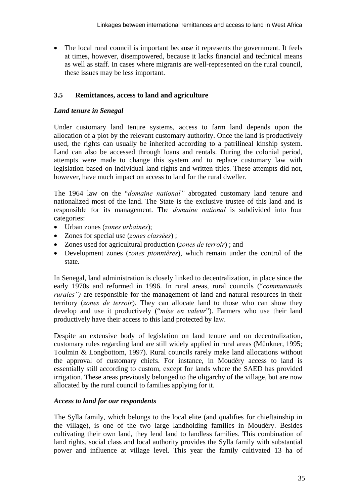• The local rural council is important because it represents the government. It feels at times, however, disempowered, because it lacks financial and technical means as well as staff. In cases where migrants are well-represented on the rural council, these issues may be less important.

# **3.5 Remittances, access to land and agriculture**

# *Land tenure in Senegal*

Under customary land tenure systems, access to farm land depends upon the allocation of a plot by the relevant customary authority. Once the land is productively used, the rights can usually be inherited according to a patrilineal kinship system. Land can also be accessed through loans and rentals. During the colonial period, attempts were made to change this system and to replace customary law with legislation based on individual land rights and written titles. These attempts did not, however, have much impact on access to land for the rural dweller.

The 1964 law on the "*domaine national*" abrogated customary land tenure and nationalized most of the land. The State is the exclusive trustee of this land and is responsible for its management. The *domaine national* is subdivided into four categories:

- Urban zones (*zones urbaines*);
- Zones for special use (*zones classÈes*) ;
- Zones used for agricultural production (*zones de terroir*) ; and
- Development zones (*zones pionnières*), which remain under the control of the state.

In Senegal, land administration is closely linked to decentralization, in place since the early 1970s and reformed in 1996. In rural areas, rural councils ("*communautés rurales*") are responsible for the management of land and natural resources in their territory (*zones de terroir*). They can allocate land to those who can show they develop and use it productively ("*mise en valeur*"). Farmers who use their land productively have their access to this land protected by law.

Despite an extensive body of legislation on land tenure and on decentralization, customary rules regarding land are still widely applied in rural areas (Münkner, 1995; Toulmin & Longbottom, 1997). Rural councils rarely make land allocations without the approval of customary chiefs. For instance, in Moudéry access to land is essentially still according to custom, except for lands where the SAED has provided irrigation. These areas previously belonged to the oligarchy of the village, but are now allocated by the rural council to families applying for it.

## *Access to land for our respondents*

The Sylla family, which belongs to the local elite (and qualifies for chieftainship in the village), is one of the two large landholding families in Moudéry. Besides cultivating their own land, they lend land to landless families. This combination of land rights, social class and local authority provides the Sylla family with substantial power and influence at village level. This year the family cultivated 13 ha of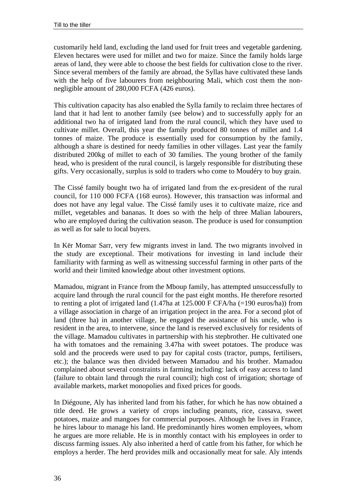customarily held land, excluding the land used for fruit trees and vegetable gardening. Eleven hectares were used for millet and two for maize. Since the family holds large areas of land, they were able to choose the best fields for cultivation close to the river. Since several members of the family are abroad, the Syllas have cultivated these lands with the help of five labourers from neighbouring Mali, which cost them the nonnegligible amount of 280,000 FCFA (426 euros).

This cultivation capacity has also enabled the Sylla family to reclaim three hectares of land that it had lent to another family (see below) and to successfully apply for an additional two ha of irrigated land from the rural council, which they have used to cultivate millet. Overall, this year the family produced 80 tonnes of millet and 1.4 tonnes of maize. The produce is essentially used for consumption by the family, although a share is destined for needy families in other villages. Last year the family distributed 200kg of millet to each of 30 families. The young brother of the family head, who is president of the rural council, is largely responsible for distributing these gifts. Very occasionally, surplus is sold to traders who come to Moudéry to buy grain.

The Cissé family bought two ha of irrigated land from the ex-president of the rural council, for 110 000 FCFA (168 euros). However, this transaction was informal and does not have any legal value. The Cissé family uses it to cultivate maize, rice and millet, vegetables and bananas. It does so with the help of three Malian labourers, who are employed during the cultivation season. The produce is used for consumption as well as for sale to local buyers.

In Kër Momar Sarr, very few migrants invest in land. The two migrants involved in the study are exceptional. Their motivations for investing in land include their familiarity with farming as well as witnessing successful farming in other parts of the world and their limited knowledge about other investment options.

Mamadou, migrant in France from the Mboup family, has attempted unsuccessfully to acquire land through the rural council for the past eight months. He therefore resorted to renting a plot of irrigated land (1.47ha at 125.000 F CFA/ha (=190 euros/ha)) from a village association in charge of an irrigation project in the area. For a second plot of land (three ha) in another village, he engaged the assistance of his uncle, who is resident in the area, to intervene, since the land is reserved exclusively for residents of the village. Mamadou cultivates in partnership with his stepbrother. He cultivated one ha with tomatoes and the remaining 3.47ha with sweet potatoes. The produce was sold and the proceeds were used to pay for capital costs (tractor, pumps, fertilisers, etc.); the balance was then divided between Mamadou and his brother. Mamadou complained about several constraints in farming including: lack of easy access to land (failure to obtain land through the rural council); high cost of irrigation; shortage of available markets, market monopolies and fixed prices for goods.

In Diégoune, Aly has inherited land from his father, for which he has now obtained a title deed. He grows a variety of crops including peanuts, rice, cassava, sweet potatoes, maize and mangoes for commercial purposes. Although he lives in France, he hires labour to manage his land. He predominantly hires women employees, whom he argues are more reliable. He is in monthly contact with his employees in order to discuss farming issues. Aly also inherited a herd of cattle from his father, for which he employs a herder. The herd provides milk and occasionally meat for sale. Aly intends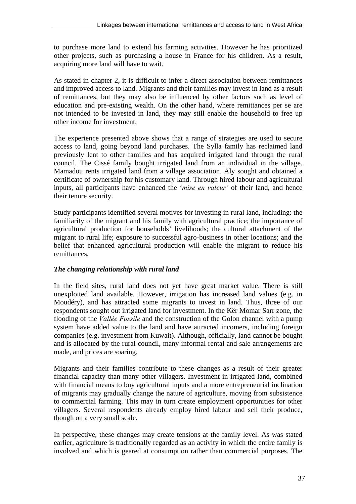to purchase more land to extend his farming activities. However he has prioritized other projects, such as purchasing a house in France for his children. As a result, acquiring more land will have to wait.

As stated in chapter 2, it is difficult to infer a direct association between remittances and improved access to land. Migrants and their families may invest in land as a result of remittances, but they may also be influenced by other factors such as level of education and pre-existing wealth. On the other hand, where remittances per se are not intended to be invested in land, they may still enable the household to free up other income for investment.

The experience presented above shows that a range of strategies are used to secure access to land, going beyond land purchases. The Sylla family has reclaimed land previously lent to other families and has acquired irrigated land through the rural council. The Cissé family bought irrigated land from an individual in the village. Mamadou rents irrigated land from a village association. Aly sought and obtained a certificate of ownership for his customary land. Through hired labour and agricultural inputs, all participants have enhanced the *'mise en valeur'* of their land, and hence their tenure security.

Study participants identified several motives for investing in rural land, including: the familiarity of the migrant and his family with agricultural practice; the importance of agricultural production for households' livelihoods; the cultural attachment of the migrant to rural life; exposure to successful agro-business in other locations; and the belief that enhanced agricultural production will enable the migrant to reduce his remittances.

# *The changing relationship with rural land*

In the field sites, rural land does not yet have great market value. There is still unexploited land available. However, irrigation has increased land values (e.g. in Moudéry), and has attracted some migrants to invest in land. Thus, three of our respondents sought out irrigated land for investment. In the Kër Momar Sarr zone, the flooding of the *Vallée Fossile* and the construction of the Golon channel with a pump system have added value to the land and have attracted incomers, including foreign companies (e.g. investment from Kuwait). Although, officially, land cannot be bought and is allocated by the rural council, many informal rental and sale arrangements are made, and prices are soaring.

Migrants and their families contribute to these changes as a result of their greater financial capacity than many other villagers. Investment in irrigated land, combined with financial means to buy agricultural inputs and a more entrepreneurial inclination of migrants may gradually change the nature of agriculture, moving from subsistence to commercial farming. This may in turn create employment opportunities for other villagers. Several respondents already employ hired labour and sell their produce, though on a very small scale.

In perspective, these changes may create tensions at the family level. As was stated earlier, agriculture is traditionally regarded as an activity in which the entire family is involved and which is geared at consumption rather than commercial purposes. The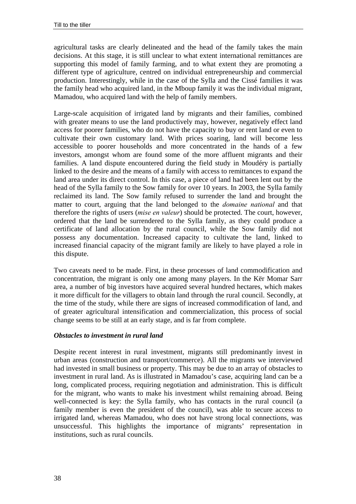agricultural tasks are clearly delineated and the head of the family takes the main decisions. At this stage, it is still unclear to what extent international remittances are supporting this model of family farming, and to what extent they are promoting a different type of agriculture, centred on individual entrepreneurship and commercial production. Interestingly, while in the case of the Sylla and the Cissé families it was the family head who acquired land, in the Mboup family it was the individual migrant, Mamadou, who acquired land with the help of family members.

Large-scale acquisition of irrigated land by migrants and their families, combined with greater means to use the land productively may, however, negatively effect land access for poorer families, who do not have the capacity to buy or rent land or even to cultivate their own customary land. With prices soaring, land will become less accessible to poorer households and more concentrated in the hands of a few investors, amongst whom are found some of the more affluent migrants and their families. A land dispute encountered during the field study in Moudéry is partially linked to the desire and the means of a family with access to remittances to expand the land area under its direct control. In this case, a piece of land had been lent out by the head of the Sylla family to the Sow family for over 10 years. In 2003, the Sylla family reclaimed its land. The Sow family refused to surrender the land and brought the matter to court, arguing that the land belonged to the *domaine national* and that therefore the rights of users (*mise en valeur*) should be protected. The court, however, ordered that the land be surrendered to the Sylla family, as they could produce a certificate of land allocation by the rural council, while the Sow family did not possess any documentation. Increased capacity to cultivate the land, linked to increased financial capacity of the migrant family are likely to have played a role in this dispute.

Two caveats need to be made. First, in these processes of land commodification and concentration, the migrant is only one among many players. In the Kër Momar Sarr area, a number of big investors have acquired several hundred hectares, which makes it more difficult for the villagers to obtain land through the rural council. Secondly, at the time of the study, while there are signs of increased commodification of land, and of greater agricultural intensification and commercialization, this process of social change seems to be still at an early stage, and is far from complete.

## *Obstacles to investment in rural land*

Despite recent interest in rural investment, migrants still predominantly invest in urban areas (construction and transport/commerce). All the migrants we interviewed had invested in small business or property. This may be due to an array of obstacles to investment in rural land. As is illustrated in Mamadou's case, acquiring land can be a long, complicated process, requiring negotiation and administration. This is difficult for the migrant, who wants to make his investment whilst remaining abroad. Being well-connected is key: the Sylla family, who has contacts in the rural council (a family member is even the president of the council), was able to secure access to irrigated land, whereas Mamadou, who does not have strong local connections, was unsuccessful. This highlights the importance of migrants' representation in institutions, such as rural councils.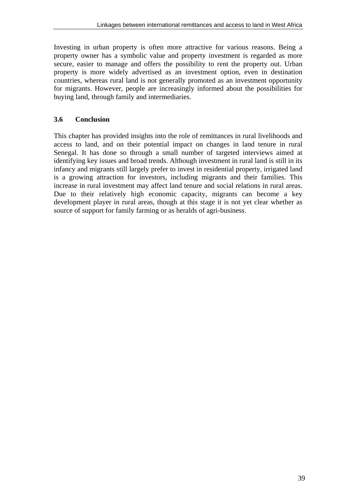Investing in urban property is often more attractive for various reasons. Being a property owner has a symbolic value and property investment is regarded as more secure, easier to manage and offers the possibility to rent the property out. Urban property is more widely advertised as an investment option, even in destination countries, whereas rural land is not generally promoted as an investment opportunity for migrants. However, people are increasingly informed about the possibilities for buying land, through family and intermediaries.

# **3.6 Conclusion**

This chapter has provided insights into the role of remittances in rural livelihoods and access to land, and on their potential impact on changes in land tenure in rural Senegal. It has done so through a small number of targeted interviews aimed at identifying key issues and broad trends. Although investment in rural land is still in its infancy and migrants still largely prefer to invest in residential property, irrigated land is a growing attraction for investors, including migrants and their families. This increase in rural investment may affect land tenure and social relations in rural areas. Due to their relatively high economic capacity, migrants can become a key development player in rural areas, though at this stage it is not yet clear whether as source of support for family farming or as heralds of agri-business.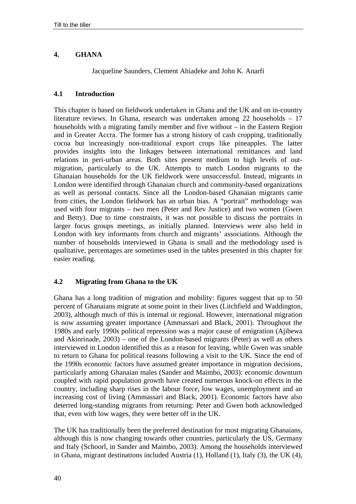# **4. GHANA**

Jacqueline Saunders, Clement Ahiadeke and John K. Anarfi

## **4.1 Introduction**

This chapter is based on fieldwork undertaken in Ghana and the UK and on in-country literature reviews. In Ghana, research was undertaken among 22 households – 17 households with a migrating family member and five without – in the Eastern Region and in Greater Accra. The former has a strong history of cash cropping, traditionally cocoa but increasingly non-traditional export crops like pineapples. The latter provides insights into the linkages between international remittances and land relations in peri-urban areas. Both sites present medium to high levels of outmigration, particularly to the UK. Attempts to match London migrants to the Ghanaian households for the UK fieldwork were unsuccessful. Instead, migrants in London were identified through Ghanaian church and community-based organizations as well as personal contacts. Since all the London-based Ghanaian migrants came from cities, the London fieldwork has an urban bias. A "portrait" methodology was used with four migrants – two men (Peter and Rev Justice) and two women (Gwen and Betty). Due to time constraints, it was not possible to discuss the portraits in larger focus groups meetings, as initially planned. Interviews were also held in London with key informants from church and migrants' associations. Although the number of households interviewed in Ghana is small and the methodology used is qualitative, percentages are sometimes used in the tables presented in this chapter for easier reading.

# **4.2 Migrating from Ghana to the UK**

Ghana has a long tradition of migration and mobility: figures suggest that up to 50 percent of Ghanaians migrate at some point in their lives (Litchfield and Waddington, 2003), although much of this is internal or regional. However, international migration is now assuming greater importance (Ammassari and Black, 2001). Throughout the 1980s and early 1990s political repression was a major cause of emigration (Ajibewa and Akinrinade, 2003) – one of the London-based migrants (Peter) as well as others interviewed in London identified this as a reason for leaving, while Gwen was unable to return to Ghana for political reasons following a visit to the UK. Since the end of the 1990s economic factors have assumed greater importance in migration decisions, particularly among Ghanaian males (Sander and Maimbo, 2003): economic downturn coupled with rapid population growth have created numerous knock-on effects in the country, including sharp rises in the labour force, low wages, unemployment and an increasing cost of living (Ammassari and Black, 2001). Economic factors have also deterred long-standing migrants from returning: Peter and Gwen both acknowledged that, even with low wages, they were better off in the UK.

The UK has traditionally been the preferred destination for most migrating Ghanaians, although this is now changing towards other countries, particularly the US, Germany and Italy (Schoorl, in Sander and Maimbo, 2003). Among the households interviewed in Ghana, migrant destinations included Austria (1), Holland (1), Italy (3), the UK (4),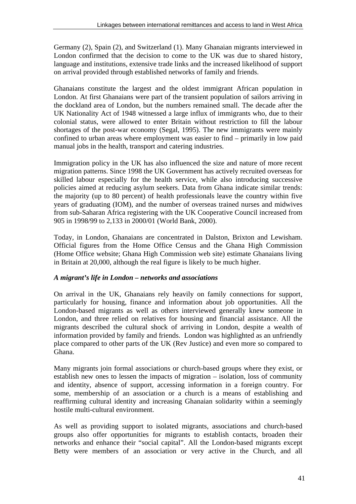Germany (2), Spain (2), and Switzerland (1). Many Ghanaian migrants interviewed in London confirmed that the decision to come to the UK was due to shared history, language and institutions, extensive trade links and the increased likelihood of support on arrival provided through established networks of family and friends.

Ghanaians constitute the largest and the oldest immigrant African population in London. At first Ghanaians were part of the transient population of sailors arriving in the dockland area of London, but the numbers remained small. The decade after the UK Nationality Act of 1948 witnessed a large influx of immigrants who, due to their colonial status, were allowed to enter Britain without restriction to fill the labour shortages of the post-war economy (Segal, 1995). The new immigrants were mainly confined to urban areas where employment was easier to find – primarily in low paid manual jobs in the health, transport and catering industries.

Immigration policy in the UK has also influenced the size and nature of more recent migration patterns. Since 1998 the UK Government has actively recruited overseas for skilled labour especially for the health service, while also introducing successive policies aimed at reducing asylum seekers. Data from Ghana indicate similar trends: the majority (up to 80 percent) of health professionals leave the country within five years of graduating (IOM), and the number of overseas trained nurses and midwives from sub-Saharan Africa registering with the UK Cooperative Council increased from 905 in 1998/99 to 2,133 in 2000/01 (World Bank, 2000).

Today, in London, Ghanaians are concentrated in Dalston, Brixton and Lewisham. Official figures from the Home Office Census and the Ghana High Commission (Home Office website; Ghana High Commission web site) estimate Ghanaians living in Britain at 20,000, although the real figure is likely to be much higher.

## *A migrant's life in London – networks and associations*

On arrival in the UK, Ghanaians rely heavily on family connections for support, particularly for housing, finance and information about job opportunities. All the London-based migrants as well as others interviewed generally knew someone in London, and three relied on relatives for housing and financial assistance. All the migrants described the cultural shock of arriving in London, despite a wealth of information provided by family and friends. London was highlighted as an unfriendly place compared to other parts of the UK (Rev Justice) and even more so compared to Ghana.

Many migrants join formal associations or church-based groups where they exist, or establish new ones to lessen the impacts of migration – isolation, loss of community and identity, absence of support, accessing information in a foreign country. For some, membership of an association or a church is a means of establishing and reaffirming cultural identity and increasing Ghanaian solidarity within a seemingly hostile multi-cultural environment.

As well as providing support to isolated migrants, associations and church-based groups also offer opportunities for migrants to establish contacts, broaden their networks and enhance their "social capital". All the London-based migrants except Betty were members of an association or very active in the Church, and all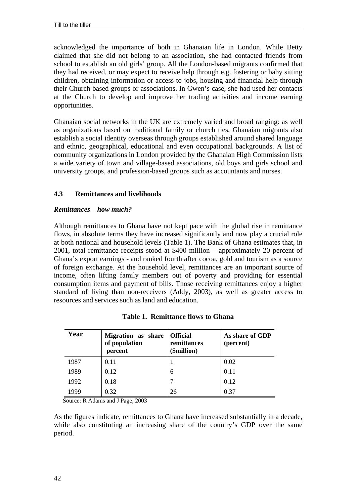acknowledged the importance of both in Ghanaian life in London. While Betty claimed that she did not belong to an association, she had contacted friends from school to establish an old girls' group. All the London-based migrants confirmed that they had received, or may expect to receive help through e.g. fostering or baby sitting children, obtaining information or access to jobs, housing and financial help through their Church based groups or associations. In Gwen's case, she had used her contacts at the Church to develop and improve her trading activities and income earning opportunities.

Ghanaian social networks in the UK are extremely varied and broad ranging: as well as organizations based on traditional family or church ties, Ghanaian migrants also establish a social identity overseas through groups established around shared language and ethnic, geographical, educational and even occupational backgrounds. A list of community organizations in London provided by the Ghanaian High Commission lists a wide variety of town and village-based associations, old boys and girls school and university groups, and profession-based groups such as accountants and nurses.

# **4.3 Remittances and livelihoods**

## *Remittances – how much?*

Although remittances to Ghana have not kept pace with the global rise in remittance flows, in absolute terms they have increased significantly and now play a crucial role at both national and household levels (Table 1). The Bank of Ghana estimates that, in 2001, total remittance receipts stood at \$400 million – approximately 20 percent of Ghana's export earnings - and ranked fourth after cocoa, gold and tourism as a source of foreign exchange. At the household level, remittances are an important source of income, often lifting family members out of poverty and providing for essential consumption items and payment of bills. Those receiving remittances enjoy a higher standard of living than non-receivers (Addy, 2003), as well as greater access to resources and services such as land and education.

| Year | Migration as share<br>of population<br>percent | <b>Official</b><br>remittances<br>(\$million) | As share of GDP<br>(percent) |
|------|------------------------------------------------|-----------------------------------------------|------------------------------|
| 1987 | 0.11                                           |                                               | 0.02                         |
| 1989 | 0.12                                           | 6                                             | 0.11                         |
| 1992 | 0.18                                           | 7                                             | 0.12                         |
| 1999 | 0.32                                           | 26                                            | 0.37                         |

| <b>Table 1. Remittance flows to Ghana</b> |  |
|-------------------------------------------|--|
|-------------------------------------------|--|

Source: R Adams and J Page, 2003

As the figures indicate, remittances to Ghana have increased substantially in a decade, while also constituting an increasing share of the country's GDP over the same period.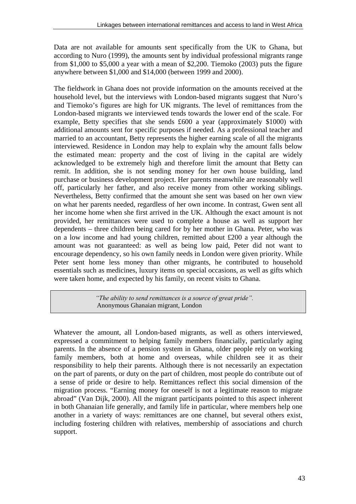Data are not available for amounts sent specifically from the UK to Ghana, but according to Nuro (1999), the amounts sent by individual professional migrants range from \$1,000 to \$5,000 a year with a mean of \$2,200. Tiemoko (2003) puts the figure anywhere between \$1,000 and \$14,000 (between 1999 and 2000).

The fieldwork in Ghana does not provide information on the amounts received at the household level, but the interviews with London-based migrants suggest that Nuro's and Tiemoko's figures are high for UK migrants. The level of remittances from the London-based migrants we interviewed tends towards the lower end of the scale. For example, Betty specifies that she sends £600 a year (approximately \$1000) with additional amounts sent for specific purposes if needed. As a professional teacher and married to an accountant, Betty represents the higher earning scale of all the migrants interviewed. Residence in London may help to explain why the amount falls below the estimated mean: property and the cost of living in the capital are widely acknowledged to be extremely high and therefore limit the amount that Betty can remit. In addition, she is not sending money for her own house building, land purchase or business development project. Her parents meanwhile are reasonably well off, particularly her father, and also receive money from other working siblings. Nevertheless, Betty confirmed that the amount she sent was based on her own view on what her parents needed, regardless of her own income. In contrast, Gwen sent all her income home when she first arrived in the UK. Although the exact amount is not provided, her remittances were used to complete a house as well as support her dependents – three children being cared for by her mother in Ghana. Peter, who was on a low income and had young children, remitted about £200 a year although the amount was not guaranteed: as well as being low paid, Peter did not want to encourage dependency, so his own family needs in London were given priority. While Peter sent home less money than other migrants, he contributed to household essentials such as medicines, luxury items on special occasions, as well as gifts which were taken home, and expected by his family, on recent visits to Ghana.

> *ìThe ability to send remittances is a source of great prideî.*  Anonymous Ghanaian migrant, London

Whatever the amount, all London-based migrants, as well as others interviewed, expressed a commitment to helping family members financially, particularly aging parents. In the absence of a pension system in Ghana, older people rely on working family members, both at home and overseas, while children see it as their responsibility to help their parents. Although there is not necessarily an expectation on the part of parents, or duty on the part of children, most people do contribute out of a sense of pride or desire to help. Remittances reflect this social dimension of the migration process. "Earning money for oneself is not a legitimate reason to migrate abroad" (Van Dijk, 2000). All the migrant participants pointed to this aspect inherent in both Ghanaian life generally, and family life in particular, where members help one another in a variety of ways: remittances are one channel, but several others exist, including fostering children with relatives, membership of associations and church support.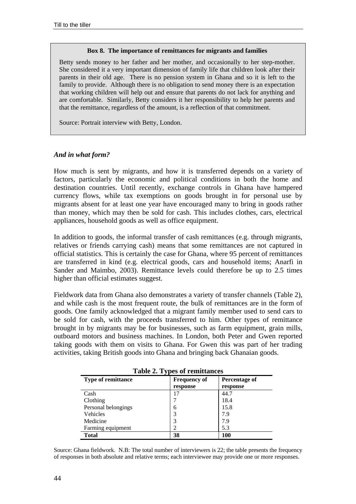#### **Box 8. The importance of remittances for migrants and families**

Betty sends money to her father and her mother, and occasionally to her step-mother. She considered it a very important dimension of family life that children look after their parents in their old age. There is no pension system in Ghana and so it is left to the family to provide. Although there is no obligation to send money there is an expectation that working children will help out and ensure that parents do not lack for anything and are comfortable. Similarly, Betty considers it her responsibility to help her parents and that the remittance, regardless of the amount, is a reflection of that commitment.

Source: Portrait interview with Betty, London.

#### *And in what form?*

How much is sent by migrants, and how it is transferred depends on a variety of factors, particularly the economic and political conditions in both the home and destination countries. Until recently, exchange controls in Ghana have hampered currency flows, while tax exemptions on goods brought in for personal use by migrants absent for at least one year have encouraged many to bring in goods rather than money, which may then be sold for cash. This includes clothes, cars, electrical appliances, household goods as well as office equipment.

In addition to goods, the informal transfer of cash remittances (e.g. through migrants, relatives or friends carrying cash) means that some remittances are not captured in official statistics. This is certainly the case for Ghana, where 95 percent of remittances are transferred in kind (e.g. electrical goods, cars and household items; Anarfi in Sander and Maimbo, 2003). Remittance levels could therefore be up to 2.5 times higher than official estimates suggest.

Fieldwork data from Ghana also demonstrates a variety of transfer channels (Table 2), and while cash is the most frequent route, the bulk of remittances are in the form of goods. One family acknowledged that a migrant family member used to send cars to be sold for cash, with the proceeds transferred to him. Other types of remittance brought in by migrants may be for businesses, such as farm equipment, grain mills, outboard motors and business machines. In London, both Peter and Gwen reported taking goods with them on visits to Ghana. For Gwen this was part of her trading activities, taking British goods into Ghana and bringing back Ghanaian goods.

| Lable 2. I ypes of Femiliances |                     |               |  |  |
|--------------------------------|---------------------|---------------|--|--|
| <b>Type of remittance</b>      | <b>Frequency of</b> | Percentage of |  |  |
|                                | response            | response      |  |  |
| Cash                           |                     | 44.7          |  |  |
| Clothing                       |                     | 18.4          |  |  |
| Personal belongings            | 6                   | 15.8          |  |  |
| Vehicles                       | 3                   | 7.9           |  |  |
| Medicine                       | 3                   | 7.9           |  |  |
| Farming equipment              | っ                   | 5.3           |  |  |
| Total                          | 38                  | 100           |  |  |

**Table 2. Types of remittances** 

Source: Ghana fieldwork. N.B: The total number of interviewers is 22; the table presents the frequency of responses in both absolute and relative terms; each interviewee may provide one or more responses.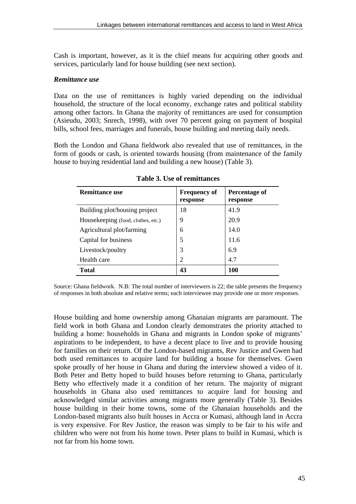Cash is important, however, as it is the chief means for acquiring other goods and services, particularly land for house building (see next section).

#### *Remittance use*

Data on the use of remittances is highly varied depending on the individual household, the structure of the local economy, exchange rates and political stability among other factors. In Ghana the majority of remittances are used for consumption (Asieudu, 2003; Snrech, 1998), with over 70 percent going on payment of hospital bills, school fees, marriages and funerals, house building and meeting daily needs.

Both the London and Ghana fieldwork also revealed that use of remittances, in the form of goods or cash, is oriented towards housing (from maintenance of the family house to buying residential land and building a new house) (Table 3).

| <b>Remittance use</b>              | <b>Frequency of</b><br>response | Percentage of<br>response |
|------------------------------------|---------------------------------|---------------------------|
| Building plot/housing project      | 18                              | 41.9                      |
| Housekeeping (food, clothes, etc.) | 9                               | 20.9                      |
| Agricultural plot/farming          | 6                               | 14.0                      |
| Capital for business               | 5                               | 11.6                      |
| Livestock/poultry                  | 3                               | 6.9                       |
| Health care                        | 2                               | 4.7                       |
| <b>Total</b>                       | 43                              | <b>100</b>                |

**Table 3. Use of remittances**

Source: Ghana fieldwork. N.B: The total number of interviewers is 22; the table presents the frequency of responses in both absolute and relative terms; each interviewee may provide one or more responses.

House building and home ownership among Ghanaian migrants are paramount. The field work in both Ghana and London clearly demonstrates the priority attached to building a home: households in Ghana and migrants in London spoke of migrants' aspirations to be independent, to have a decent place to live and to provide housing for families on their return. Of the London-based migrants, Rev Justice and Gwen had both used remittances to acquire land for building a house for themselves. Gwen spoke proudly of her house in Ghana and during the interview showed a video of it. Both Peter and Betty hoped to build houses before returning to Ghana, particularly Betty who effectively made it a condition of her return. The majority of migrant households in Ghana also used remittances to acquire land for housing and acknowledged similar activities among migrants more generally (Table 3). Besides house building in their home towns, some of the Ghanaian households and the London-based migrants also built houses in Accra or Kumasi, although land in Accra is very expensive. For Rev Justice, the reason was simply to be fair to his wife and children who were not from his home town. Peter plans to build in Kumasi, which is not far from his home town.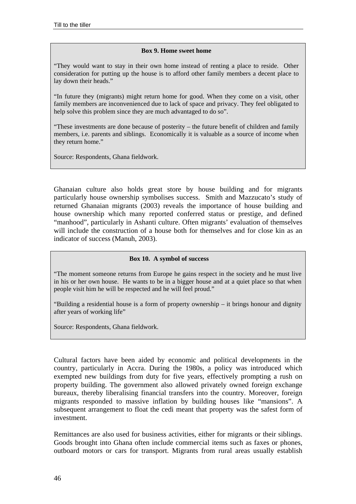#### **Box 9. Home sweet home**

"They would want to stay in their own home instead of renting a place to reside. Other consideration for putting up the house is to afford other family members a decent place to lay down their heads."

"In future they (migrants) might return home for good. When they come on a visit, other family members are inconvenienced due to lack of space and privacy. They feel obligated to help solve this problem since they are much advantaged to do so".

"These investments are done because of posterity – the future benefit of children and family members, i.e. parents and siblings. Economically it is valuable as a source of income when they return home."

Source: Respondents, Ghana fieldwork.

Ghanaian culture also holds great store by house building and for migrants particularly house ownership symbolises success. Smith and Mazzucato's study of returned Ghanaian migrants (2003) reveals the importance of house building and house ownership which many reported conferred status or prestige, and defined "manhood", particularly in Ashanti culture. Often migrants' evaluation of themselves will include the construction of a house both for themselves and for close kin as an indicator of success (Manuh, 2003).

#### **Box 10. A symbol of success**

"The moment someone returns from Europe he gains respect in the society and he must live in his or her own house. He wants to be in a bigger house and at a quiet place so that when people visit him he will be respected and he will feel proud."

"Building a residential house is a form of property ownership – it brings honour and dignity after years of working life"

Source: Respondents, Ghana fieldwork.

Cultural factors have been aided by economic and political developments in the country, particularly in Accra. During the 1980s, a policy was introduced which exempted new buildings from duty for five years, effectively prompting a rush on property building. The government also allowed privately owned foreign exchange bureaux, thereby liberalising financial transfers into the country. Moreover, foreign migrants responded to massive inflation by building houses like "mansions". A subsequent arrangement to float the cedi meant that property was the safest form of investment.

Remittances are also used for business activities, either for migrants or their siblings. Goods brought into Ghana often include commercial items such as faxes or phones, outboard motors or cars for transport. Migrants from rural areas usually establish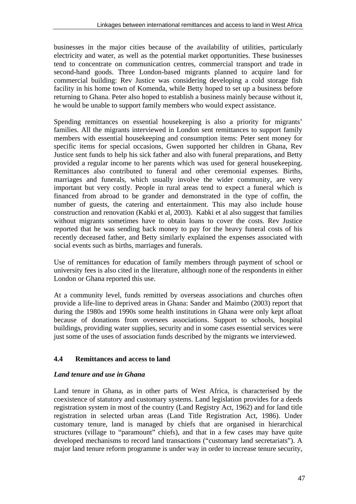businesses in the major cities because of the availability of utilities, particularly electricity and water, as well as the potential market opportunities. These businesses tend to concentrate on communication centres, commercial transport and trade in second-hand goods. Three London-based migrants planned to acquire land for commercial building: Rev Justice was considering developing a cold storage fish facility in his home town of Komenda, while Betty hoped to set up a business before returning to Ghana. Peter also hoped to establish a business mainly because without it, he would be unable to support family members who would expect assistance.

Spending remittances on essential housekeeping is also a priority for migrants' families. All the migrants interviewed in London sent remittances to support family members with essential housekeeping and consumption items: Peter sent money for specific items for special occasions, Gwen supported her children in Ghana, Rev Justice sent funds to help his sick father and also with funeral preparations, and Betty provided a regular income to her parents which was used for general housekeeping. Remittances also contributed to funeral and other ceremonial expenses. Births, marriages and funerals, which usually involve the wider community, are very important but very costly. People in rural areas tend to expect a funeral which is financed from abroad to be grander and demonstrated in the type of coffin, the number of guests, the catering and entertainment. This may also include house construction and renovation (Kabki et al, 2003). Kabki et al also suggest that families without migrants sometimes have to obtain loans to cover the costs. Rev Justice reported that he was sending back money to pay for the heavy funeral costs of his recently deceased father, and Betty similarly explained the expenses associated with social events such as births, marriages and funerals.

Use of remittances for education of family members through payment of school or university fees is also cited in the literature, although none of the respondents in either London or Ghana reported this use.

At a community level, funds remitted by overseas associations and churches often provide a life-line to deprived areas in Ghana: Sander and Maimbo (2003) report that during the 1980s and 1990s some health institutions in Ghana were only kept afloat because of donations from oversees associations. Support to schools, hospital buildings, providing water supplies, security and in some cases essential services were just some of the uses of association funds described by the migrants we interviewed.

# **4.4 Remittances and access to land**

## *Land tenure and use in Ghana*

Land tenure in Ghana, as in other parts of West Africa, is characterised by the coexistence of statutory and customary systems. Land legislation provides for a deeds registration system in most of the country (Land Registry Act, 1962) and for land title registration in selected urban areas (Land Title Registration Act, 1986). Under customary tenure, land is managed by chiefs that are organised in hierarchical structures (village to "paramount" chiefs), and that in a few cases may have quite developed mechanisms to record land transactions ("customary land secretariats"). A major land tenure reform programme is under way in order to increase tenure security,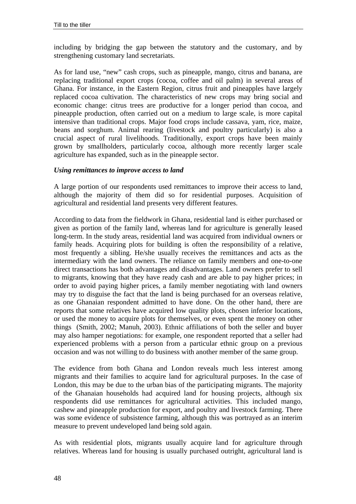including by bridging the gap between the statutory and the customary, and by strengthening customary land secretariats.

As for land use, "new" cash crops, such as pineapple, mango, citrus and banana, are replacing traditional export crops (cocoa, coffee and oil palm) in several areas of Ghana. For instance, in the Eastern Region, citrus fruit and pineapples have largely replaced cocoa cultivation. The characteristics of new crops may bring social and economic change: citrus trees are productive for a longer period than cocoa, and pineapple production, often carried out on a medium to large scale, is more capital intensive than traditional crops. Major food crops include cassava, yam, rice, maize, beans and sorghum. Animal rearing (livestock and poultry particularly) is also a crucial aspect of rural livelihoods. Traditionally, export crops have been mainly grown by smallholders, particularly cocoa, although more recently larger scale agriculture has expanded, such as in the pineapple sector.

#### *Using remittances to improve access to land*

A large portion of our respondents used remittances to improve their access to land, although the majority of them did so for residential purposes. Acquisition of agricultural and residential land presents very different features.

According to data from the fieldwork in Ghana, residential land is either purchased or given as portion of the family land, whereas land for agriculture is generally leased long-term. In the study areas, residential land was acquired from individual owners or family heads. Acquiring plots for building is often the responsibility of a relative, most frequently a sibling. He/she usually receives the remittances and acts as the intermediary with the land owners. The reliance on family members and one-to-one direct transactions has both advantages and disadvantages. Land owners prefer to sell to migrants, knowing that they have ready cash and are able to pay higher prices; in order to avoid paying higher prices, a family member negotiating with land owners may try to disguise the fact that the land is being purchased for an overseas relative, as one Ghanaian respondent admitted to have done. On the other hand, there are reports that some relatives have acquired low quality plots, chosen inferior locations, or used the money to acquire plots for themselves, or even spent the money on other things (Smith, 2002; Manuh, 2003). Ethnic affiliations of both the seller and buyer may also hamper negotiations: for example, one respondent reported that a seller had experienced problems with a person from a particular ethnic group on a previous occasion and was not willing to do business with another member of the same group.

The evidence from both Ghana and London reveals much less interest among migrants and their families to acquire land for agricultural purposes. In the case of London, this may be due to the urban bias of the participating migrants. The majority of the Ghanaian households had acquired land for housing projects, although six respondents did use remittances for agricultural activities. This included mango, cashew and pineapple production for export, and poultry and livestock farming. There was some evidence of subsistence farming, although this was portrayed as an interim measure to prevent undeveloped land being sold again.

As with residential plots, migrants usually acquire land for agriculture through relatives. Whereas land for housing is usually purchased outright, agricultural land is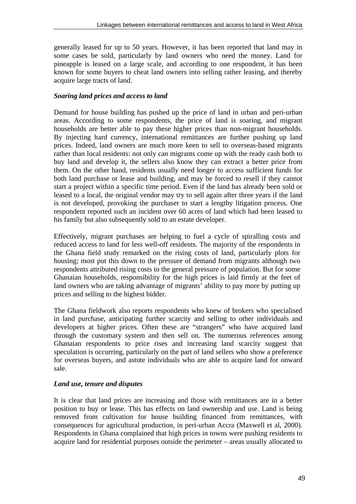generally leased for up to 50 years. However, it has been reported that land may in some cases be sold, particularly by land owners who need the money. Land for pineapple is leased on a large scale, and according to one respondent, it has been known for some buyers to cheat land owners into selling rather leasing, and thereby acquire large tracts of land.

# *Soaring land prices and access to land*

Demand for house building has pushed up the price of land in urban and peri-urban areas. According to some respondents, the price of land is soaring, and migrant households are better able to pay these higher prices than non-migrant households. By injecting hard currency, international remittances are further pushing up land prices. Indeed, land owners are much more keen to sell to overseas-based migrants rather than local residents: not only can migrants come up with the ready cash both to buy land and develop it, the sellers also know they can extract a better price from them. On the other hand, residents usually need longer to access sufficient funds for both land purchase or lease and building, and may be forced to resell if they cannot start a project within a specific time period. Even if the land has already been sold or leased to a local, the original vendor may try to sell again after three years if the land is not developed, provoking the purchaser to start a lengthy litigation process. One respondent reported such an incident over 60 acres of land which had been leased to his family but also subsequently sold to an estate developer.

Effectively, migrant purchases are helping to fuel a cycle of spiralling costs and reduced access to land for less well-off residents. The majority of the respondents in the Ghana field study remarked on the rising costs of land, particularly plots for housing; most put this down to the pressure of demand from migrants although two respondents attributed rising costs to the general pressure of population. But for some Ghanaian households, responsibility for the high prices is laid firmly at the feet of land owners who are taking advantage of migrants' ability to pay more by putting up prices and selling to the highest bidder.

The Ghana fieldwork also reports respondents who knew of brokers who specialised in land purchase, anticipating further scarcity and selling to other individuals and developers at higher prices. Often these are "strangers" who have acquired land through the customary system and then sell on. The numerous references among Ghanaian respondents to price rises and increasing land scarcity suggest that speculation is occurring, particularly on the part of land sellers who show a preference for overseas buyers, and astute individuals who are able to acquire land for onward sale.

# *Land use, tenure and disputes*

It is clear that land prices are increasing and those with remittances are in a better position to buy or lease. This has effects on land ownership and use. Land is being removed from cultivation for house building financed from remittances, with consequences for agricultural production, in peri-urban Accra (Maxwell et al, 2000). Respondents in Ghana complained that high prices in towns were pushing residents to acquire land for residential purposes outside the perimeter – areas usually allocated to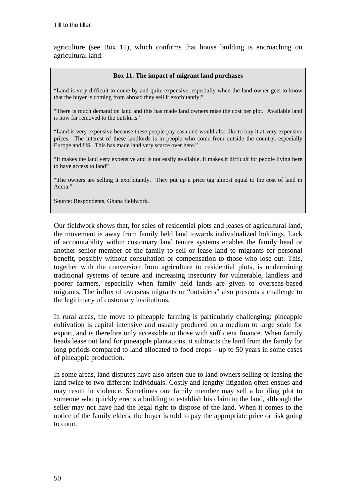agriculture (see Box 11), which confirms that house building is encroaching on agricultural land.

#### **Box 11. The impact of migrant land purchases**

"Land is very difficult to come by and quite expensive, especially when the land owner gets to know that the buyer is coming from abroad they sell it exorbitantly."

"There is much demand on land and this has made land owners raise the cost per plot. Available land is now far removed to the outskirts."

"Land is very expensive because these people pay cash and would also like to buy it at very expensive prices. The interest of these landlords is in people who come from outside the country, especially Europe and US. This has made land very scarce over here."

"It makes the land very expensive and is not easily available. It makes it difficult for people living here to have access to land"

"The owners are selling it exorbitantly. They put up a price tag almost equal to the cost of land in Accra."

Source: Respondents, Ghana fieldwork.

Our fieldwork shows that, for sales of residential plots and leases of agricultural land, the movement is away from family held land towards individualized holdings. Lack of accountability within customary land tenure systems enables the family head or another senior member of the family to sell or lease land to migrants for personal benefit, possibly without consultation or compensation to those who lose out. This, together with the conversion from agriculture to residential plots, is undermining traditional systems of tenure and increasing insecurity for vulnerable, landless and poorer farmers, especially when family held lands are given to overseas-based migrants. The influx of overseas migrants or "outsiders" also presents a challenge to the legitimacy of customary institutions.

In rural areas, the move to pineapple farming is particularly challenging: pineapple cultivation is capital intensive and usually produced on a medium to large scale for export, and is therefore only accessible to those with sufficient finance. When family heads lease out land for pineapple plantations, it subtracts the land from the family for long periods compared to land allocated to food crops – up to 50 years in some cases of pineapple production.

In some areas, land disputes have also arisen due to land owners selling or leasing the land twice to two different individuals. Costly and lengthy litigation often ensues and may result in violence. Sometimes one family member may sell a building plot to someone who quickly erects a building to establish his claim to the land, although the seller may not have had the legal right to dispose of the land. When it comes to the notice of the family elders, the buyer is told to pay the appropriate price or risk going to court.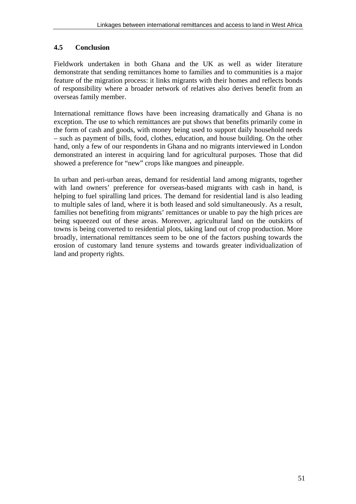# **4.5 Conclusion**

Fieldwork undertaken in both Ghana and the UK as well as wider literature demonstrate that sending remittances home to families and to communities is a major feature of the migration process: it links migrants with their homes and reflects bonds of responsibility where a broader network of relatives also derives benefit from an overseas family member.

International remittance flows have been increasing dramatically and Ghana is no exception. The use to which remittances are put shows that benefits primarily come in the form of cash and goods, with money being used to support daily household needs – such as payment of bills, food, clothes, education, and house building. On the other hand, only a few of our respondents in Ghana and no migrants interviewed in London demonstrated an interest in acquiring land for agricultural purposes. Those that did showed a preference for "new" crops like mangoes and pineapple.

In urban and peri-urban areas, demand for residential land among migrants, together with land owners' preference for overseas-based migrants with cash in hand, is helping to fuel spiralling land prices. The demand for residential land is also leading to multiple sales of land, where it is both leased and sold simultaneously. As a result, families not benefiting from migrants' remittances or unable to pay the high prices are being squeezed out of these areas. Moreover, agricultural land on the outskirts of towns is being converted to residential plots, taking land out of crop production. More broadly, international remittances seem to be one of the factors pushing towards the erosion of customary land tenure systems and towards greater individualization of land and property rights.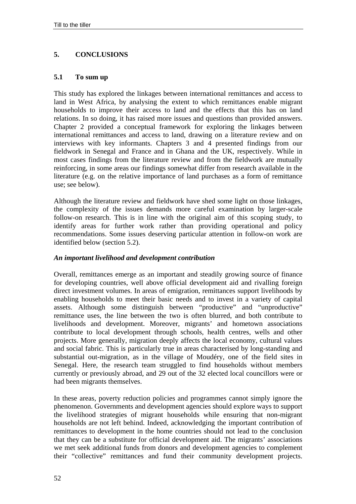# **5. CONCLUSIONS**

#### **5.1 To sum up**

This study has explored the linkages between international remittances and access to land in West Africa, by analysing the extent to which remittances enable migrant households to improve their access to land and the effects that this has on land relations. In so doing, it has raised more issues and questions than provided answers. Chapter 2 provided a conceptual framework for exploring the linkages between international remittances and access to land, drawing on a literature review and on interviews with key informants. Chapters 3 and 4 presented findings from our fieldwork in Senegal and France and in Ghana and the UK, respectively. While in most cases findings from the literature review and from the fieldwork are mutually reinforcing, in some areas our findings somewhat differ from research available in the literature (e.g. on the relative importance of land purchases as a form of remittance use; see below).

Although the literature review and fieldwork have shed some light on those linkages, the complexity of the issues demands more careful examination by larger-scale follow-on research. This is in line with the original aim of this scoping study, to identify areas for further work rather than providing operational and policy recommendations. Some issues deserving particular attention in follow-on work are identified below (section 5.2).

#### *An important livelihood and development contribution*

Overall, remittances emerge as an important and steadily growing source of finance for developing countries, well above official development aid and rivalling foreign direct investment volumes. In areas of emigration, remittances support livelihoods by enabling households to meet their basic needs and to invest in a variety of capital assets. Although some distinguish between "productive" and "unproductive" remittance uses, the line between the two is often blurred, and both contribute to livelihoods and development. Moreover, migrants' and hometown associations contribute to local development through schools, health centres, wells and other projects. More generally, migration deeply affects the local economy, cultural values and social fabric. This is particularly true in areas characterised by long-standing and substantial out-migration, as in the village of Moudéry, one of the field sites in Senegal. Here, the research team struggled to find households without members currently or previously abroad, and 29 out of the 32 elected local councillors were or had been migrants themselves.

In these areas, poverty reduction policies and programmes cannot simply ignore the phenomenon. Governments and development agencies should explore ways to support the livelihood strategies of migrant households while ensuring that non-migrant households are not left behind. Indeed, acknowledging the important contribution of remittances to development in the home countries should not lead to the conclusion that they can be a substitute for official development aid. The migrants' associations we met seek additional funds from donors and development agencies to complement their "collective" remittances and fund their community development projects.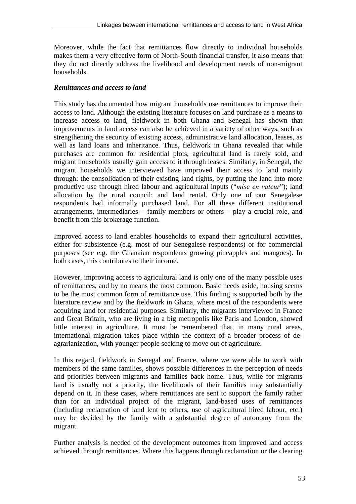Moreover, while the fact that remittances flow directly to individual households makes them a very effective form of North-South financial transfer, it also means that they do not directly address the livelihood and development needs of non-migrant households.

# *Remittances and access to land*

This study has documented how migrant households use remittances to improve their access to land. Although the existing literature focuses on land purchase as a means to increase access to land, fieldwork in both Ghana and Senegal has shown that improvements in land access can also be achieved in a variety of other ways, such as strengthening the security of existing access, administrative land allocation, leases, as well as land loans and inheritance. Thus, fieldwork in Ghana revealed that while purchases are common for residential plots, agricultural land is rarely sold, and migrant households usually gain access to it through leases. Similarly, in Senegal, the migrant households we interviewed have improved their access to land mainly through: the consolidation of their existing land rights, by putting the land into more productive use through hired labour and agricultural inputs ("*mise en valeur*"); land allocation by the rural council; and land rental. Only one of our Senegalese respondents had informally purchased land. For all these different institutional arrangements, intermediaries – family members or others – play a crucial role, and benefit from this brokerage function.

Improved access to land enables households to expand their agricultural activities, either for subsistence (e.g. most of our Senegalese respondents) or for commercial purposes (see e.g. the Ghanaian respondents growing pineapples and mangoes). In both cases, this contributes to their income.

However, improving access to agricultural land is only one of the many possible uses of remittances, and by no means the most common. Basic needs aside, housing seems to be the most common form of remittance use. This finding is supported both by the literature review and by the fieldwork in Ghana, where most of the respondents were acquiring land for residential purposes. Similarly, the migrants interviewed in France and Great Britain, who are living in a big metropolis like Paris and London, showed little interest in agriculture. It must be remembered that, in many rural areas, international migration takes place within the context of a broader process of deagrarianization, with younger people seeking to move out of agriculture.

In this regard, fieldwork in Senegal and France, where we were able to work with members of the same families, shows possible differences in the perception of needs and priorities between migrants and families back home. Thus, while for migrants land is usually not a priority, the livelihoods of their families may substantially depend on it. In these cases, where remittances are sent to support the family rather than for an individual project of the migrant, land-based uses of remittances (including reclamation of land lent to others, use of agricultural hired labour, etc.) may be decided by the family with a substantial degree of autonomy from the migrant.

Further analysis is needed of the development outcomes from improved land access achieved through remittances. Where this happens through reclamation or the clearing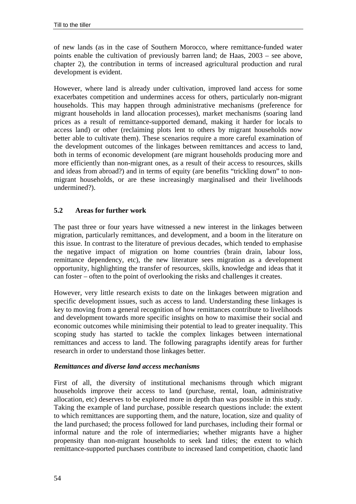of new lands (as in the case of Southern Morocco, where remittance-funded water points enable the cultivation of previously barren land; de Haas, 2003 – see above, chapter 2), the contribution in terms of increased agricultural production and rural development is evident.

However, where land is already under cultivation, improved land access for some exacerbates competition and undermines access for others, particularly non-migrant households. This may happen through administrative mechanisms (preference for migrant households in land allocation processes), market mechanisms (soaring land prices as a result of remittance-supported demand, making it harder for locals to access land) or other (reclaiming plots lent to others by migrant households now better able to cultivate them). These scenarios require a more careful examination of the development outcomes of the linkages between remittances and access to land, both in terms of economic development (are migrant households producing more and more efficiently than non-migrant ones, as a result of their access to resources, skills and ideas from abroad?) and in terms of equity (are benefits "trickling down" to nonmigrant households, or are these increasingly marginalised and their livelihoods undermined?).

## **5.2 Areas for further work**

The past three or four years have witnessed a new interest in the linkages between migration, particularly remittances, and development, and a boom in the literature on this issue. In contrast to the literature of previous decades, which tended to emphasise the negative impact of migration on home countries (brain drain, labour loss, remittance dependency, etc), the new literature sees migration as a development opportunity, highlighting the transfer of resources, skills, knowledge and ideas that it can foster – often to the point of overlooking the risks and challenges it creates.

However, very little research exists to date on the linkages between migration and specific development issues, such as access to land. Understanding these linkages is key to moving from a general recognition of how remittances contribute to livelihoods and development towards more specific insights on how to maximise their social and economic outcomes while minimising their potential to lead to greater inequality. This scoping study has started to tackle the complex linkages between international remittances and access to land. The following paragraphs identify areas for further research in order to understand those linkages better.

#### *Remittances and diverse land access mechanisms*

First of all, the diversity of institutional mechanisms through which migrant households improve their access to land (purchase, rental, loan, administrative allocation, etc) deserves to be explored more in depth than was possible in this study. Taking the example of land purchase, possible research questions include: the extent to which remittances are supporting them, and the nature, location, size and quality of the land purchased; the process followed for land purchases, including their formal or informal nature and the role of intermediaries; whether migrants have a higher propensity than non-migrant households to seek land titles; the extent to which remittance-supported purchases contribute to increased land competition, chaotic land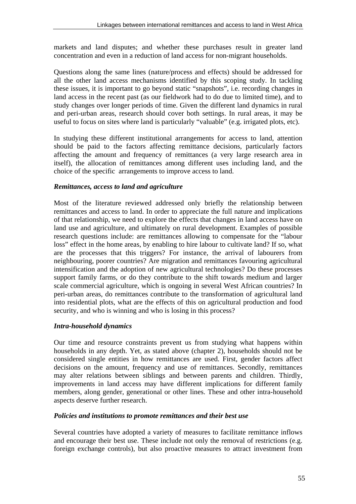markets and land disputes; and whether these purchases result in greater land concentration and even in a reduction of land access for non-migrant households.

Questions along the same lines (nature/process and effects) should be addressed for all the other land access mechanisms identified by this scoping study. In tackling these issues, it is important to go beyond static "snapshots", i.e. recording changes in land access in the recent past (as our fieldwork had to do due to limited time), and to study changes over longer periods of time. Given the different land dynamics in rural and peri-urban areas, research should cover both settings. In rural areas, it may be useful to focus on sites where land is particularly "valuable" (e.g. irrigated plots, etc).

In studying these different institutional arrangements for access to land, attention should be paid to the factors affecting remittance decisions, particularly factors affecting the amount and frequency of remittances (a very large research area in itself), the allocation of remittances among different uses including land, and the choice of the specific arrangements to improve access to land.

# *Remittances, access to land and agriculture*

Most of the literature reviewed addressed only briefly the relationship between remittances and access to land. In order to appreciate the full nature and implications of that relationship, we need to explore the effects that changes in land access have on land use and agriculture, and ultimately on rural development. Examples of possible research questions include: are remittances allowing to compensate for the "labour loss" effect in the home areas, by enabling to hire labour to cultivate land? If so, what are the processes that this triggers? For instance, the arrival of labourers from neighbouring, poorer countries? Are migration and remittances favouring agricultural intensification and the adoption of new agricultural technologies? Do these processes support family farms, or do they contribute to the shift towards medium and larger scale commercial agriculture, which is ongoing in several West African countries? In peri-urban areas, do remittances contribute to the transformation of agricultural land into residential plots, what are the effects of this on agricultural production and food security, and who is winning and who is losing in this process?

## *Intra-household dynamics*

Our time and resource constraints prevent us from studying what happens within households in any depth. Yet, as stated above (chapter 2), households should not be considered single entities in how remittances are used. First, gender factors affect decisions on the amount, frequency and use of remittances. Secondly, remittances may alter relations between siblings and between parents and children. Thirdly, improvements in land access may have different implications for different family members, along gender, generational or other lines. These and other intra-household aspects deserve further research.

## *Policies and institutions to promote remittances and their best use*

Several countries have adopted a variety of measures to facilitate remittance inflows and encourage their best use. These include not only the removal of restrictions (e.g. foreign exchange controls), but also proactive measures to attract investment from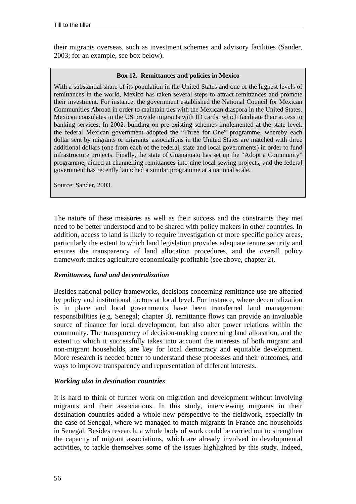their migrants overseas, such as investment schemes and advisory facilities (Sander, 2003; for an example, see box below).

#### **Box 12. Remittances and policies in Mexico**

With a substantial share of its population in the United States and one of the highest levels of remittances in the world, Mexico has taken several steps to attract remittances and promote their investment. For instance, the government established the National Council for Mexican Communities Abroad in order to maintain ties with the Mexican diaspora in the United States. Mexican consulates in the US provide migrants with ID cards, which facilitate their access to banking services. In 2002, building on pre-existing schemes implemented at the state level, the federal Mexican government adopted the "Three for One" programme, whereby each dollar sent by migrants or migrants' associations in the United States are matched with three additional dollars (one from each of the federal, state and local governments) in order to fund infrastructure projects. Finally, the state of Guanajuato has set up the "Adopt a Community" programme, aimed at channelling remittances into nine local sewing projects, and the federal government has recently launched a similar programme at a national scale.

Source: Sander, 2003.

The nature of these measures as well as their success and the constraints they met need to be better understood and to be shared with policy makers in other countries. In addition, access to land is likely to require investigation of more specific policy areas, particularly the extent to which land legislation provides adequate tenure security and ensures the transparency of land allocation procedures, and the overall policy framework makes agriculture economically profitable (see above, chapter 2).

#### *Remittances, land and decentralization*

Besides national policy frameworks, decisions concerning remittance use are affected by policy and institutional factors at local level. For instance, where decentralization is in place and local governments have been transferred land management responsibilities (e.g. Senegal; chapter 3), remittance flows can provide an invaluable source of finance for local development, but also alter power relations within the community. The transparency of decision-making concerning land allocation, and the extent to which it successfully takes into account the interests of both migrant and non-migrant households, are key for local democracy and equitable development. More research is needed better to understand these processes and their outcomes, and ways to improve transparency and representation of different interests.

#### *Working also in destination countries*

It is hard to think of further work on migration and development without involving migrants and their associations. In this study, interviewing migrants in their destination countries added a whole new perspective to the fieldwork, especially in the case of Senegal, where we managed to match migrants in France and households in Senegal. Besides research, a whole body of work could be carried out to strengthen the capacity of migrant associations, which are already involved in developmental activities, to tackle themselves some of the issues highlighted by this study. Indeed,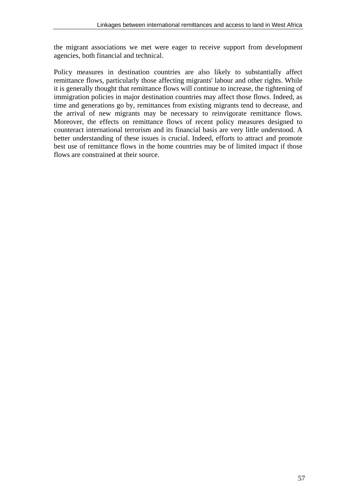the migrant associations we met were eager to receive support from development agencies, both financial and technical.

Policy measures in destination countries are also likely to substantially affect remittance flows, particularly those affecting migrants' labour and other rights. While it is generally thought that remittance flows will continue to increase, the tightening of immigration policies in major destination countries may affect those flows. Indeed, as time and generations go by, remittances from existing migrants tend to decrease, and the arrival of new migrants may be necessary to reinvigorate remittance flows. Moreover, the effects on remittance flows of recent policy measures designed to counteract international terrorism and its financial basis are very little understood. A better understanding of these issues is crucial. Indeed, efforts to attract and promote best use of remittance flows in the home countries may be of limited impact if those flows are constrained at their source.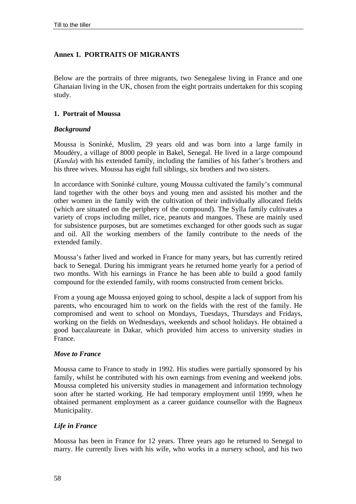## **Annex 1. PORTRAITS OF MIGRANTS**

Below are the portraits of three migrants, two Senegalese living in France and one Ghanaian living in the UK, chosen from the eight portraits undertaken for this scoping study.

#### **1. Portrait of Moussa**

#### *Background*

Moussa is Soninké, Muslim, 29 years old and was born into a large family in Moudéry, a village of 8000 people in Bakel, Senegal. He lived in a large compound (*Kunda*) with his extended family, including the families of his father's brothers and his three wives. Moussa has eight full siblings, six brothers and two sisters.

In accordance with Soninké culture, young Moussa cultivated the family's communal land together with the other boys and young men and assisted his mother and the other women in the family with the cultivation of their individually allocated fields (which are situated on the periphery of the compound). The Sylla family cultivates a variety of crops including millet, rice, peanuts and mangoes. These are mainly used for subsistence purposes, but are sometimes exchanged for other goods such as sugar and oil. All the working members of the family contribute to the needs of the extended family.

Moussa's father lived and worked in France for many years, but has currently retired back to Senegal. During his immigrant years he returned home yearly for a period of two months. With his earnings in France he has been able to build a good family compound for the extended family, with rooms constructed from cement bricks.

From a young age Moussa enjoyed going to school, despite a lack of support from his parents, who encouraged him to work on the fields with the rest of the family. He compromised and went to school on Mondays, Tuesdays, Thursdays and Fridays, working on the fields on Wednesdays, weekends and school holidays. He obtained a good baccalaureate in Dakar, which provided him access to university studies in France.

#### *Move to France*

Moussa came to France to study in 1992. His studies were partially sponsored by his family, whilst he contributed with his own earnings from evening and weekend jobs. Moussa completed his university studies in management and information technology soon after he started working. He had temporary employment until 1999, when he obtained permanent employment as a career guidance counsellor with the Bagneux Municipality.

## *Life in France*

Moussa has been in France for 12 years. Three years ago he returned to Senegal to marry. He currently lives with his wife, who works in a nursery school, and his two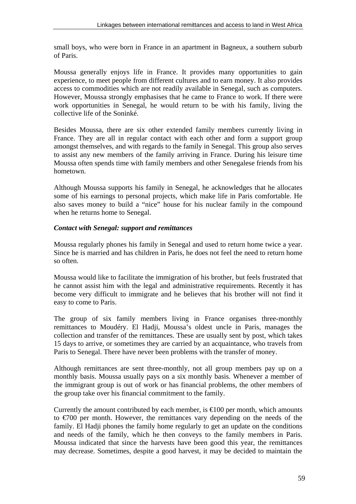small boys, who were born in France in an apartment in Bagneux, a southern suburb of Paris.

Moussa generally enjoys life in France. It provides many opportunities to gain experience, to meet people from different cultures and to earn money. It also provides access to commodities which are not readily available in Senegal, such as computers. However, Moussa strongly emphasises that he came to France to work. If there were work opportunities in Senegal, he would return to be with his family, living the collective life of the Soninké.

Besides Moussa, there are six other extended family members currently living in France. They are all in regular contact with each other and form a support group amongst themselves, and with regards to the family in Senegal. This group also serves to assist any new members of the family arriving in France. During his leisure time Moussa often spends time with family members and other Senegalese friends from his hometown.

Although Moussa supports his family in Senegal, he acknowledges that he allocates some of his earnings to personal projects, which make life in Paris comfortable. He also saves money to build a "nice" house for his nuclear family in the compound when he returns home to Senegal.

# *Contact with Senegal: support and remittances*

Moussa regularly phones his family in Senegal and used to return home twice a year. Since he is married and has children in Paris, he does not feel the need to return home so often.

Moussa would like to facilitate the immigration of his brother, but feels frustrated that he cannot assist him with the legal and administrative requirements. Recently it has become very difficult to immigrate and he believes that his brother will not find it easy to come to Paris.

The group of six family members living in France organises three-monthly remittances to Moudéry. El Hadji, Moussa's oldest uncle in Paris, manages the collection and transfer of the remittances. These are usually sent by post, which takes 15 days to arrive, or sometimes they are carried by an acquaintance, who travels from Paris to Senegal. There have never been problems with the transfer of money.

Although remittances are sent three-monthly, not all group members pay up on a monthly basis. Moussa usually pays on a six monthly basis. Whenever a member of the immigrant group is out of work or has financial problems, the other members of the group take over his financial commitment to the family.

Currently the amount contributed by each member, is  $\in$  100 per month, which amounts to €700 per month. However, the remittances vary depending on the needs of the family. El Hadji phones the family home regularly to get an update on the conditions and needs of the family, which he then conveys to the family members in Paris. Moussa indicated that since the harvests have been good this year, the remittances may decrease. Sometimes, despite a good harvest, it may be decided to maintain the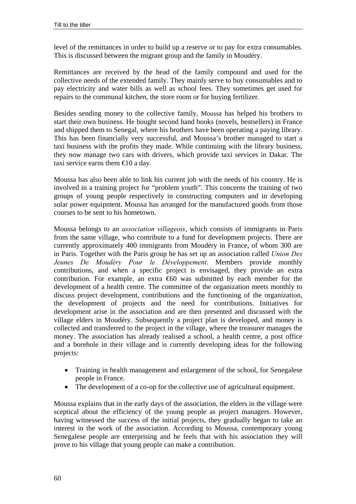level of the remittances in order to build up a reserve or to pay for extra consumables. This is discussed between the migrant group and the family in Moudéry.

Remittances are received by the head of the family compound and used for the collective needs of the extended family. They mainly serve to buy consumables and to pay electricity and water bills as well as school fees. They sometimes get used for repairs to the communal kitchen, the store room or for buying fertilizer.

Besides sending money to the collective family, Moussa has helped his brothers to start their own business. He bought second hand books (novels, bestsellers) in France and shipped them to Senegal, where his brothers have been operating a paying library. This has been financially very successful, and Moussa's brother managed to start a taxi business with the profits they made. While continuing with the library business, they now manage two cars with drivers, which provide taxi services in Dakar. The taxi service earns them  $\bigoplus$  0 a day.

Moussa has also been able to link his current job with the needs of his country. He is involved in a training project for "problem youth". This concerns the training of two groups of young people respectively in constructing computers and in developing solar power equipment. Moussa has arranged for the manufactured goods from those courses to be sent to his hometown.

Moussa belongs to an *association villageois*, which consists of immigrants in Paris from the same village, who contribute to a fund for development projects. There are currently approximately 400 immigrants from Moudéry in France, of whom 300 are in Paris. Together with the Paris group he has set up an association called *Union Des Jeunes De MoudÈry Pour le DÈveloppement*. Members provide monthly contributions, and when a specific project is envisaged, they provide an extra contribution. For example, an extra  $\bigoplus$  was submitted by each member for the development of a health centre. The committee of the organization meets monthly to discuss project development, contributions and the functioning of the organization, the development of projects and the need for contributions. Initiatives for development arise in the association and are then presented and discussed with the village elders in Moudéry. Subsequently a project plan is developed, and money is collected and transferred to the project in the village, where the treasurer manages the money. The association has already realised a school, a health centre, a post office and a borehole in their village and is currently developing ideas for the following projects:

- Training in health management and enlargement of the school, for Senegalese people in France.
- The development of a co-op for the collective use of agricultural equipment.

Moussa explains that in the early days of the association, the elders in the village were sceptical about the efficiency of the young people as project managers. However, having witnessed the success of the initial projects, they gradually began to take an interest in the work of the association. According to Moussa, contemporary young Senegalese people are enterprising and he feels that with his association they will prove to his village that young people can make a contribution.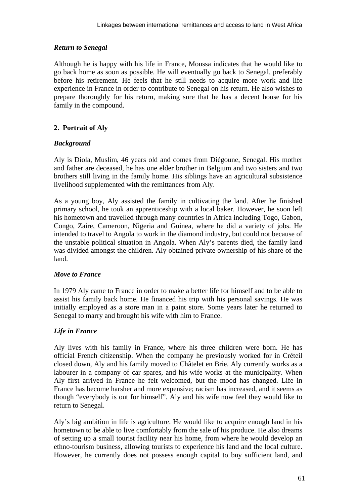# *Return to Senegal*

Although he is happy with his life in France, Moussa indicates that he would like to go back home as soon as possible. He will eventually go back to Senegal, preferably before his retirement. He feels that he still needs to acquire more work and life experience in France in order to contribute to Senegal on his return. He also wishes to prepare thoroughly for his return, making sure that he has a decent house for his family in the compound.

# **2. Portrait of Aly**

## *Background*

Aly is Diola, Muslim, 46 years old and comes from Diégoune, Senegal. His mother and father are deceased, he has one elder brother in Belgium and two sisters and two brothers still living in the family home. His siblings have an agricultural subsistence livelihood supplemented with the remittances from Aly.

As a young boy, Aly assisted the family in cultivating the land. After he finished primary school, he took an apprenticeship with a local baker. However, he soon left his hometown and travelled through many countries in Africa including Togo, Gabon, Congo, Zaire, Cameroon, Nigeria and Guinea, where he did a variety of jobs. He intended to travel to Angola to work in the diamond industry, but could not because of the unstable political situation in Angola. When Aly's parents died, the family land was divided amongst the children. Aly obtained private ownership of his share of the land.

## *Move to France*

In 1979 Aly came to France in order to make a better life for himself and to be able to assist his family back home. He financed his trip with his personal savings. He was initially employed as a store man in a paint store. Some years later he returned to Senegal to marry and brought his wife with him to France.

# *Life in France*

Aly lives with his family in France, where his three children were born. He has official French citizenship. When the company he previously worked for in Créteil closed down, Aly and his family moved to Châtelet en Brie. Aly currently works as a labourer in a company of car spares, and his wife works at the municipality. When Aly first arrived in France he felt welcomed, but the mood has changed. Life in France has become harsher and more expensive; racism has increased, and it seems as though "everybody is out for himself". Aly and his wife now feel they would like to return to Senegal.

Aly's big ambition in life is agriculture. He would like to acquire enough land in his hometown to be able to live comfortably from the sale of his produce. He also dreams of setting up a small tourist facility near his home, from where he would develop an ethno-tourism business, allowing tourists to experience his land and the local culture. However, he currently does not possess enough capital to buy sufficient land, and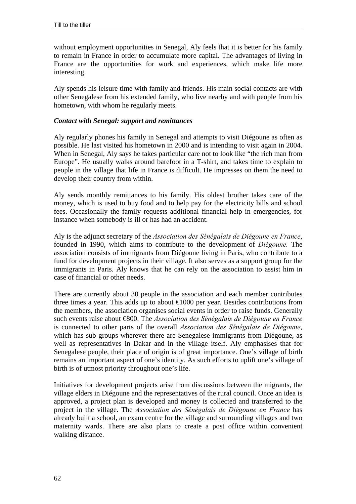without employment opportunities in Senegal, Aly feels that it is better for his family to remain in France in order to accumulate more capital. The advantages of living in France are the opportunities for work and experiences, which make life more interesting.

Aly spends his leisure time with family and friends. His main social contacts are with other Senegalese from his extended family, who live nearby and with people from his hometown, with whom he regularly meets.

#### *Contact with Senegal: support and remittances*

Aly regularly phones his family in Senegal and attempts to visit Diégoune as often as possible. He last visited his hometown in 2000 and is intending to visit again in 2004. When in Senegal, Aly says he takes particular care not to look like "the rich man from Europe". He usually walks around barefoot in a T-shirt, and takes time to explain to people in the village that life in France is difficult. He impresses on them the need to develop their country from within.

Aly sends monthly remittances to his family. His oldest brother takes care of the money, which is used to buy food and to help pay for the electricity bills and school fees. Occasionally the family requests additional financial help in emergencies, for instance when somebody is ill or has had an accident.

Aly is the adjunct secretary of the *Association des Sénégalais de Diégoune en France*, founded in 1990, which aims to contribute to the development of *DiÈgoune.* The association consists of immigrants from Diégoune living in Paris, who contribute to a fund for development projects in their village. It also serves as a support group for the immigrants in Paris. Aly knows that he can rely on the association to assist him in case of financial or other needs.

There are currently about 30 people in the association and each member contributes three times a year. This adds up to about  $\bigoplus$  000 per year. Besides contributions from the members, the association organises social events in order to raise funds. Generally such events raise about €800. The *Association des SÈnÈgalais de DiÈgoune en France* is connected to other parts of the overall *Association des SÈnÈgalais de DiÈgoune*, which has sub groups wherever there are Senegalese immigrants from Diégoune, as well as representatives in Dakar and in the village itself. Aly emphasises that for Senegalese people, their place of origin is of great importance. One's village of birth remains an important aspect of one's identity. As such efforts to uplift one's village of birth is of utmost priority throughout one's life.

Initiatives for development projects arise from discussions between the migrants, the village elders in Diégoune and the representatives of the rural council. Once an idea is approved, a project plan is developed and money is collected and transferred to the project in the village. The *Association des SÈnÈgalais de DiÈgoune en France* has already built a school, an exam centre for the village and surrounding villages and two maternity wards. There are also plans to create a post office within convenient walking distance.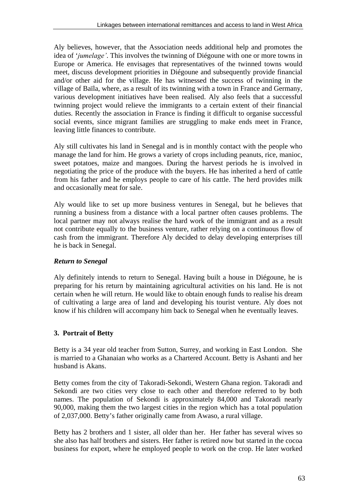Aly believes, however, that the Association needs additional help and promotes the idea of '*jumelage*'. This involves the twinning of Diégoune with one or more towns in Europe or America. He envisages that representatives of the twinned towns would meet, discuss development priorities in Diégoune and subsequently provide financial and/or other aid for the village. He has witnessed the success of twinning in the village of Baïla, where, as a result of its twinning with a town in France and Germany, various development initiatives have been realised. Aly also feels that a successful twinning project would relieve the immigrants to a certain extent of their financial duties. Recently the association in France is finding it difficult to organise successful social events, since migrant families are struggling to make ends meet in France, leaving little finances to contribute.

Aly still cultivates his land in Senegal and is in monthly contact with the people who manage the land for him. He grows a variety of crops including peanuts, rice, manioc, sweet potatoes, maize and mangoes. During the harvest periods he is involved in negotiating the price of the produce with the buyers. He has inherited a herd of cattle from his father and he employs people to care of his cattle. The herd provides milk and occasionally meat for sale.

Aly would like to set up more business ventures in Senegal, but he believes that running a business from a distance with a local partner often causes problems. The local partner may not always realise the hard work of the immigrant and as a result not contribute equally to the business venture, rather relying on a continuous flow of cash from the immigrant. Therefore Aly decided to delay developing enterprises till he is back in Senegal.

# *Return to Senegal*

Aly definitely intends to return to Senegal. Having built a house in Diégoune, he is preparing for his return by maintaining agricultural activities on his land. He is not certain when he will return. He would like to obtain enough funds to realise his dream of cultivating a large area of land and developing his tourist venture. Aly does not know if his children will accompany him back to Senegal when he eventually leaves.

# **3. Portrait of Betty**

Betty is a 34 year old teacher from Sutton, Surrey, and working in East London. She is married to a Ghanaian who works as a Chartered Account. Betty is Ashanti and her husband is Akans.

Betty comes from the city of Takoradi-Sekondi, Western Ghana region. Takoradi and Sekondi are two cities very close to each other and therefore referred to by both names. The population of Sekondi is approximately 84,000 and Takoradi nearly 90,000, making them the two largest cities in the region which has a total population of 2,037,000. Betty's father originally came from Awaso, a rural village.

Betty has 2 brothers and 1 sister, all older than her. Her father has several wives so she also has half brothers and sisters. Her father is retired now but started in the cocoa business for export, where he employed people to work on the crop. He later worked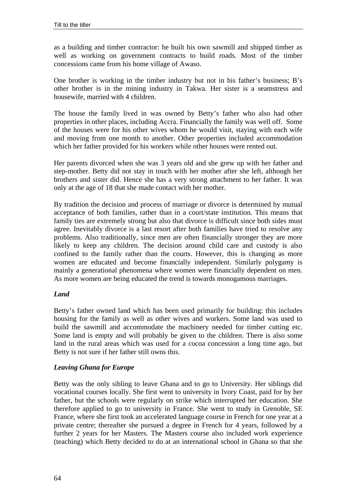as a building and timber contractor: he built his own sawmill and shipped timber as well as working on government contracts to build roads. Most of the timber concessions came from his home village of Awaso.

One brother is working in the timber industry but not in his father's business; B's other brother is in the mining industry in Takwa. Her sister is a seamstress and housewife, married with 4 children.

The house the family lived in was owned by Betty's father who also had other properties in other places, including Accra. Financially the family was well off. Some of the houses were for his other wives whom he would visit, staying with each wife and moving from one month to another. Other properties included accommodation which her father provided for his workers while other houses were rented out.

Her parents divorced when she was 3 years old and she grew up with her father and step-mother. Betty did not stay in touch with her mother after she left, although her brothers and sister did. Hence she has a very strong attachment to her father. It was only at the age of 18 that she made contact with her mother.

By tradition the decision and process of marriage or divorce is determined by mutual acceptance of both families, rather than in a court/state institution. This means that family ties are extremely strong but also that divorce is difficult since both sides must agree. Inevitably divorce is a last resort after both families have tried to resolve any problems. Also traditionally, since men are often financially stronger they are more likely to keep any children. The decision around child care and custody is also confined to the family rather than the courts. However, this is changing as more women are educated and become financially independent. Similarly polygamy is mainly a generational phenomena where women were financially dependent on men. As more women are being educated the trend is towards monogamous marriages.

## *Land*

Betty's father owned land which has been used primarily for building: this includes housing for the family as well as other wives and workers. Some land was used to build the sawmill and accommodate the machinery needed for timber cutting etc. Some land is empty and will probably be given to the children. There is also some land in the rural areas which was used for a cocoa concession a long time ago, but Betty is not sure if her father still owns this.

## *Leaving Ghana for Europe*

Betty was the only sibling to leave Ghana and to go to University. Her siblings did vocational courses locally. She first went to university in Ivory Coast, paid for by her father, but the schools were regularly on strike which interrupted her education. She therefore applied to go to university in France. She went to study in Grenoble, SE France, where she first took an accelerated language course in French for one year at a private centre; thereafter she pursued a degree in French for 4 years, followed by a further 2 years for her Masters. The Masters course also included work experience (teaching) which Betty decided to do at an international school in Ghana so that she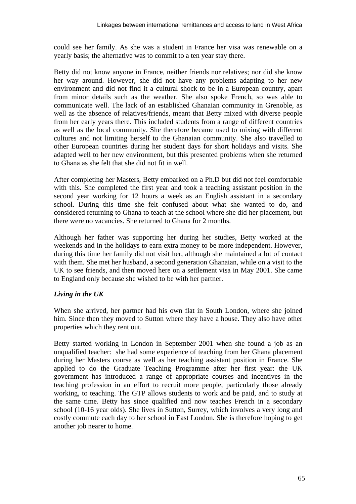could see her family. As she was a student in France her visa was renewable on a yearly basis; the alternative was to commit to a ten year stay there.

Betty did not know anyone in France, neither friends nor relatives; nor did she know her way around. However, she did not have any problems adapting to her new environment and did not find it a cultural shock to be in a European country, apart from minor details such as the weather. She also spoke French, so was able to communicate well. The lack of an established Ghanaian community in Grenoble, as well as the absence of relatives/friends, meant that Betty mixed with diverse people from her early years there. This included students from a range of different countries as well as the local community. She therefore became used to mixing with different cultures and not limiting herself to the Ghanaian community. She also travelled to other European countries during her student days for short holidays and visits. She adapted well to her new environment, but this presented problems when she returned to Ghana as she felt that she did not fit in well.

After completing her Masters, Betty embarked on a Ph.D but did not feel comfortable with this. She completed the first year and took a teaching assistant position in the second year working for 12 hours a week as an English assistant in a secondary school. During this time she felt confused about what she wanted to do, and considered returning to Ghana to teach at the school where she did her placement, but there were no vacancies. She returned to Ghana for 2 months.

Although her father was supporting her during her studies, Betty worked at the weekends and in the holidays to earn extra money to be more independent. However, during this time her family did not visit her, although she maintained a lot of contact with them. She met her husband, a second generation Ghanaian, while on a visit to the UK to see friends, and then moved here on a settlement visa in May 2001. She came to England only because she wished to be with her partner.

# *Living in the UK*

When she arrived, her partner had his own flat in South London, where she joined him. Since then they moved to Sutton where they have a house. They also have other properties which they rent out.

Betty started working in London in September 2001 when she found a job as an unqualified teacher: she had some experience of teaching from her Ghana placement during her Masters course as well as her teaching assistant position in France. She applied to do the Graduate Teaching Programme after her first year: the UK government has introduced a range of appropriate courses and incentives in the teaching profession in an effort to recruit more people, particularly those already working, to teaching. The GTP allows students to work and be paid, and to study at the same time. Betty has since qualified and now teaches French in a secondary school (10-16 year olds). She lives in Sutton, Surrey, which involves a very long and costly commute each day to her school in East London. She is therefore hoping to get another job nearer to home.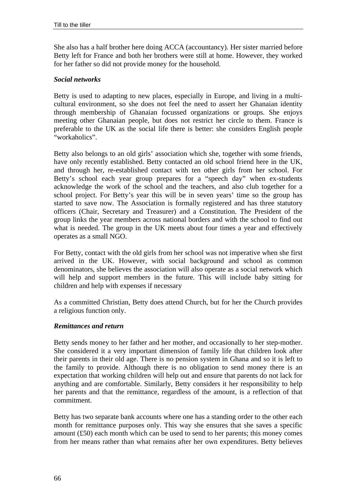She also has a half brother here doing ACCA (accountancy). Her sister married before Betty left for France and both her brothers were still at home. However, they worked for her father so did not provide money for the household.

#### *Social networks*

Betty is used to adapting to new places, especially in Europe, and living in a multicultural environment, so she does not feel the need to assert her Ghanaian identity through membership of Ghanaian focussed organizations or groups. She enjoys meeting other Ghanaian people, but does not restrict her circle to them. France is preferable to the UK as the social life there is better: she considers English people "workaholics".

Betty also belongs to an old girls' association which she, together with some friends, have only recently established. Betty contacted an old school friend here in the UK, and through her, re-established contact with ten other girls from her school. For Betty's school each year group prepares for a "speech day" when ex-students acknowledge the work of the school and the teachers, and also club together for a school project. For Betty's year this will be in seven years' time so the group has started to save now. The Association is formally registered and has three statutory officers (Chair, Secretary and Treasurer) and a Constitution. The President of the group links the year members across national borders and with the school to find out what is needed. The group in the UK meets about four times a year and effectively operates as a small NGO.

For Betty, contact with the old girls from her school was not imperative when she first arrived in the UK. However, with social background and school as common denominators, she believes the association will also operate as a social network which will help and support members in the future. This will include baby sitting for children and help with expenses if necessary

As a committed Christian, Betty does attend Church, but for her the Church provides a religious function only.

#### *Remittances and return*

Betty sends money to her father and her mother, and occasionally to her step-mother. She considered it a very important dimension of family life that children look after their parents in their old age. There is no pension system in Ghana and so it is left to the family to provide. Although there is no obligation to send money there is an expectation that working children will help out and ensure that parents do not lack for anything and are comfortable. Similarly, Betty considers it her responsibility to help her parents and that the remittance, regardless of the amount, is a reflection of that commitment.

Betty has two separate bank accounts where one has a standing order to the other each month for remittance purposes only. This way she ensures that she saves a specific amount (£50) each month which can be used to send to her parents; this money comes from her means rather than what remains after her own expenditures. Betty believes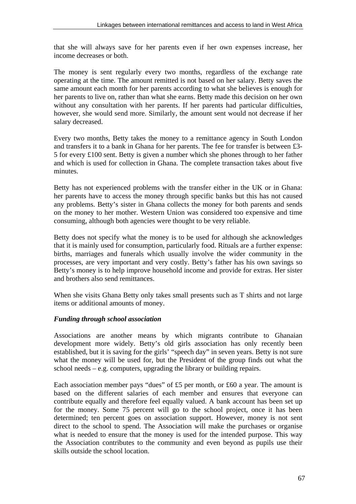that she will always save for her parents even if her own expenses increase, her income decreases or both.

The money is sent regularly every two months, regardless of the exchange rate operating at the time. The amount remitted is not based on her salary. Betty saves the same amount each month for her parents according to what she believes is enough for her parents to live on, rather than what she earns. Betty made this decision on her own without any consultation with her parents. If her parents had particular difficulties, however, she would send more. Similarly, the amount sent would not decrease if her salary decreased.

Every two months, Betty takes the money to a remittance agency in South London and transfers it to a bank in Ghana for her parents. The fee for transfer is between £3- 5 for every £100 sent. Betty is given a number which she phones through to her father and which is used for collection in Ghana. The complete transaction takes about five minutes.

Betty has not experienced problems with the transfer either in the UK or in Ghana: her parents have to access the money through specific banks but this has not caused any problems. Betty's sister in Ghana collects the money for both parents and sends on the money to her mother. Western Union was considered too expensive and time consuming, although both agencies were thought to be very reliable.

Betty does not specify what the money is to be used for although she acknowledges that it is mainly used for consumption, particularly food. Rituals are a further expense: births, marriages and funerals which usually involve the wider community in the processes, are very important and very costly. Betty's father has his own savings so Betty's money is to help improve household income and provide for extras. Her sister and brothers also send remittances.

When she visits Ghana Betty only takes small presents such as T shirts and not large items or additional amounts of money.

# *Funding through school association*

Associations are another means by which migrants contribute to Ghanaian development more widely. Betty's old girls association has only recently been established, but it is saving for the girls' "speech day" in seven years. Betty is not sure what the money will be used for, but the President of the group finds out what the school needs – e.g. computers, upgrading the library or building repairs.

Each association member pays "dues" of £5 per month, or £60 a year. The amount is based on the different salaries of each member and ensures that everyone can contribute equally and therefore feel equally valued. A bank account has been set up for the money. Some 75 percent will go to the school project, once it has been determined; ten percent goes on association support. However, money is not sent direct to the school to spend. The Association will make the purchases or organise what is needed to ensure that the money is used for the intended purpose. This way the Association contributes to the community and even beyond as pupils use their skills outside the school location.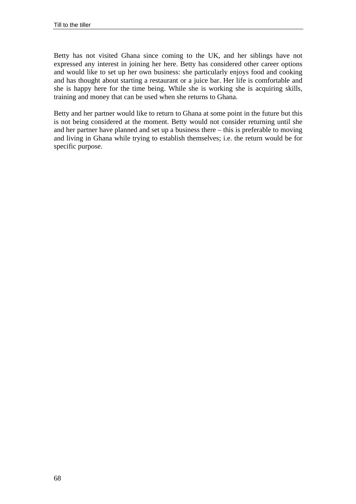Betty has not visited Ghana since coming to the UK, and her siblings have not expressed any interest in joining her here. Betty has considered other career options and would like to set up her own business: she particularly enjoys food and cooking and has thought about starting a restaurant or a juice bar. Her life is comfortable and she is happy here for the time being. While she is working she is acquiring skills, training and money that can be used when she returns to Ghana.

Betty and her partner would like to return to Ghana at some point in the future but this is not being considered at the moment. Betty would not consider returning until she and her partner have planned and set up a business there – this is preferable to moving and living in Ghana while trying to establish themselves; i.e. the return would be for specific purpose.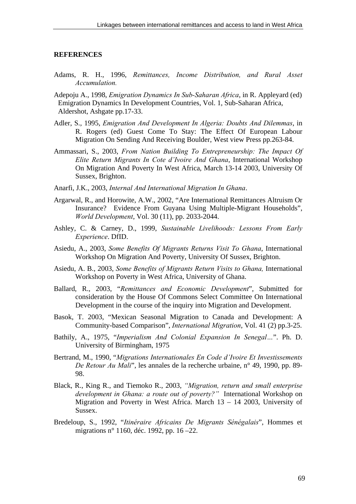#### **REFERENCES**

- Adams, R. H., 1996, *Remittances, Income Distribution, and Rural Asset Accumulation.*
- Adepoju A., 1998, *Emigration Dynamics In Sub-Saharan Africa*, in R. Appleyard (ed) Emigration Dynamics In Development Countries, Vol. 1, Sub-Saharan Africa, Aldershot, Ashgate pp.17-33.
- Adler, S., 1995, *Emigration And Development In Algeria: Doubts And Dilemmas*, in R. Rogers (ed) Guest Come To Stay: The Effect Of European Labour Migration On Sending And Receiving Boulder, West view Press pp.263-84.
- Ammassari, S., 2003, *From Nation Building To Entrepreneurship: The Impact Of Elite Return Migrants In Cote díIvoire And Ghana*, International Workshop On Migration And Poverty In West Africa, March 13-14 2003, University Of Sussex, Brighton.
- Anarfi, J.K., 2003, *Internal And International Migration In Ghana*.
- Argarwal, R., and Horowite, A.W., 2002, "Are International Remittances Altruism Or Insurance? Evidence From Guyana Using Multiple-Migrant Households", *World Development*, Vol. 30 (11), pp. 2033-2044.
- Ashley, C. & Carney, D., 1999, *Sustainable Livelihoods: Lessons From Early Experience*. DfID.
- Asiedu, A., 2003, *Some Benefits Of Migrants Returns Visit To Ghana*, International Workshop On Migration And Poverty, University Of Sussex, Brighton.
- Asiedu, A. B., 2003, *Some Benefits of Migrants Return Visits to Ghana,* International Workshop on Poverty in West Africa, University of Ghana.
- Ballard, R., 2003, "*Remittances and Economic Development*", Submitted for consideration by the House Of Commons Select Committee On International Development in the course of the inquiry into Migration and Development.
- Basok, T. 2003, "Mexican Seasonal Migration to Canada and Development: A Community-based Comparison", *International Migration*, Vol. 41 (2) pp.3-25.
- Bathily, A., 1975, "*Imperialism And Colonial Expansion In Senegal...*". Ph. D. University of Birmingham, 1975
- Bertrand, M., 1990, "*Migrations Internationales En Code díIvoire Et Investissements De Retour Au Mali*", les annales de la recherche urbaine, n° 49, 1990, pp. 89- 98.
- Black, R., King R., and Tiemoko R., 2003, *ìMigration, return and small enterprise development in Ghana: a route out of poverty?*" International Workshop on Migration and Poverty in West Africa. March 13 – 14 2003, University of Sussex.
- Bredeloup, S., 1992, "*ItinÈraire Africains De Migrants SÈnÈgalais*", Hommes et migrations n° 1160, déc. 1992, pp. 16 –22.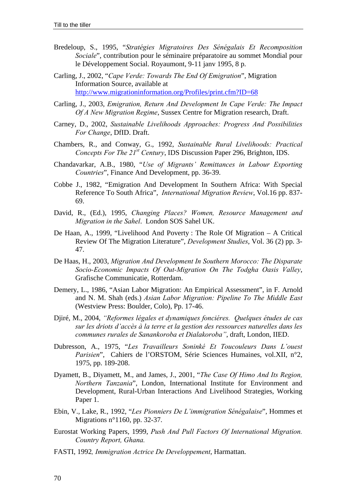- Bredeloup, S., 1995, "*StratÈgies Migratoires Des SÈnÈgalais Et Recomposition Sociale*", contribution pour le séminaire préparatoire au sommet Mondial pour le Développement Social. Royaumont, 9-11 janv 1995, 8 p.
- Carling, J., 2002, "*Cape Verde: Towards The End Of Emigration*", Migration Information Source, available at http://www.migrationinformation.org/Profiles/print.cfm?ID=68
- Carling, J., 2003, *Emigration, Return And Development In Cape Verde: The Impact Of A New Migration Regime*, Sussex Centre for Migration research, Draft.
- Carney, D., 2002, *Sustainable Livelihoods Approaches: Progress And Possibilities For Change*, DfID. Draft.
- Chambers, R., and Conway, G., 1992, *Sustainable Rural Livelihoods: Practical Concepts For The 21st Century*, IDS Discussion Paper 296, Brighton, IDS.
- Chandavarkar, A.B., 1980, "*Use of Migrantsí Remittances in Labour Exporting Countries*", Finance And Development, pp. 36-39.
- Cobbe J., 1982, "Emigration And Development In Southern Africa: With Special Reference To South Africa", *International Migration Review*, Vol.16 pp. 837- 69.
- David, R., (Ed.), 1995, *Changing Places? Women, Resource Management and Migration in the Sahel*. London SOS Sahel UK.
- De Haan, A., 1999, "Livelihood And Poverty : The Role Of Migration A Critical Review Of The Migration Literature", *Development Studies*, Vol. 36 (2) pp. 3- 47.
- De Haas, H., 2003, *Migration And Development In Southern Morocco: The Disparate Socio-Economic Impacts Of Out-Migration On The Todgha Oasis Valley*, Grafische Communicatie, Rotterdam.
- Demery, L., 1986, "Asian Labor Migration: An Empirical Assessment", in F. Arnold and N. M. Shah (eds.) *Asian Labor Migration: Pipeline To The Middle East* (Westview Press: Boulder, Colo), Pp. 17-46.
- Djiré, M., 2004, *ìReformes lÈgales et dynamiques fonciÈres. Quelques Ètudes de cas*  sur les driots d'accès à la terre et la gestion des ressources naturelles dans les *communes rurales de Sanankoroba et Dialakorobaî*, draft, London, IIED.
- Dubresson, A., 1975, "*Les Travailleurs SoninkÈ Et Toucouleurs Dans Líouest Parisien*", Cahiers de l'ORSTOM, Série Sciences Humaines, vol.XII, n°2, 1975, pp. 189-208.
- Dyamett, B., Diyamett, M., and James, J., 2001, "*The Case Of Himo And Its Region, Northern Tanzania*", London, International Institute for Environment and Development, Rural-Urban Interactions And Livelihood Strategies, Working Paper 1.
- Ebin, V., Lake, R., 1992, "*Les Pionniers De Líimmigration SÈnÈgalaise*", Hommes et Migrations n°1160, pp. 32-37.
- Eurostat Working Papers, 1999, *Push And Pull Factors Of International Migration. Country Report, Ghana.*
- FASTI, 1992*, Immigration Actrice De Developpement*, Harmattan.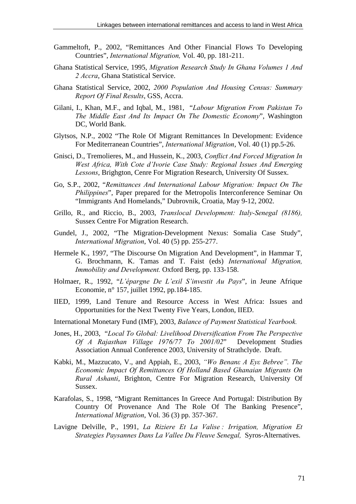- Gammeltoft, P., 2002, "Remittances And Other Financial Flows To Developing Countries", *International Migration,* Vol. 40, pp. 181-211.
- Ghana Statistical Service, 1995, *Migration Research Study In Ghana Volumes 1 And 2 Accra*, Ghana Statistical Service.
- Ghana Statistical Service, 2002, *2000 Population And Housing Census: Summary Report Of Final Results*, GSS, Accra.
- Gilani, I., Khan, M.F., and Iqbal, M., 1981, "*Labour Migration From Pakistan To The Middle East And Its Impact On The Domestic Economy*", Washington DC, World Bank.
- Glytsos, N.P., 2002 "The Role Of Migrant Remittances In Development: Evidence For Mediterranean Countries", *International Migration*, Vol. 40 (1) pp.5-26.
- Gnisci, D., Tremolieres, M., and Hussein, K., 2003, *Conflict And Forced Migration In*  West Africa, With Cote d'Ivorie Case Study: Regional Issues And Emerging *Lessons*, Brighgton, Cenre For Migration Research, University Of Sussex.
- Go, S.P., 2002, "*Remittances And International Labour Migration: Impact On The Philippines*", Paper prepared for the Metropolis Interconference Seminar On "Immigrants And Homelands," Dubrovnik, Croatia, May 9-12, 2002.
- Grillo, R., and Riccio, B., 2003, *Translocal Development: Italy-Senegal (8186),* Sussex Centre For Migration Research.
- Gundel, J., 2002, "The Migration-Development Nexus: Somalia Case Study", *International Migration*, Vol. 40 (5) pp. 255-277.
- Hermele K., 1997, "The Discourse On Migration And Development", in Hammar T, G. Brochmann, K. Tamas and T. Faist (eds) *International Migration, Immobility and Development.* Oxford Berg, pp. 133-158.
- Holmaer, R., 1992, "*L'épargne De L'exil S'investit Au Pays*", in Jeune Afrique Economie, n° 157, juillet 1992, pp.184-185.
- IIED, 1999, Land Tenure and Resource Access in West Africa: Issues and Opportunities for the Next Twenty Five Years, London, IIED.
- International Monetary Fund (IMF), 2003, *Balance of Payment Statistical Yearbook.*
- Jones, H., 2003, "*Local To Global: Livelihood Diversification From The Perspective Of A Rajasthan Village 1976/77 To 2001/02*" Development Studies Association Annual Conference 2003, University of Strathclyde. Draft.
- Kabki, M., Mazzucato, V., and Appiah, E., 2003, *ìWo Benanε A Εyε Bebreeî. The Economic Impact Of Remittances Of Holland Based Ghanaian Migrants On Rural Ashanti*, Brighton, Centre For Migration Research, University Of Sussex.
- Karafolas, S., 1998, "Migrant Remittances In Greece And Portugal: Distribution By Country Of Provenance And The Role Of The Banking Presence", *International Migration*, Vol. 36 (3) pp. 357-367.
- Lavigne Delville, P., 1991, *La Riziere Et La Valise : Irrigation, Migration Et Strategies Paysannes Dans La Vallee Du Fleuve Senegal,* Syros-Alternatives.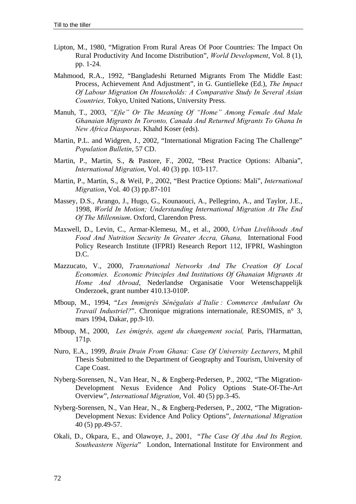- Lipton, M., 1980, "Migration From Rural Areas Of Poor Countries: The Impact On Rural Productivity And Income Distribution", *World Development*, Vol. 8 (1), pp. 1-24.
- Mahmood, R.A., 1992, "Bangladeshi Returned Migrants From The Middle East: Process, Achievement And Adjustment", in G. Guntielleke (Ed.), *The Impact Of Labour Migration On Households: A Comparative Study In Several Asian Countries,* Tokyo, United Nations, University Press.
- Manuh, T., 2003, "Efie" Or The Meaning Of "Home" Among Female And Male *Ghanaian Migrants In Toronto, Canada And Returned Migrants To Ghana In New Africa Diasporas*. Khahd Koser (eds).
- Martin, P.L. and Widgren, J., 2002, "International Migration Facing The Challenge" *Population Bulletin*, 57 CD.
- Martin, P., Martin, S., & Pastore, F., 2002, "Best Practice Options: Albania", *International Migration*, Vol. 40 (3) pp. 103-117.
- Martin, P., Martin, S., & Weil, P., 2002, "Best Practice Options: Mali", *International Migration*, Vol. 40 (3) pp.87-101
- Massey, D.S., Arango, J., Hugo, G., Kounaouci, A., Pellegrino, A., and Taylor, J.E., 1998, *World In Motion; Understanding International Migration At The End Of The Millennium*. Oxford, Clarendon Press.
- Maxwell, D., Levin, C., Armar-Klemesu, M., et al., 2000, *Urban Livelihoods And Food And Nutrition Security In Greater Accra, Ghana,* International Food Policy Research Institute (IFPRI) Research Report 112, IFPRI, Washington D.C.
- Mazzucato, V., 2000, *Transnational Networks And The Creation Of Local Economies. Economic Principles And Institutions Of Ghanaian Migrants At Home And Abroad*, Nederlandse Organisatie Voor Wetenschappelijk Onderzoek, grant number 410.13-010P.
- Mboup, M., 1994, "*Les ImmigrÈs SÈnÈgalais díItalie : Commerce Ambulant Ou Travail Industriel?*". Chronique migrations internationale, RESOMIS, n° 3, mars 1994, Dakar, pp.9-10.
- Mboup, M., 2000, *Les ÈmigrÈs, agent du changement social,* Paris, l'Harmattan, 171p.
- Nuro, E.A., 1999, *Brain Drain From Ghana: Case Of University Lecturers*, M.phil Thesis Submitted to the Department of Geography and Tourism, University of Cape Coast.
- Nyberg-Sorensen, N., Van Hear, N., & Engberg-Pedersen, P., 2002, "The Migration-Development Nexus Evidence And Policy Options State-Of-The-Art Overview", *International Migration*, Vol. 40 (5) pp.3-45.
- Nyberg-Sorensen, N., Van Hear, N., & Engberg-Pedersen, P., 2002, "The Migration-Development Nexus: Evidence And Policy Options", *International Migration* 40 (5) pp.49-57.
- Okali, D., Okpara, E., and Olawoye, J., 2001, "*The Case Of Aba And Its Region, Southeastern Nigeria*" London, International Institute for Environment and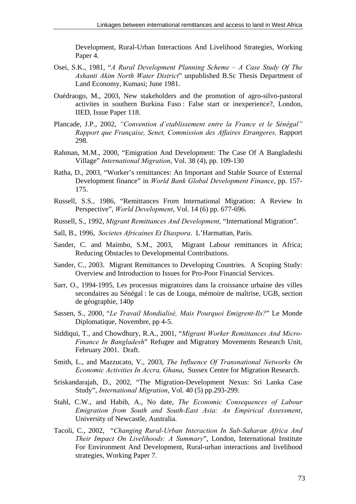Development, Rural-Urban Interactions And Livelihood Strategies, Working Paper 4.

- Osei, S.K., 1981, "*A Rural Development Planning Scheme A Case Study Of The Ashanti Akim North Water District*" unpublished B.Sc Thesis Department of Land Economy, Kumasi; June 1981.
- Ouédraogo, M., 2003, New stakeholders and the promotion of agro-silvo-pastoral activites in southern Burkina Faso : False start or inexperience?, London, IIED, Issue Paper 118.
- Plancade, J.P., 2002, "Convention d'etablissement entre la France et le Sénégal" *Rapport que Française, Senet, Commission des Affaires Etrangeres, Rapport* 298.
- Rahman, M.M., 2000, "Emigration And Development: The Case Of A Bangladeshi Village" *International Migration*, Vol. 38 (4), pp. 109-130
- Ratha, D., 2003, "Worker's remittances: An Important and Stable Source of External Development finance" in *World Bank Global Development Finance*, pp. 157- 175.
- Russell, S.S., 1986, "Remittances From International Migration: A Review In Perspective", *World Development*, Vol. 14 (6) pp. 677-696.
- Russell, S., 1992, *Migrant Remittances And Development,* "International Migration".
- Sall, B., 1996, *Societes Africaines Et Diaspora*. L'Harmattan, Paris.
- Sander, C. and Maimbo, S.M., 2003, Migrant Labour remittances in Africa; Reducing Obstacles to Developmental Contributions.
- Sander, C., 2003. Migrant Remittances to Developing Countries. A Scoping Study: Overview and Introduction to Issues for Pro-Poor Financial Services.
- Sarr, O., 1994-1995, Les processus migratoires dans la croissance urbaine des villes secondaires au Sénégal : le cas de Louga, mémoire de maîtrise, UGB, section de géographie, 140p
- Sassen, S., 2000, "*Le Travail MondialisÈ, Mais Pourquoi Emigrent-Ils?*" Le Monde Diplomatique, Novembre, pp 4-5.
- Siddiqui, T., and Chowdhury, R.A., 2001, "*Migrant Worker Remittances And Micro-Finance In Bangladesh*" Refugee and Migratory Movements Research Unit, February 2001. Draft.
- Smith, L., and Mazzucato, V., 2003, *The Influence Of Transnational Networks On Economic Activities In Accra, Ghana*, Sussex Centre for Migration Research.
- Sriskandarajah, D., 2002, "The Migration-Development Nexus: Sri Lanka Case Study", *International Migration*, Vol. 40 (5) pp.293-299.
- Stahl, C.W., and Habib, A., No date, *The Economic Consequences of Labour Emigration from South and South-East Asia: An Empirical Assessment*, University of Newcastle, Australia.
- Tacoli, C., 2002, "*Changing Rural-Urban Interaction In Sub-Saharan Africa And Their Impact On Livelihoods: A Summary*", London, International Institute For Environment And Development, Rural-urban interactions and livelihood strategies, Working Paper 7.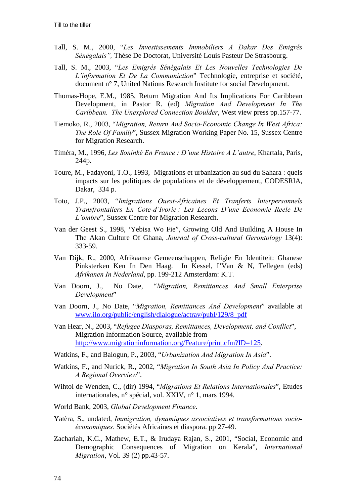- Tall, S. M., 2000, "*Les Investissements Immobiliers A Dakar Des EmigrÈs*  Sénégalais<sup>"</sup>, Thèse De Doctorat, Université Louis Pasteur De Strasbourg.
- Tall, S. M., 2003, "*Les EmigrÈs SÈnÈgalais Et Les Nouvelles Technologies De Líinformation Et De La Communiction*" Technologie, entreprise et société, document n° 7, United Nations Research Institute for social Development.
- Thomas-Hope, E.M., 1985, Return Migration And Its Implications For Caribbean Development, in Pastor R. (ed) *Migration And Development In The Caribbean. The Unexplored Connection Boulder*, West view press pp.157-77.
- Tiemoko, R., 2003, "*Migration, Return And Socio-Economic Change In West Africa: The Role Of Family*", Sussex Migration Working Paper No. 15, Sussex Centre for Migration Research.
- Timéra, M., 1996, *Les SoninkÈ En France : Díune Histoire A Líautre*, Khartala, Paris, 244p.
- Toure, M., Fadayoni, T.O., 1993, Migrations et urbanization au sud du Sahara : quels impacts sur les politiques de populations et de développement, CODESRIA, Dakar, 334 p.
- Toto, J.P., 2003, "*Imigrations Ouest-Africaines Et Tranferts Interpersonnels Transfrontaliers En Cote-díIvorie : Les Lecons Díune Economie Reele De Líombre*", Sussex Centre for Migration Research.
- Van der Geest S., 1998, 'Yebisa Wo Fie", Growing Old And Building A House In The Akan Culture Of Ghana, *Journal of Cross-cultural Gerontology* 13(4): 333-59.
- Van Dijk, R., 2000, Afrikaanse Gemeenschappen, Religie En Identiteit: Ghanese Pinksterken Ken In Den Haag. In Kessel, I'Van & N, Tellegen (eds) *Afrikanen In Nederland*, pp. 199-212 Amsterdam: K.T.
- Van Doorn, J., No Date, "*Migration, Remittances And Small Enterprise Development*"
- Van Doorn, J., No Date, "*Migration, Remittances And Development*" available at www.ilo.org/public/english/dialogue/actrav/publ/129/8\_pdf
- Van Hear, N., 2003, "*Refugee Diasporas, Remittances, Development, and Conflict*", Migration Information Source, available from http://www.migrationinformation.org/Feature/print.cfm?ID=125.
- Watkins, F., and Balogun, P., 2003, "*Urbanization And Migration In Asia*".
- Watkins, F., and Nurick, R., 2002, "*Migration In South Asia In Policy And Practice: A Regional Overview*".
- Wihtol de Wenden, C., (dir) 1994, "*Migrations Et Relations Internationales*", Etudes internationales, n° spécial, vol. XXIV, n° 1, mars 1994.
- World Bank, 2003, *Global Development Finance*.
- Yatèra, S., undated, *Immigration, dynamiques associatives et transformations socio-Èconomiques.* Sociétés Africaines et diaspora. pp 27-49.
- Zachariah, K.C., Mathew, E.T., & Irudaya Rajan, S., 2001, "Social, Economic and Demographic Consequences of Migration on Kerala", *International Migration*, Vol. 39 (2) pp.43-57.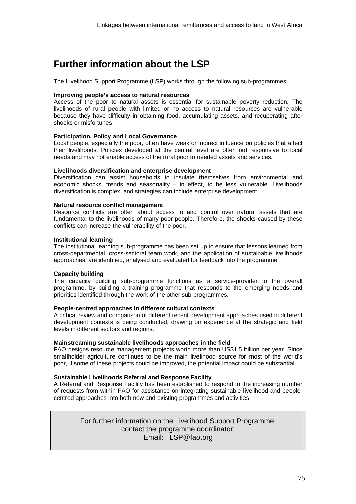# **Further information about the LSP**

The Livelihood Support Programme (LSP) works through the following sub-programmes:

# **Improving people's access to natural resources**

Access of the poor to natural assets is essential for sustainable poverty reduction. The livelihoods of rural people with limited or no access to natural resources are vulnerable because they have difficulty in obtaining food, accumulating assets, and recuperating after shocks or misfortunes.

## **Participation, Policy and Local Governance**

Local people, especially the poor, often have weak or indirect influence on policies that affect their livelihoods. Policies developed at the central level are often not responsive to local needs and may not enable access of the rural poor to needed assets and services.

## **Livelihoods diversification and enterprise development**

Diversification can assist households to insulate themselves from environmental and economic shocks, trends and seasonality  $-$  in effect, to be less vulnerable. Livelihoods diversification is complex, and strategies can include enterprise development.

## **Natural resource conflict management**

Resource conflicts are often about access to and control over natural assets that are fundamental to the livelihoods of many poor people. Therefore, the shocks caused by these conflicts can increase the vulnerability of the poor.

## **Institutional learning**

The institutional learning sub-programme has been set up to ensure that lessons learned from cross-departmental, cross-sectoral team work, and the application of sustainable livelihoods approaches, are identified, analysed and evaluated for feedback into the programme.

#### **Capacity building**

The capacity building sub-programme functions as a service-provider to the overall programme, by building a training programme that responds to the emerging needs and priorities identified through the work of the other sub-programmes.

#### **People-centred approaches in different cultural contexts**

A critical review and comparison of different recent development approaches used in different development contexts is being conducted, drawing on experience at the strategic and field levels in different sectors and regions.

#### **Mainstreaming sustainable livelihoods approaches in the field**

FAO designs resource management projects worth more than US\$1.5 billion per year. Since smallholder agriculture continues to be the main livelihood source for most of the world's poor, if some of these projects could be improved, the potential impact could be substantial.

# **Sustainable Livelihoods Referral and Response Facility**

A Referral and Response Facility has been established to respond to the increasing number of requests from within FAO for assistance on integrating sustainable livelihood and peoplecentred approaches into both new and existing programmes and activities.

> For further information on the Livelihood Support Programme, contact the programme coordinator: Email: LSP@fao.org